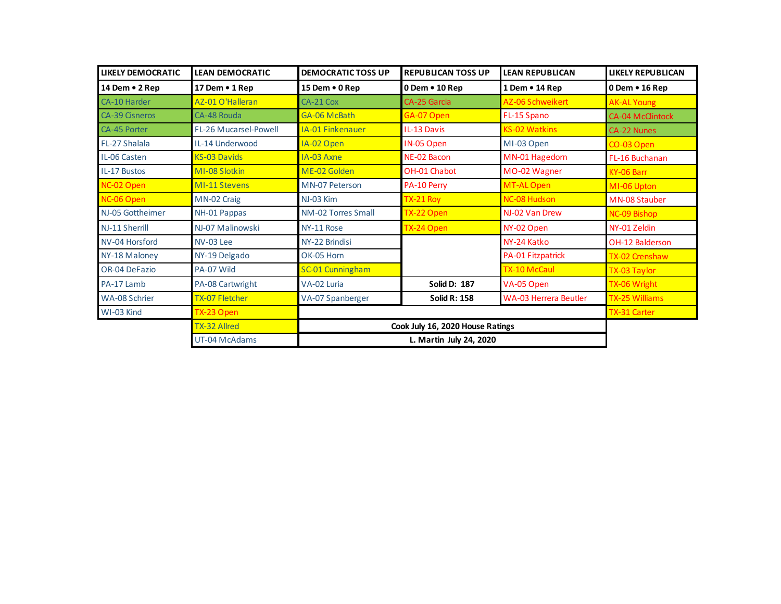| <b>LIKELY DEMOCRATIC</b> | <b>LEAN DEMOCRATIC</b> | <b>DEMOCRATIC TOSS UP</b> | <b>REPUBLICAN TOSS UP</b>        | <b>LEAN REPUBLICAN</b>       | <b>LIKELY REPUBLICAN</b> |
|--------------------------|------------------------|---------------------------|----------------------------------|------------------------------|--------------------------|
| 14 Dem • 2 Rep           | 17 Dem • 1 Rep         | 15 Dem . 0 Rep            | 0 Dem . 10 Rep                   | 1 Dem • 14 Rep               | 0 Dem . 16 Rep           |
| <b>CA-10 Harder</b>      | AZ-01 O'Halleran       | CA-21 Cox                 | CA-25 Garcia                     | AZ-06 Schweikert             | <b>AK-AL Young</b>       |
| <b>CA-39 Cisneros</b>    | CA-48 Rouda            | <b>GA-06 McBath</b>       | GA-07 Open                       | FL-15 Spano                  | <b>CA-04 McClintock</b>  |
| CA-45 Porter             | FL-26 Mucarsel-Powell  | IA-01 Finkenauer          | IL-13 Davis                      | <b>KS-02 Watkins</b>         | <b>CA-22 Nunes</b>       |
| FL-27 Shalala            | IL-14 Underwood        | IA-02 Open                | IN-05 Open                       | MI-03 Open                   | CO-03 Open               |
| IL-06 Casten             | <b>KS-03 Davids</b>    | IA-03 Axne                | NE-02 Bacon                      | MN-01 Hagedorn               | FL-16 Buchanan           |
| <b>IL-17 Bustos</b>      | MI-08 Slotkin          | ME-02 Golden              | OH-01 Chabot                     | MO-02 Wagner                 | KY-06 Barr               |
| NC-02 Open               | <b>MI-11 Stevens</b>   | <b>MN-07 Peterson</b>     | PA-10 Perry                      | MT-AL Open                   | MI-06 Upton              |
| NC-06 Open               | MN-02 Craig            | NJ-03 Kim                 | TX-21 Roy                        | <b>NC-08 Hudson</b>          | MN-08 Stauber            |
| NJ-05 Gottheimer         | NH-01 Pappas           | NM-02 Torres Small        | TX-22 Open                       | NJ-02 Van Drew               | NC-09 Bishop             |
| NJ-11 Sherrill           | NJ-07 Malinowski       | NY-11 Rose                | TX-24 Open                       | NY-02 Open                   | NY-01 Zeldin             |
| NV-04 Horsford           | NV-03 Lee              | NY-22 Brindisi            |                                  | NY-24 Katko                  | OH-12 Balderson          |
| NY-18 Maloney            | NY-19 Delgado          | OK-05 Horn                |                                  | PA-01 Fitzpatrick            | TX-02 Crenshaw           |
| OR-04 DeFazio            | PA-07 Wild             | SC-01 Cunningham          |                                  | <b>TX-10 McCaul</b>          | TX-03 Taylor             |
| PA-17 Lamb               | PA-08 Cartwright       | VA-02 Luria               | <b>Solid D: 187</b>              | VA-05 Open                   | TX-06 Wright             |
| <b>WA-08 Schrier</b>     | <b>TX-07 Fletcher</b>  | VA-07 Spanberger          | <b>Solid R: 158</b>              | <b>WA-03 Herrera Beutler</b> | <b>TX-25 Williams</b>    |
| WI-03 Kind               | TX-23 Open             |                           |                                  |                              | <b>TX-31 Carter</b>      |
|                          | <b>TX-32 Allred</b>    |                           | Cook July 16, 2020 House Ratings |                              |                          |
|                          | UT-04 McAdams          |                           | L. Martin July 24, 2020          |                              |                          |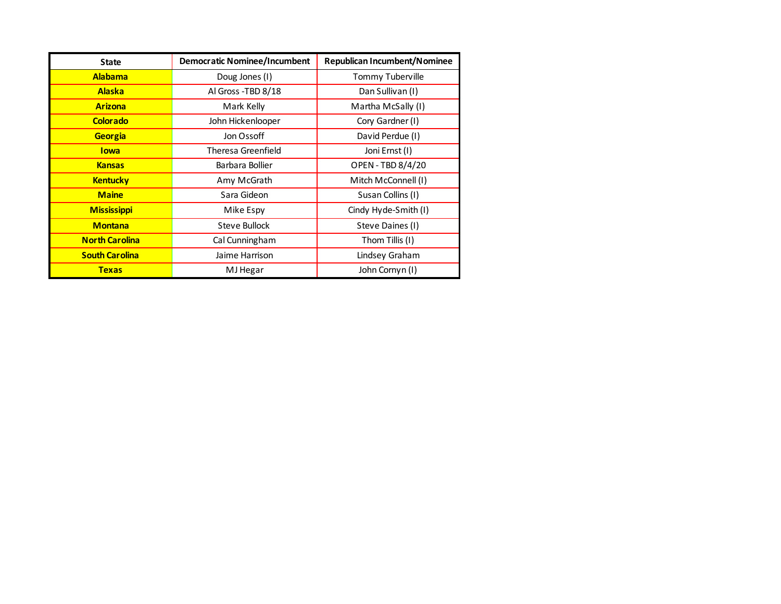| <b>State</b>          | <b>Democratic Nominee/Incumbent</b> | <b>Republican Incumbent/Nominee</b> |
|-----------------------|-------------------------------------|-------------------------------------|
| <b>Alabama</b>        | Doug Jones (I)                      | Tommy Tuberville                    |
| <b>Alaska</b>         | Al Gross -TBD 8/18                  | Dan Sullivan (I)                    |
| <b>Arizona</b>        | Mark Kelly                          | Martha McSally (I)                  |
| <b>Colorado</b>       | John Hickenlooper                   | Cory Gardner (I)                    |
| <b>Georgia</b>        | Jon Ossoff                          | David Perdue (I)                    |
| <b>lowa</b>           | <b>Theresa Greenfield</b>           | Joni Ernst (I)                      |
| <b>Kansas</b>         | Barbara Bollier                     | OPEN - TBD 8/4/20                   |
| <b>Kentucky</b>       | Amy McGrath                         | Mitch McConnell (I)                 |
| <b>Maine</b>          | Sara Gideon                         | Susan Collins (I)                   |
| <b>Mississippi</b>    | Mike Espy                           | Cindy Hyde-Smith (I)                |
| <b>Montana</b>        | Steve Bullock                       | Steve Daines (I)                    |
| <b>North Carolina</b> | Cal Cunningham                      | Thom Tillis (I)                     |
| <b>South Carolina</b> | Jaime Harrison                      | Lindsey Graham                      |
| <b>Texas</b>          | MJ Hegar                            | John Cornyn (I)                     |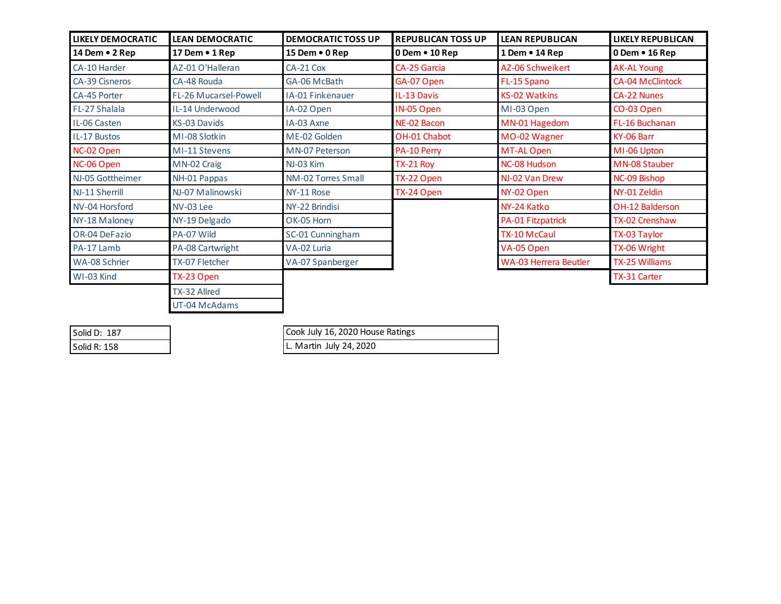| <b>LIKELY DEMOCRATIC</b> | <b>LEAN DEMOCRATIC</b>       | <b>DEMOCRATIC TOSS UP</b> | <b>REPUBLICAN TOSS UP</b> | <b>LEAN REPUBLICAN</b>       | <b>LIKELY REPUBLICAN</b> |
|--------------------------|------------------------------|---------------------------|---------------------------|------------------------------|--------------------------|
| 14 Dem • 2 Rep           | 17 Dem • 1 Rep               | 15 Dem . 0 Rep            | 0 Dem • 10 Rep            | 1 Dem • 14 Rep               | 0 Dem . 16 Rep           |
| CA-10 Harder             | AZ-01 O'Halleran             | CA-21 Cox                 | CA-25 Garcia              | AZ-06 Schweikert             | <b>AK-AL Young</b>       |
| <b>CA-39 Cisneros</b>    | CA-48 Rouda                  | GA-06 McBath              | GA-07 Open                | FL-15 Spano                  | <b>CA-04 McClintock</b>  |
| CA-45 Porter             | <b>FL-26 Mucarsel-Powell</b> | IA-01 Finkenauer          | IL-13 Davis               | <b>KS-02 Watkins</b>         | CA-22 Nunes              |
| FL-27 Shalala            | IL-14 Underwood              | IA-02 Open                | IN-05 Open                | MI-03 Open                   | CO-03 Open               |
| IL-06 Casten             | KS-03 Davids                 | IA-03 Axne                | NE-02 Bacon               | MN-01 Hagedorn               | FL-16 Buchanan           |
| IL-17 Bustos             | MI-08 Slotkin                | ME-02 Golden              | OH-01 Chabot              | MO-02 Wagner                 | KY-06 Barr               |
| NC-02 Open               | MI-11 Stevens                | MN-07 Peterson            | PA-10 Perry               | MT-AL Open                   | MI-06 Upton              |
| NC-06 Open               | MN-02 Craig                  | NJ-03 Kim                 | TX-21 Roy                 | NC-08 Hudson                 | MN-08 Stauber            |
| NJ-05 Gottheimer         | NH-01 Pappas                 | NM-02 Torres Small        | TX-22 Open                | NJ-02 Van Drew               | NC-09 Bishop             |
| NJ-11 Sherrill           | NJ-07 Malinowski             | NY-11 Rose                | TX-24 Open                | NY-02 Open                   | NY-01 Zeldin             |
| NV-04 Horsford           | NV-03 Lee                    | NY-22 Brindisi            |                           | NY-24 Katko                  | <b>OH-12 Balderson</b>   |
| NY-18 Maloney            | NY-19 Delgado                | OK-05 Horn                |                           | PA-01 Fitzpatrick            | <b>TX-02 Crenshaw</b>    |
| OR-04 DeFazio            | PA-07 Wild                   | SC-01 Cunningham          |                           | <b>TX-10 McCaul</b>          | TX-03 Taylor             |
| PA-17 Lamb               | PA-08 Cartwright             | VA-02 Luria               |                           | VA-05 Open                   | TX-06 Wright             |
| WA-08 Schrier            | <b>TX-07 Fletcher</b>        | VA-07 Spanberger          |                           | <b>WA-03 Herrera Beutler</b> | <b>TX-25 Williams</b>    |
| WI-03 Kind               | TX-23 Open                   |                           |                           |                              | TX-31 Carter             |
|                          | TX-32 Allred                 |                           |                           |                              |                          |
|                          | UT-04 McAdams                |                           |                           |                              |                          |

| Solid D: 187 |  |
|--------------|--|
| Solid R: 158 |  |

Cook July 16, 2020 House Ratings L. Martin July 24, 2020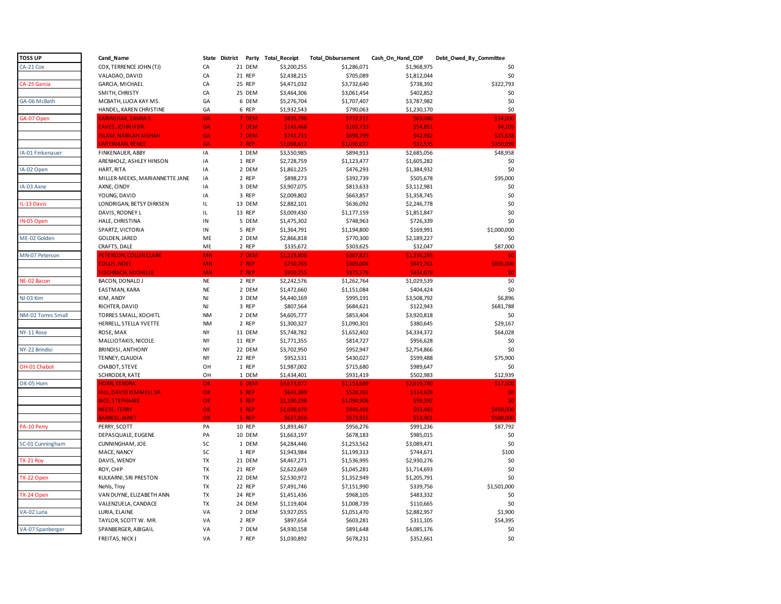| TOSS UP            | Cand_Name                      |           | State District |        | Party Total_Receipt | <b>Total_Disbursement</b> | Cash_On_Hand_COP | Debt_Owed_By_Committee |
|--------------------|--------------------------------|-----------|----------------|--------|---------------------|---------------------------|------------------|------------------------|
| CA-21 Cox          | COX, TERRENCE JOHN (TJ)        | CA        |                | 21 DEM | \$3,200,255         | \$1,286,071               | \$1,968,975      | \$0                    |
|                    | VALADAO, DAVID                 | CA        |                | 21 REP | \$2,438,215         | \$705,089                 | \$1,812,044      | \$0                    |
| CA-25 Garcia       | GARCIA, MICHAEL                | CA        |                | 25 REP | \$4,471,032         | \$3,732,640               | \$738,392        | \$322,793              |
|                    | SMITH, CHRISTY                 | CA        |                | 25 DEM | \$3,464,306         | \$3,061,454               | \$402,852        | \$0                    |
| GA-06 McBath       | MCBATH, LUCIA KAY MS.          | GA        |                | 6 DEM  | \$5,276,704         | \$1,707,407               | \$3,787,982      | \$0                    |
|                    | HANDEL, KAREN CHRISTINE        | GA        |                | 6 REP  | \$1,932,543         | \$790,063                 | \$1,230,170      | \$0                    |
| GA-07 Open         | <b>KARINSHAK, ZAHRA S.</b>     | GA        |                | 7 DEM  | \$835,796           | \$772,717                 | \$63,080         | \$34,000               |
|                    | <b>EAVES, JOHN H DR.</b>       | <b>GA</b> |                | 7 DEM  | \$145,468           | \$102,733                 | \$54,851         | \$4,205                |
|                    | <b>ISLAM, NABILAH AISHAH</b>   | <b>GA</b> |                | 7 DEM  | \$741,731           | \$698,799                 | \$42,932         | \$15,638               |
|                    | UNTERMAN, RENEE                | <b>GA</b> |                | 7 REP  | \$1,068,612         | \$1,036,077               | \$32,535         | \$350,090              |
| IA-01 Finkenauer   | FINKENAUER, ABBY               | IA        |                | 1 DEM  | \$3,550,985         | \$894,913                 | \$2,685,056      | \$48,958               |
|                    | ARENHOLZ, ASHLEY HINSON        | IA        |                | 1 REP  | \$2,728,759         | \$1,123,477               | \$1,605,282      | \$0                    |
| IA-02 Open         | HART, RITA                     | IA        |                | 2 DEM  | \$1,861,225         | \$476,293                 | \$1,384,932      | \$0                    |
|                    | MILLER-MEEKS, MARIANNETTE JANE | IA        |                | 2 REP  | \$898,273           | \$392,739                 | \$505,678        | \$95,000               |
| IA-03 Axne         | AXNE, CINDY                    | IA        |                | 3 DEM  | \$3,907,075         | \$813,633                 | \$3,112,981      | \$0                    |
|                    | YOUNG, DAVID                   | IA        |                | 3 REP  | \$2,009,802         | \$663,857                 | \$1,358,745      | \$0                    |
| IL-13 Davis        | LONDRIGAN, BETSY DIRKSEN       | IL        |                | 13 DEM | \$2,882,101         | \$636,092                 | \$2,246,778      | \$0                    |
|                    | DAVIS, RODNEY L                | IL        |                | 13 REP | \$3,009,430         | \$1,177,159               | \$1,851,847      | \$0                    |
| IN-05 Open         | HALE, CHRISTINA                | IN        |                | 5 DEM  | \$1,475,302         | \$748,963                 | \$726,339        | \$0                    |
|                    | SPARTZ, VICTORIA               | IN        |                | 5 REP  | \$1,364,791         | \$1,194,800               | \$169,991        | \$1,000,000            |
| ME-02 Golden       | <b>GOLDEN, JARED</b>           | ME        |                | 2 DEM  | \$2,866,818         | \$770,300                 | \$2,189,227      | \$0                    |
|                    | CRAFTS, DALE                   | ME        |                | 2 REP  | \$335,672           | \$303,625                 | \$32,047         | \$87,000               |
| MN-07 Peterson     | <b>PETERSON, COLLIN CLARK</b>  | <b>MN</b> |                | 7 DEM  | \$1,225,806         | \$387,823                 | \$1,336,293      | \$0                    |
|                    | <b>COLLIS, NOEL</b>            | MN        |                | 7 REP  | \$750,765           | \$309,004                 | \$441,761        | \$695,000              |
|                    | <b>FISCHBACH, MICHELLE</b>     | <b>MN</b> |                | 7 REP  | \$910,255           | \$475,576                 | \$434,679        | \$0                    |
| NE-02 Bacon        | BACON, DONALD J                | NE        |                | 2 REP  | \$2,242,576         | \$1,262,764               | \$1,029,539      | \$0                    |
|                    | EASTMAN, KARA                  | <b>NE</b> |                | 2 DEM  | \$1,472,660         | \$1,151,084               | \$404,424        | \$0                    |
| NJ-03 Kim          | KIM, ANDY                      | NJ        |                | 3 DEM  | \$4,440,169         | \$995,191                 | \$3,508,792      | \$6,896                |
|                    | RICHTER, DAVID                 | NJ        |                | 3 REP  | \$807,564           | \$684,621                 | \$122,943        | \$681,788              |
| NM-02 Torres Small | TORRES SMALL, XOCHITL          | <b>NM</b> |                | 2 DEM  | \$4,605,777         | \$853,404                 | \$3,920,818      | \$0                    |
|                    | HERRELL, STELLA YVETTE         | <b>NM</b> |                | 2 REP  | \$1,300,327         | \$1,090,301               | \$380,645        | \$29,167               |
| NY-11 Rose         | ROSE, MAX                      | NY        |                | 11 DEM | \$5,748,782         | \$1,652,402               | \$4,334,372      | \$64,028               |
|                    | MALLIOTAKIS, NICOLE            | NY        |                | 11 REP | \$1,771,355         | \$814,727                 | \$956,628        | \$0                    |
| NY-22 Brindisi     | <b>BRINDISI, ANTHONY</b>       | NY        |                | 22 DEM | \$3,702,950         | \$952,947                 | \$2,754,866      | \$0                    |
|                    | TENNEY, CLAUDIA                | NY        |                | 22 REP | \$952,531           | \$430,027                 | \$599,488        | \$75,900               |
| OH-01 Chabot       | CHABOT, STEVE                  | OH        |                | 1 REP  | \$1,987,002         | \$715,680                 | \$989,647        | \$0                    |
|                    | SCHRODER, KATE                 | OH        |                | 1 DEM  | \$1,434,401         | \$931,419                 | \$502,983        | \$12,939               |
| OK-05 Horn         | <b>HORN, KENDRA</b>            | OK        |                | 5 DEM  | \$3,673,977         | \$1,153,689               | \$2,619,780      | \$17,500               |
|                    | HILL, DAVID KIMMELL SR.        | OK        |                | 5 REP  | \$643,389           | \$528,761                 | \$114,628        | \$0                    |
|                    | <b>BICE, STEPHANIE</b>         | OK        |                | 5 REP  | \$1,190,298         | \$1,090,906               | \$99,392         | \$0                    |
|                    | <b>NEESE, TERRY</b>            | OK        |                | 5 REP  | \$1,038,979         | \$945,495                 | \$93,483         | \$450,000              |
|                    | <b>BARRESI, JANET</b>          | OK        |                | 5 REP  | \$627,856           | \$573.955                 | \$53,901         | \$500,000              |
| PA-10 Perry        | PERRY, SCOTT                   | PA        |                | 10 REP | \$1,893,467         | \$956,276                 | \$991,236        | \$87,792               |
|                    | DEPASQUALE, EUGENE             | PA        |                | 10 DEM | \$1,663,197         | \$678,183                 | \$985,015        | \$0                    |
| SC-01 Cunningham   | CUNNINGHAM, JOE                | SC        |                | 1 DEM  | \$4,284,446         | \$1,253,562               | \$3,089,471      | \$0                    |
|                    | MACE, NANCY                    | SC        |                | 1 REP  | \$1,943,984         | \$1,199,313               | \$744,671        | \$100                  |
| TX-21 Roy          | DAVIS, WENDY                   | <b>TX</b> |                | 21 DEM | \$4,467,271         | \$1,536,995               | \$2,930,276      | \$0                    |
|                    | ROY, CHIP                      | <b>TX</b> |                | 21 REP | \$2,622,669         | \$1,045,281               | \$1,714,693      | \$0                    |
| TX-22 Open         | KULKARNI, SRI PRESTON          | <b>TX</b> |                | 22 DEM | \$2,530,972         | \$1,352,949               | \$1,205,791      | \$0                    |
|                    | Nehls, Troy                    | TX        |                | 22 REP | \$7,491,746         | \$7,151,990               | \$339,756        | \$1,501,000            |
| TX-24 Open         | VAN DUYNE, ELIZABETH ANN       | TX        |                | 24 REP | \$1,451,436         | \$968,105                 | \$483,332        | \$0                    |
|                    | VALENZUELA, CANDACE            | <b>TX</b> |                | 24 DEM | \$1,119,404         | \$1,008,739               | \$110,665        | \$0                    |
| VA-02 Luria        | LURIA, ELAINE                  | VA        |                | 2 DEM  | \$3,927,055         | \$1,051,470               | \$2,882,957      | \$1,900                |
|                    | TAYLOR, SCOTT W. MR.           | VA        |                | 2 REP  | \$897,654           | \$603,281                 | \$311,105        | \$54,395               |
| VA-07 Spanberger   | SPANBERGER, ABIGAIL            | VA        |                | 7 DEM  | \$4,930,158         | \$891,648                 | \$4,085,176      | \$0                    |
|                    | FREITAS, NICK J                | VA        |                | 7 REP  | \$1,030,892         | \$678,231                 | \$352,661        | \$0                    |
|                    |                                |           |                |        |                     |                           |                  |                        |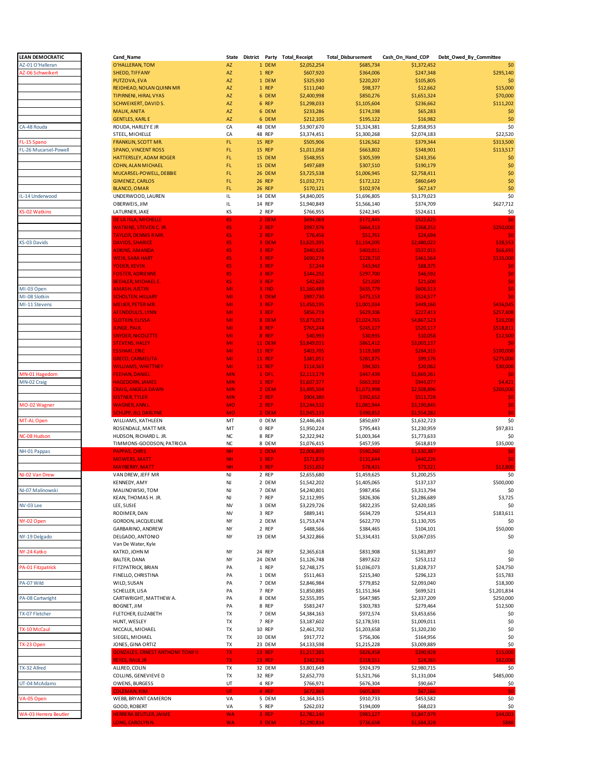| LEAN DEMOCRATIC                | Cand_Name                                            | State                                                             | District         | Party Total_Receipt        | Total_Disbursement         | Cash_On_Hand_COP           | Debt_Owed_By_Committee |
|--------------------------------|------------------------------------------------------|-------------------------------------------------------------------|------------------|----------------------------|----------------------------|----------------------------|------------------------|
| AZ-01 O'Halleran               | O'HALLERAN, TOM                                      | <b>AZ</b>                                                         | 1 DEM            | \$2,052,254                | \$685,734                  | \$1,372,452                | \$0                    |
| AZ-06 Schweikert               | SHEDD, TIFFANY                                       | AZ                                                                | 1 REP            | \$607,920                  | \$364,006                  | \$247,348                  | \$295,140              |
|                                | PUTZOVA, EVA                                         | AZ                                                                | 1 DEM            | \$325,930                  | \$220,207                  | \$105,805                  | \$0                    |
|                                | REIDHEAD, NOLAN QUINN MR                             | AZ                                                                | 1 REP            | \$111,040                  | \$98,377                   | \$12,662                   | \$15,000               |
|                                | TIPIRNENI, HIRAL VYAS                                | AZ                                                                | 6 DEM            | \$2,400,998                | \$850,276                  | \$1,651,324                | \$70,000               |
|                                | <b>SCHWEIKERT, DAVID S.</b>                          | AZ                                                                | 6 REP            | \$1,298,033                | \$1,105,604                | \$236,662                  | \$111,202              |
|                                | <b>MALIK, ANITA</b><br><b>GENTLES, KARL E</b>        | AZ<br>AZ                                                          | 6 DEM<br>6 DEM   | \$233,286<br>\$212,105     | \$174,198<br>\$195,122     | \$65,283<br>\$16,982       | \$0<br>\$0             |
| CA-48 Rouda                    | ROUDA, HARLEY E JR                                   | CA                                                                | 48 DEM           | \$3,907,670                | \$1,324,381                | \$2,858,953                | \$0                    |
|                                | STEEL, MICHELLE                                      | CA                                                                | 48 REP           | \$3,374,451                | \$1,300,268                | \$2,074,183                | \$22,520               |
| FL-15 Spano                    | <b>FRANKLIN, SCOTT MR.</b>                           | FL                                                                | <b>15 REP</b>    | \$505,906                  | \$126,562                  | \$379,344                  | \$313,500              |
| FL-26 Mucarsel-Powell          | <b>SPANO, VINCENT ROSS</b>                           | FL                                                                | <b>15 REP</b>    | \$1,011,058                | \$663,802                  | \$348,901                  | \$113,517              |
|                                | HATTERSLEY, ADAM ROGER                               | FL                                                                | 15 DEM           | \$548,955                  | \$305,599                  | \$243,356                  | \$0                    |
|                                | COHN, ALAN MICHAEL                                   | FL                                                                | 15 DEM           | \$497,689                  | \$307,510                  | \$190,179                  | \$0                    |
|                                | MUCARSEL-POWELL, DEBBIE                              | FL                                                                | 26 DEM           | \$3,725,538                | \$1,006,945                | \$2,758,411                | \$0                    |
|                                | <b>GIMENEZ, CARLOS</b>                               | FL                                                                | <b>26 REP</b>    | \$1,032,771                | \$172,122                  | \$860,649                  | \$0                    |
|                                | <b>BLANCO, OMAR</b>                                  | FL                                                                | <b>26 REP</b>    | \$170,121                  | \$102,974                  | \$67,147                   | \$0                    |
| IL-14 Underwood                | UNDERWOOD, LAUREN<br>OBERWEIS, JIM                   | IL<br>IL.                                                         | 14 DEM<br>14 REP | \$4,840,005<br>\$1,940,849 | \$1,696,805                | \$3,179,023<br>\$374,709   | \$0<br>\$627,712       |
| KS-02 Watkins                  | LATURNER, JAKE                                       | ΚS                                                                | 2 REP            | \$766,955                  | \$1,566,140<br>\$242,345   | \$524,611                  | \$0                    |
|                                | DE LA ISLA, MICHELLE                                 | $\mathsf{KS}% _{\mathsf{K}}^{\mathsf{K}}\left( \mathsf{K}\right)$ | 2 DEM            | \$694,069                  | \$171,445                  | \$522,625                  | \$0                    |
|                                | <b>WATKINS, STEVEN C. JR.</b>                        | <b>KS</b>                                                         | 2 REP            | \$997,976                  | \$664,313                  | \$368,252                  | \$250,000              |
|                                | <b>TAYLOR, DENNIS R MR.</b>                          | <b>KS</b>                                                         | 2 REP            | \$76,456                   | \$51,761                   | \$24,694                   | \$0                    |
| KS-03 Davids                   | <b>DAVIDS, SHARICE</b>                               | <b>KS</b>                                                         | 3 DEM            | \$3,625,395                | \$1,154,005                | \$2,480,022                | \$38,553               |
|                                | ADKINS, AMANDA                                       | <b>KS</b>                                                         | 3 REP            | \$940,926                  | \$403,011                  | \$537,915                  | \$66,491               |
|                                | <b>WEIR, SARA HART</b>                               | KS                                                                | 3 REP            | \$690,274                  | \$228,710                  | \$461,564                  | \$135,000              |
|                                | YODER, KEVIN                                         | <b>KS</b>                                                         | 3 REP            | \$7,244                    | \$43,942                   | \$88,375                   | \$0\$                  |
|                                | <b>FOSTER, ADRIENNE</b>                              | <b>KS</b>                                                         | 3 REP            | \$344,292                  | \$297,700                  | \$46,592                   | \$0                    |
|                                | <b>BEEHLER, MICHAEL E</b>                            | <b>KS</b>                                                         | 3 REP            | \$42,620                   | \$21,020                   | \$21,600                   | \$0                    |
| MI-03 Open                     | <b>AMASH, JUSTIN</b>                                 | MI                                                                | 3 IND            | \$1,160,489                | \$635,779                  | \$606,513                  | \$0                    |
| MI-08 Slotkin<br>MI-11 Stevens | <b>SCHOLTEN, HILLARY</b><br><b>MEIJER, PETER MR.</b> | MI<br>MI                                                          | 3 DEM<br>3 REP   | \$997,730<br>\$1,450,195   | \$473,153<br>\$1,001,034   | \$524,577<br>\$449,160     | \$0<br>\$436,045       |
|                                | <b>AFENDOULIS, LYNN</b>                              | MI                                                                | 3 REP            | \$856,719                  | \$629,306                  | \$227,413                  | \$257,408              |
|                                | <b>SLOTKIN, ELISSA</b>                               | MI                                                                | 8 DEM            | \$5,873,053                | \$1,024,765                | \$4,867,523                | \$10,200               |
|                                | <b>JUNGE, PAUL</b>                                   | MI                                                                | 8 REP            | \$765,244                  | \$245,127                  | \$520,117                  | \$518,811              |
|                                | <b>SNYDER, NICOLETTE</b>                             | MI                                                                | 8 REP            | \$40,993                   | \$30,935                   | \$10,058                   | \$12,500               |
|                                | <b>STEVENS, HALEY</b>                                | MI                                                                | 11 DEM           | \$3,849,031                | \$861,412                  | \$3,003,137                | \$0                    |
|                                | <b>ESSHAKI, ERIC</b>                                 | MI                                                                | <b>11 REP</b>    | \$403,705                  | \$119,389                  | \$284,315                  | \$100,000              |
|                                | <b>GRECO, CARMELITA</b>                              | MI                                                                | <b>11 REP</b>    | \$381,051                  | \$281,875                  | \$99,176                   | \$275,000              |
|                                | <b>WILLIAMS, WHITTNEY</b>                            | MI                                                                | <b>11 REP</b>    | \$114,563                  | \$94,501                   | \$20,062                   | \$30,000               |
| MN-01 Hagedorn                 | <b>FEEHAN, DANIEL</b>                                | <b>MN</b>                                                         | 1 DFL            | \$2,113,179                | \$447,439                  | \$1,669,261                | \$0                    |
| MN-02 Craig                    | <b>HAGEDORN, JAMES</b>                               | <b>MN</b>                                                         | 1 REP            | \$1,607,377                | \$663,392                  | \$945,077                  | \$4,421                |
|                                | <b>CRAIG, ANGELA DAWN</b><br><b>KISTNER, TYLER</b>   | MN<br>MN                                                          | 2 DEM<br>2 REP   | \$3,495,504<br>\$904,380   | \$1,073,998<br>\$392,652   | \$2,508,896<br>\$511,728   | \$200,000<br>\$0       |
| MO-02 Wagner                   | <b>WAGNER, ANN L.</b>                                | <b>MO</b>                                                         | 2 REP            | \$3,244,532                | \$1,081,944                | \$3,190,845                | \$0                    |
|                                | <b>SCHUPP, JILL DARLYNE</b>                          | <b>MO</b>                                                         | 2 DEM            | \$1,945,133                | \$390,852                  | \$1,554,282                | \$0                    |
| <b>MT-AL Open</b>              | WILLIAMS, KATHLEEN                                   | MT                                                                | 0 DEM            | \$2,446,463                | \$850,697                  | \$1,632,723                | \$0                    |
|                                | ROSENDALE, MATT MR.                                  | MT                                                                | 0 REP            | \$1,950,224                | \$795,443                  | \$1,230,959                | \$97,831               |
| NC-08 Hudson                   | HUDSON, RICHARD L. JR.                               | <b>NC</b>                                                         | 8 REP            | \$2,322,942                | \$1,003,364                | \$1,773,633                | \$0                    |
|                                | TIMMONS-GOODSON, PATRICIA                            | <b>NC</b>                                                         | 8 DEM            | \$1,076,415                | \$457,595                  | \$618,819                  | \$35,000               |
| NH-01 Pappas                   | <b>PAPPAS, CHRIS</b>                                 | <b>NH</b>                                                         | 1 DEM            | \$2,006,803                | \$590,260                  | \$1,530,387                | \$0                    |
|                                | <b>MOWERS, MATT</b>                                  | <b>NH</b>                                                         | 1 REP            | \$571,870                  | \$131,644                  | \$440,226                  | \$0                    |
| NJ-02 Van Drew                 | <b>MAYBERRY, MATT</b><br>VAN DREW, JEFF MR           | <b>NH</b><br>$\mathsf{NJ}$                                        | 1 REP<br>2 REP   | \$151,652<br>\$2,655,680   | \$78,431<br>\$1,459,625    | \$73,221<br>\$1,200,255    | \$12,800<br>\$0        |
|                                | KENNEDY, AMY                                         | NJ                                                                | 2 DEM            | \$1,542,202                | \$1,405,065                | \$137,137                  | \$500,000              |
| NJ-07 Malinowski               | MALINOWSKI, TOM                                      | NJ                                                                | 7 DEM            | \$4,240,801                | \$987,456                  | \$3,313,794                | \$0                    |
|                                | KEAN, THOMAS H. JR.                                  | NJ                                                                | 7 REP            | \$2,112,995                | \$826,306                  | \$1,286,689                | \$3,725                |
| NV-03 Lee                      | LEE, SUSIE                                           | <b>NV</b>                                                         | 3 DEM            | \$3,229,726                | \$822,235                  | \$2,420,185                | \$0                    |
|                                | RODIMER, DAN                                         | <b>NV</b>                                                         | 3 REP            | \$889,141                  | \$634,729                  | \$254,413                  | \$183,611              |
| NY-02 Open                     | GORDON, JACQUELINE                                   | NY                                                                | 2 DEM            | \$1,753,474                | \$622,770                  | \$1,130,705                | \$0                    |
|                                | GARBARINO, ANDREW                                    | NY                                                                | 2 REP            | \$488,566                  | \$384,465                  | \$104,101                  | \$50,000               |
| NY-19 Delgado                  | DELGADO, ANTONIO                                     | NY                                                                | 19 DEM           | \$4,322,866                | \$1,334,431                | \$3,067,035                | \$0                    |
| NY-24 Katko                    | Van De Water, Kyle<br>KATKO, JOHN M                  | NY                                                                | 24 REP           | \$2,365,618                | \$831,908                  | \$1,581,897                | \$0                    |
|                                | BALTER, DANA                                         | NY                                                                | 24 DEM           | \$1,126,748                | \$897,622                  | \$253,112                  | \$0                    |
| <b>PA-01 Fitzpatrick</b>       | FITZPATRICK, BRIAN                                   | PA                                                                | 1 REP            | \$2,748,175                | \$1,036,073                | \$1,828,737                | \$24,750               |
|                                | FINELLO, CHRISTINA                                   | PA                                                                | 1 DEM            | \$511,463                  | \$215,340                  | \$296,123                  | \$15,783               |
| PA-07 Wild                     | WILD, SUSAN                                          | PA                                                                | 7 DEM            | \$2,846,984                | \$779,852                  | \$2,093,040                | \$18,300               |
|                                | SCHELLER, LISA                                       | PA                                                                | 7 REP            | \$1,850,885                | \$1,151,364                | \$699,521                  | \$1,201,834            |
| PA-08 Cartwright               | CARTWRIGHT, MATTHEW A.                               | PA                                                                | 8 DEM            | \$2,555,395                | \$647,985                  | \$2,337,209                | \$250,000              |
|                                | BOGNET, JIM                                          | PA                                                                | 8 REP            | \$583,247                  | \$303,783                  | \$279,464                  | \$12,500               |
| TX-07 Fletcher                 | FLETCHER, ELIZABETH                                  | TX                                                                | 7 DEM            | \$4,384,163                | \$972,574                  | \$3,453,656                | \$0                    |
| TX-10 McCaul                   | HUNT, WESLEY<br>MCCAUL, MICHAEL                      | TX<br>TX                                                          | 7 REP<br>10 REP  | \$3,187,602<br>\$2,461,702 | \$2,178,591<br>\$1,203,658 | \$1,009,011<br>\$1,320,230 | \$0<br>\$0             |
|                                | SIEGEL, MICHAEL                                      | TX                                                                | 10 DEM           | \$917,772                  | \$756,306                  | \$164,956                  | \$0                    |
| TX-23 Open                     | JONES, GINA ORTIZ                                    | TX                                                                | 23 DEM           | \$4,133,598                | \$1,215,228                | \$3,009,889                | \$0                    |
|                                | <b>GONZALES, ERNEST ANTHONY TONY II</b>              | TX                                                                | 23 REP           | \$1,217,385                | \$826,458                  | \$390,928                  | \$15,000               |
|                                | <b>REYES, RAUL JR</b>                                | <b>TX</b>                                                         | <b>23 REP</b>    | \$342,916                  | \$318,551                  | \$24,365                   | \$82,000               |
| TX-32 Allred                   | ALLRED, COLIN                                        | TX                                                                | 32 DEM           | \$3,801,649                | \$924,379                  | \$2,980,715                | \$0                    |
|                                | COLLINS, GENEVIEVE D                                 | TX                                                                | 32 REP           | \$2,652,770                | \$1,521,766                | \$1,131,004                | \$485,000              |
| UT-04 McAdams                  | OWENS, BURGESS                                       | UT                                                                | 4 REP            | \$766,971                  | \$676,304                  | \$90,667                   | \$0                    |
|                                | COLEMAN, KIM                                         | UT                                                                | 4 REP            | \$672,969                  | \$605,803                  | \$67,166                   | \$0                    |
| VA-05 Open                     | WEBB, BRYANT CAMERON                                 | VA                                                                | 5 DEM            | \$1,364,315                | \$910,733                  | \$453,582                  | \$0                    |
| WA-03 Herrera Beutler          | GOOD, ROBERT<br><b>HERRERA BEUTLER, JAIME</b>        | VA<br><b>WA</b>                                                   | 5 REP<br>3 REP   | \$262,032<br>\$2,782,140   | \$194,009<br>\$983,127     | \$68,023<br>\$1,847,979    | \$0<br>\$44,003        |
|                                | ONG, CAROLYN N.                                      | <b>WA</b>                                                         | 3 DEM            | \$2,290,834                | \$736,658                  | \$1,584,328                | \$888                  |
|                                |                                                      |                                                                   |                  |                            |                            |                            |                        |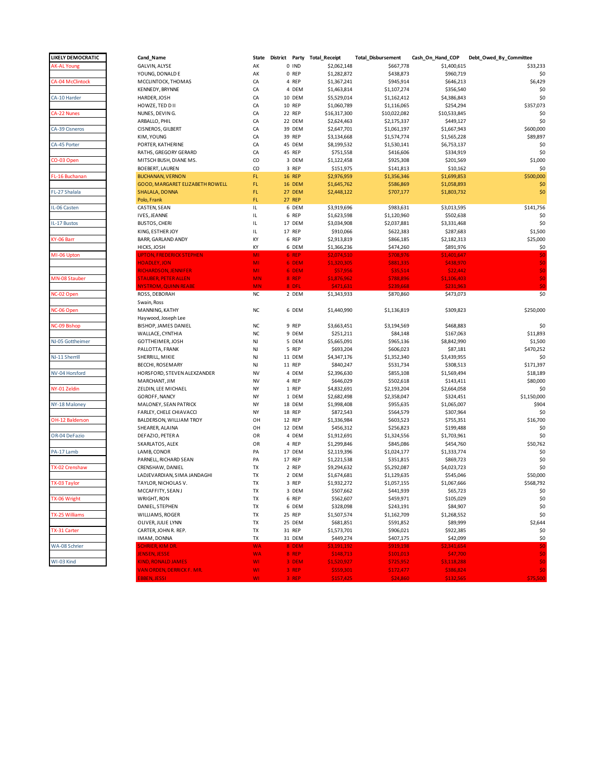| LIKELY DEMOCRATIC           | Can               |
|-----------------------------|-------------------|
| <b>AK-AL Young</b>          | GAI               |
|                             | 'Ol               |
| CA-04 McClintock            | ٨C                |
|                             | <b>KEN</b>        |
| CA-10 Harder                | HAI               |
|                             | HO                |
| Ċ<br>A-22 Nunes             | <b>NUI</b>        |
|                             | ARE               |
| A-39 Cisneros<br>$\epsilon$ | <b>CIS</b>        |
|                             | KIN<br>POI        |
| A-45 Porter<br>C            | RA <sub>1</sub>   |
| CO-03 Open                  | MI.               |
|                             | <b>BOI</b>        |
| FL-16 Buchanan              | <b>BUC</b>        |
|                             | GO                |
| FL-27 Shalala               | SH/               |
|                             | Pok               |
| IL-06 Casten                | CAS               |
|                             | <b>IVE</b>        |
| IL-17 Bustos                | <b>BUS</b>        |
|                             | KIN               |
| KY-06 Barr                  | BAF               |
|                             | HIC               |
| MI-06 Upton                 | UP <sub>1</sub>   |
|                             | HO.<br><b>RIC</b> |
| MN-08 Stauber               | <b>STA</b>        |
|                             | NYS               |
| NC-02 Open                  | RO <sub>3</sub>   |
|                             | Swa               |
| NC-06 Open                  | MA                |
|                             | Hay               |
| NC-09 Bishop                | ΒIS               |
|                             | WA                |
| NJ-05 Gottheimer            | GO <sup>'</sup>   |
|                             | PAL               |
| NJ-11 Sherrill              | SHE               |
|                             | BEC               |
| NV-04 Horsford              | HO<br>MA          |
| NY-01 Zeldin                | ZEL               |
|                             | GO                |
| NY-18 Maloney               | MA                |
|                             | FAF               |
| OH-12 Balderson             | BAL               |
|                             | SHE               |
| OR-04 DeFazio               | DEF               |
|                             | <b>SKA</b>        |
| PA-17 Lamb                  | LAN               |
|                             | PAF               |
| TX-02 Crenshaw              | CRE               |
|                             | АC                |
| TX-03 Taylor                | TA۱               |
|                             | ЛC                |
| TX-06 Wright                | WR                |
|                             | DAI               |
| TX-25 Williams              | ΝIΙ<br>OLI        |
|                             |                   |
|                             |                   |
| TX-31 Carter                |                   |
|                             | CAF<br>IM/        |
| WA-08 Schrier               | <b>SCH</b><br>JEN |

| LIKELY DEMOCRATIC       | Cand_Name                                       | State                  |                  |       | District Party Total_Receipt | <b>Total_Disbursement</b> | Cash_On_Hand_COP         | Debt_Owed_By_Committee |
|-------------------------|-------------------------------------------------|------------------------|------------------|-------|------------------------------|---------------------------|--------------------------|------------------------|
| <b>AK-AL Young</b>      | GALVIN, ALYSE                                   | AK                     | 0 IND            |       | \$2,062,148                  | \$667,778                 | \$1,400,615              | \$33,233               |
|                         | YOUNG, DONALD E                                 | AK                     | 0 REP            |       | \$1,282,872                  | \$438,873                 | \$960,719                | \$0                    |
| <b>CA-04 McClintock</b> | MCCLINTOCK, THOMAS                              | CA                     | 4 REP            |       | \$1,367,241                  | \$945,914                 | \$646,213                | \$6,429                |
|                         | KENNEDY, BRYNNE                                 | CA                     |                  | 4 DEM | \$1,463,814                  | \$1,107,274               | \$356,540                | \$0                    |
| CA-10 Harder            | HARDER, JOSH                                    | CA                     | 10 DEM           |       | \$5,529,014                  | \$1,162,412               | \$4,386,843              | \$0                    |
|                         | HOWZE, TED D II                                 | CA                     | <b>10 REP</b>    |       | \$1,060,789                  | \$1,116,065               | \$254,294                | \$357,073              |
| CA-22 Nunes             | NUNES, DEVING.                                  | CA                     | 22 REP           |       | \$16,317,300                 | \$10,022,082              | \$10,533,845             | \$0                    |
|                         | ARBALLO, PHIL                                   | CA                     | 22 DEM           |       | \$2,624,463                  | \$2,175,337               | \$449,127                | \$0                    |
| CA-39 Cisneros          | CISNEROS, GILBERT                               | CA                     | 39 DEM           |       | \$2,647,701                  | \$1,061,197               | \$1,667,943              | \$600,000              |
|                         | KIM, YOUNG                                      | CA<br>CA               | 39 REP<br>45 DEM |       | \$3,134,668                  | \$1,574,774               | \$1,565,228              | \$89,897               |
| CA-45 Porter            | PORTER, KATHERINE<br>RATHS, GREGORY GERARD      | CA                     | 45 REP           |       | \$8,199,532<br>\$751,558     | \$1,530,141<br>\$416,606  | \$6,753,137<br>\$334,919 | \$0<br>\$0             |
| CO-03 Open              | MITSCH BUSH, DIANE MS.                          | CO                     |                  | 3 DEM | \$1,122,458                  | \$925,308                 | \$201,569                | \$1,000                |
|                         | BOEBERT, LAUREN                                 | CO                     | 3 REP            |       | \$151,975                    | \$141,813                 | \$10,162                 | \$0                    |
| FL-16 Buchanan          | <b>BUCHANAN, VERNON</b>                         | FL.                    | <b>16 REP</b>    |       | \$2,976,959                  | \$1,356,346               | \$1,699,853              | \$500,000              |
|                         | GOOD, MARGARET ELIZABETH ROWELL                 | FL.                    | 16 DEM           |       | \$1,645,762                  | \$586,869                 | \$1,058,893              | \$0                    |
| FL-27 Shalala           | SHALALA, DONNA                                  | FL.                    | 27 DEM           |       | \$2,448,122                  | \$707,177                 | \$1,803,732              | \$0                    |
|                         | Polo, Frank                                     | FL.                    | <b>27 REP</b>    |       |                              |                           |                          |                        |
| IL-06 Casten            | CASTEN, SEAN                                    | IL.                    |                  | 6 DEM | \$3,919,696                  | \$983,631                 | \$3,013,595              | \$141,756              |
|                         | IVES, JEANNE                                    | IL.                    | 6 REP            |       | \$1,623,598                  | \$1,120,960               | \$502,638                | \$0                    |
| IL-17 Bustos            | <b>BUSTOS, CHERI</b>                            | IL                     | 17 DEM           |       | \$3,034,908                  | \$2,037,881               | \$3,331,468              | \$0                    |
|                         | KING, ESTHER JOY                                | IL.                    | 17 REP           |       | \$910,066                    | \$622,383                 | \$287,683                | \$1,500                |
| KY-06 Barr              | BARR, GARLAND ANDY                              | KY                     | 6 REP            |       | \$2,913,819                  | \$866,185                 | \$2,182,313              | \$25,000               |
|                         | HICKS, JOSH                                     | KY                     |                  | 6 DEM | \$1,366,236                  | \$474,260                 | \$891,976                | \$0                    |
| MI-06 Upton             | <b>UPTON, FREDERICK STEPHEN</b>                 | MI                     | 6 REP            |       | \$2,074,510                  | \$708,976                 | \$1,401,647              | \$0                    |
|                         | <b>HOADLEY, JON</b>                             | <b>MI</b>              |                  | 6 DEM | \$1,320,305                  | \$881,335                 | \$438,970                | \$0                    |
|                         | <b>RICHARDSON, JENNIFER</b>                     | <b>MI</b>              |                  | 6 DEM | \$57,956                     | \$35,514                  | \$22,442                 | \$0                    |
| MN-08 Stauber           | <b>STAUBER, PETER ALLEN</b>                     | <b>MN</b>              |                  | 8 REP | \$1,876,962                  | \$788,896                 | \$1,106,403              | \$0                    |
|                         | <b>NYSTROM, QUINN REABE</b>                     | <b>MN</b>              | 8 DFL            |       | \$471,631                    | \$239,668                 | \$231,963                | \$0                    |
| NC-02 Open              | ROSS, DEBORAH                                   | ${\sf NC}$             |                  | 2 DEM | \$1,343,933                  | \$870,860                 | \$473,073                | \$0                    |
|                         | Swain, Ross                                     |                        |                  |       |                              |                           |                          |                        |
| NC-06 Open              | MANNING, KATHY                                  | <b>NC</b>              |                  | 6 DEM | \$1,440,990                  | \$1,136,819               | \$309,823                | \$250,000              |
| <b>NC-09 Bishop</b>     | Haywood, Joseph Lee                             |                        |                  |       |                              |                           |                          |                        |
|                         | <b>BISHOP, JAMES DANIEL</b><br>WALLACE, CYNTHIA | <b>NC</b><br><b>NC</b> | 9 REP            | 9 DEM | \$3,663,451<br>\$251,211     | \$3,194,569               | \$468,883<br>\$167,063   | \$0<br>\$11,893        |
| NJ-05 Gottheimer        | GOTTHEIMER, JOSH                                | NJ                     |                  | 5 DEM | \$5,665,091                  | \$84,148<br>\$965,136     | \$8,842,990              | \$1,500                |
|                         | PALLOTTA, FRANK                                 | NJ                     | 5 REP            |       | \$693,204                    | \$606,023                 | \$87,181                 | \$470,252              |
| NJ-11 Sherrill          | SHERRILL, MIKIE                                 | NJ                     | 11 DEM           |       | \$4,347,176                  | \$1,352,340               | \$3,439,955              | \$0                    |
|                         | BECCHI, ROSEMARY                                | NJ                     | 11 REP           |       | \$840,247                    | \$531,734                 | \$308,513                | \$171,397              |
| NV-04 Horsford          | HORSFORD, STEVEN ALEXZANDER                     | <b>NV</b>              |                  | 4 DEM | \$2,396,630                  | \$855,108                 | \$1,569,494              | \$18,189               |
|                         | MARCHANT, JIM                                   | <b>NV</b>              | 4 REP            |       | \$646,029                    | \$502,618                 | \$143,411                | \$80,000               |
| NY-01 Zeldin            | ZELDIN, LEE MICHAEL                             | NY                     | 1 REP            |       | \$4,832,691                  | \$2,193,204               | \$2,664,058              | \$0                    |
|                         | GOROFF, NANCY                                   | NY                     |                  | 1 DEM | \$2,682,498                  | \$2,358,047               | \$324,451                | \$1,150,000            |
| NY-18 Maloney           | MALONEY, SEAN PATRICK                           | <b>NY</b>              | 18 DEM           |       | \$1,998,408                  | \$955,635                 | \$1,065,007              | \$904                  |
|                         | FARLEY, CHELE CHIAVACCI                         | NY                     | 18 REP           |       | \$872,543                    | \$564,579                 | \$307,964                | \$0                    |
| OH-12 Balderson         | BALDERSON, WILLIAM TROY                         | OH                     | 12 REP           |       | \$1,336,984                  | \$603,523                 | \$755,351                | \$16,700               |
|                         | SHEARER, ALAINA                                 | OH                     | 12 DEM           |       | \$456,312                    | \$256,823                 | \$199,488                | \$0                    |
| OR-04 DeFazio           | DEFAZIO, PETER A                                | OR                     |                  | 4 DEM | \$1,912,691                  | \$1,324,556               | \$1,703,961              | \$0                    |
|                         | SKARLATOS, ALEK                                 | OR                     | 4 REP            |       | \$1,299,846                  | \$845,086                 | \$454,760                | \$50,762               |
| PA-17 Lamb              | LAMB, CONOR                                     | PA                     | 17 DEM           |       | \$2,119,396                  | \$1,024,177               | \$1,333,774              | \$0                    |
|                         | PARNELL, RICHARD SEAN                           | PA                     | 17 REP           |       | \$1,221,538                  | \$351,815                 | \$869,723                | \$0                    |
| TX-02 Crenshaw          | CRENSHAW, DANIEL                                | <b>TX</b>              | 2 REP            |       | \$9,294,632                  | \$5,292,087               | \$4,023,723              | \$0                    |
|                         | LADJEVARDIAN, SIMA JANDAGHI                     | <b>TX</b>              |                  | 2 DEM | \$1,674,681                  | \$1,129,635               | \$545,046                | \$50,000               |
| TX-03 Taylor            | TAYLOR, NICHOLAS V.                             | <b>TX</b>              | 3 REP            |       | \$1,932,272                  | \$1,057,155               | \$1,067,666              | \$568,792              |
| TX-06 Wright            | MCCAFFITY, SEAN J                               | <b>TX</b>              |                  | 3 DEM | \$507,662                    | \$441,939                 | \$65,723                 | \$0                    |
|                         | WRIGHT, RON                                     | <b>TX</b>              | 6 REP            |       | \$562,607                    | \$459,971<br>\$243,191    | \$105,029                | \$0                    |
| TX-25 Williams          | DANIEL, STEPHEN<br>WILLIAMS, ROGER              | TX<br>TX               | 25 REP           | 6 DEM | \$328,098<br>\$1,507,574     | \$1,162,709               | \$84,907<br>\$1,268,552  | \$0<br>\$0             |
|                         | OLIVER, JULIE LYNN                              | <b>TX</b>              | 25 DEM           |       | \$681,851                    | \$591,852                 | \$89,999                 | \$2,644                |
| TX-31 Carter            | CARTER, JOHN R. REP.                            | TX                     | 31 REP           |       | \$1,573,701                  | \$906,021                 | \$922,385                | \$0                    |
|                         | IMAM, DONNA                                     | TX                     | 31 DEM           |       | \$449,274                    | \$407,175                 | \$42,099                 | \$0                    |
| <b>WA-08 Schrier</b>    | <b>SCHRIER, KIM DR.</b>                         | <b>WA</b>              |                  | 8 DEM | \$3,191,192                  | \$919,198                 | \$2,341,654              | \$0                    |
|                         | <b>JENSEN, JESSE</b>                            | <b>WA</b>              |                  | 8 REP | \$148,713                    | \$101,013                 | \$47,700                 | \$0                    |
| WI-03 Kind              | <b>KIND, RONALD JAMES</b>                       | WI.                    |                  | 3 DEM | \$1,520,927                  | \$725,952                 | \$3,118,288              | \$0                    |
|                         | VAN ORDEN, DERRICK F. MR.                       | WI.                    |                  | 3 REP | \$559,301                    | \$172,477                 | \$386,824                | \$0                    |
|                         | <b>EBBEN, JESSI</b>                             | WI.                    |                  | 3 REP | \$157,425                    | \$24,860                  | \$132,565                | \$75,500               |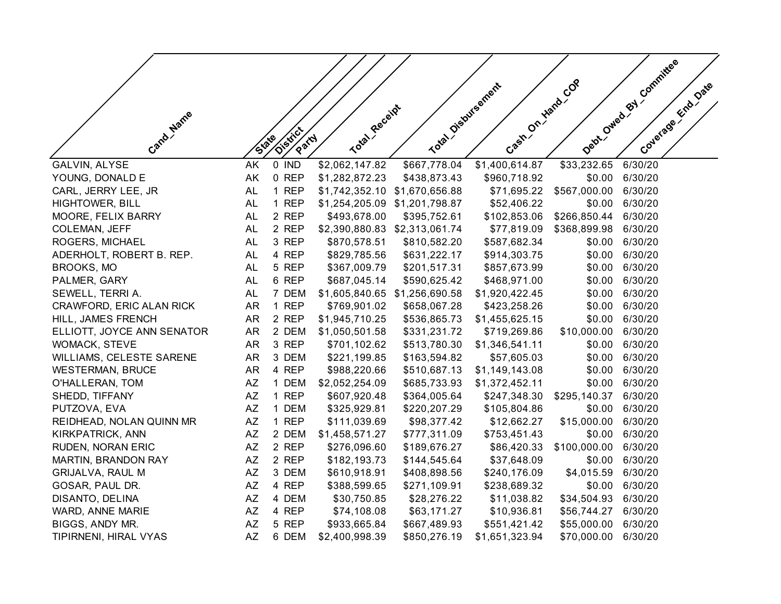|                                 |           |                   |                |                               |                  |              | Dept Outed BY Committee |
|---------------------------------|-----------|-------------------|----------------|-------------------------------|------------------|--------------|-------------------------|
|                                 |           |                   |                |                               |                  |              |                         |
|                                 |           |                   |                |                               |                  |              |                         |
|                                 |           |                   |                |                               |                  |              |                         |
|                                 |           |                   |                |                               |                  |              |                         |
|                                 |           |                   |                |                               |                  |              |                         |
| Cana Name                       | State     | District<br>Party | Total Receipt  | Total Disputsement            | Cash On Hand Cop |              | Coverage End Date       |
|                                 |           |                   |                |                               |                  |              |                         |
| GALVIN, ALYSE                   | AK        | 0 IND             | \$2,062,147.82 | \$667,778.04                  | \$1,400,614.87   | \$33,232.65  | 6/30/20                 |
| YOUNG, DONALD E                 | AK        | 0 REP             | \$1,282,872.23 | \$438,873.43                  | \$960,718.92     | \$0.00       | 6/30/20                 |
| CARL, JERRY LEE, JR             | <b>AL</b> | 1 REP             | \$1,742,352.10 | \$1,670,656.88                | \$71,695.22      | \$567,000.00 | 6/30/20                 |
| HIGHTOWER, BILL                 | <b>AL</b> | 1 REP             |                | \$1,254,205.09 \$1,201,798.87 | \$52,406.22      | \$0.00       | 6/30/20                 |
| MOORE, FELIX BARRY              | <b>AL</b> | 2 REP             | \$493,678.00   | \$395,752.61                  | \$102,853.06     | \$266,850.44 | 6/30/20                 |
| COLEMAN, JEFF                   | <b>AL</b> | 2 REP             |                | \$2,390,880.83 \$2,313,061.74 | \$77,819.09      | \$368,899.98 | 6/30/20                 |
| ROGERS, MICHAEL                 | <b>AL</b> | 3 REP             | \$870,578.51   | \$810,582.20                  | \$587,682.34     | \$0.00       | 6/30/20                 |
| ADERHOLT, ROBERT B. REP.        | <b>AL</b> | 4 REP             | \$829,785.56   | \$631,222.17                  | \$914,303.75     | \$0.00       | 6/30/20                 |
| BROOKS, MO                      | <b>AL</b> | 5 REP             | \$367,009.79   | \$201,517.31                  | \$857,673.99     | \$0.00       | 6/30/20                 |
| PALMER, GARY                    | <b>AL</b> | 6 REP             | \$687,045.14   | \$590,625.42                  | \$468,971.00     | \$0.00       | 6/30/20                 |
| SEWELL, TERRI A.                | <b>AL</b> | 7 DEM             |                | \$1,605,840.65 \$1,256,690.58 | \$1,920,422.45   | \$0.00       | 6/30/20                 |
| <b>CRAWFORD, ERIC ALAN RICK</b> | <b>AR</b> | 1 REP             | \$769,901.02   | \$658,067.28                  | \$423,258.26     | \$0.00       | 6/30/20                 |
| HILL, JAMES FRENCH              | <b>AR</b> | 2 REP             | \$1,945,710.25 | \$536,865.73                  | \$1,455,625.15   | \$0.00       | 6/30/20                 |
| ELLIOTT, JOYCE ANN SENATOR      | AR        | 2 DEM             | \$1,050,501.58 | \$331,231.72                  | \$719,269.86     | \$10,000.00  | 6/30/20                 |
| WOMACK, STEVE                   | AR        | 3 REP             | \$701,102.62   | \$513,780.30                  | \$1,346,541.11   | \$0.00       | 6/30/20                 |
| <b>WILLIAMS, CELESTE SARENE</b> | AR        | 3 DEM             | \$221,199.85   | \$163,594.82                  | \$57,605.03      | \$0.00       | 6/30/20                 |
| <b>WESTERMAN, BRUCE</b>         | AR        | 4 REP             | \$988,220.66   | \$510,687.13                  | \$1,149,143.08   | \$0.00       | 6/30/20                 |
| O'HALLERAN, TOM                 | <b>AZ</b> | 1 DEM             | \$2,052,254.09 | \$685,733.93                  | \$1,372,452.11   | \$0.00       | 6/30/20                 |
| SHEDD, TIFFANY                  | <b>AZ</b> | 1 REP             | \$607,920.48   | \$364,005.64                  | \$247,348.30     | \$295,140.37 | 6/30/20                 |
| PUTZOVA, EVA                    | <b>AZ</b> | 1 DEM             | \$325,929.81   | \$220,207.29                  | \$105,804.86     | \$0.00       | 6/30/20                 |
| REIDHEAD, NOLAN QUINN MR        | AZ        | 1 REP             | \$111,039.69   | \$98,377.42                   | \$12,662.27      | \$15,000.00  | 6/30/20                 |
| <b>KIRKPATRICK, ANN</b>         | <b>AZ</b> | 2 DEM             | \$1,458,571.27 | \$777,311.09                  | \$753,451.43     | \$0.00       | 6/30/20                 |
| RUDEN, NORAN ERIC               | <b>AZ</b> | 2 REP             | \$276,096.60   | \$189,676.27                  | \$86,420.33      | \$100,000.00 | 6/30/20                 |
| <b>MARTIN, BRANDON RAY</b>      | AZ        | 2 REP             | \$182,193.73   | \$144,545.64                  | \$37,648.09      | \$0.00       | 6/30/20                 |
| GRIJALVA, RAUL M                | AZ        | 3 DEM             | \$610,918.91   | \$408,898.56                  | \$240,176.09     | \$4,015.59   | 6/30/20                 |
| GOSAR, PAUL DR.                 | AZ        | 4 REP             | \$388,599.65   | \$271,109.91                  | \$238,689.32     | \$0.00       | 6/30/20                 |
| DISANTO, DELINA                 | <b>AZ</b> | 4 DEM             | \$30,750.85    | \$28,276.22                   | \$11,038.82      | \$34,504.93  | 6/30/20                 |
| WARD, ANNE MARIE                | AZ        | 4 REP             | \$74,108.08    | \$63,171.27                   | \$10,936.81      | \$56,744.27  | 6/30/20                 |
| BIGGS, ANDY MR.                 | AZ        | 5 REP             | \$933,665.84   | \$667,489.93                  | \$551,421.42     | \$55,000.00  | 6/30/20                 |
| TIPIRNENI, HIRAL VYAS           | AZ        | 6 DEM             | \$2,400,998.39 | \$850,276.19                  | \$1,651,323.94   | \$70,000.00  | 6/30/20                 |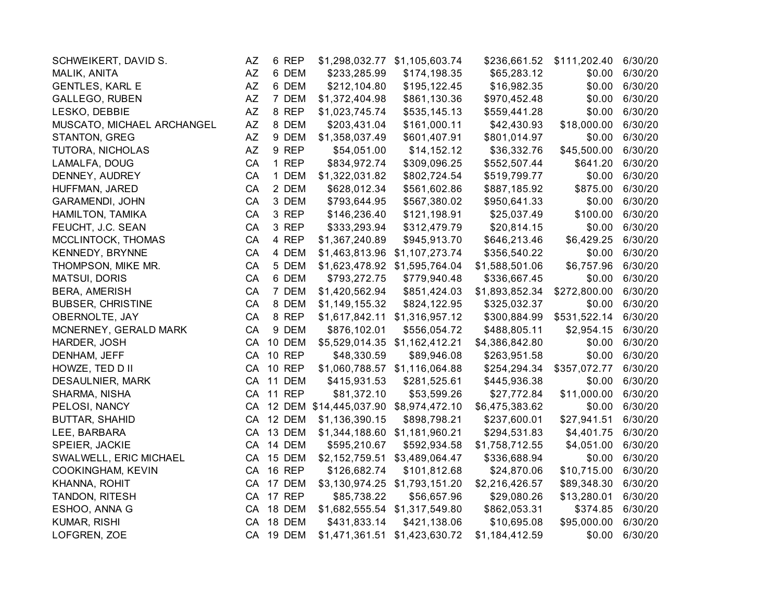| SCHWEIKERT, DAVID S.       | AZ        | 6 REP         | \$1,298,032.77            | \$1,105,603.74                | \$236,661.52   | \$111,202.40 | 6/30/20 |
|----------------------------|-----------|---------------|---------------------------|-------------------------------|----------------|--------------|---------|
| MALIK, ANITA               | AZ        | 6 DEM         | \$233,285.99              | \$174,198.35                  | \$65,283.12    | \$0.00       | 6/30/20 |
| <b>GENTLES, KARL E</b>     | <b>AZ</b> | 6 DEM         | \$212,104.80              | \$195,122.45                  | \$16,982.35    | \$0.00       | 6/30/20 |
| GALLEGO, RUBEN             | AZ        | 7 DEM         | \$1,372,404.98            | \$861,130.36                  | \$970,452.48   | \$0.00       | 6/30/20 |
| LESKO, DEBBIE              | <b>AZ</b> | 8 REP         | \$1,023,745.74            | \$535,145.13                  | \$559,441.28   | \$0.00       | 6/30/20 |
| MUSCATO, MICHAEL ARCHANGEL | <b>AZ</b> | 8 DEM         | \$203,431.04              | \$161,000.11                  | \$42,430.93    | \$18,000.00  | 6/30/20 |
| STANTON, GREG              | <b>AZ</b> | 9 DEM         | \$1,358,037.49            | \$601,407.91                  | \$801,014.97   | \$0.00       | 6/30/20 |
| TUTORA, NICHOLAS           | <b>AZ</b> | 9 REP         | \$54,051.00               | \$14,152.12                   | \$36,332.76    | \$45,500.00  | 6/30/20 |
| LAMALFA, DOUG              | CA        | 1 REP         | \$834,972.74              | \$309,096.25                  | \$552,507.44   | \$641.20     | 6/30/20 |
| DENNEY, AUDREY             | CA        | 1 DEM         | \$1,322,031.82            | \$802,724.54                  | \$519,799.77   | \$0.00       | 6/30/20 |
| HUFFMAN, JARED             | CA        | 2 DEM         | \$628,012.34              | \$561,602.86                  | \$887,185.92   | \$875.00     | 6/30/20 |
| <b>GARAMENDI, JOHN</b>     | CA        | 3 DEM         | \$793,644.95              | \$567,380.02                  | \$950,641.33   | \$0.00       | 6/30/20 |
| HAMILTON, TAMIKA           | CA        | 3 REP         | \$146,236.40              | \$121,198.91                  | \$25,037.49    | \$100.00     | 6/30/20 |
| FEUCHT, J.C. SEAN          | CA        | 3 REP         | \$333,293.94              | \$312,479.79                  | \$20,814.15    | \$0.00       | 6/30/20 |
| MCCLINTOCK, THOMAS         | CA        | 4 REP         | \$1,367,240.89            | \$945,913.70                  | \$646,213.46   | \$6,429.25   | 6/30/20 |
| <b>KENNEDY, BRYNNE</b>     | CA        | 4 DEM         | \$1,463,813.96            | \$1,107,273.74                | \$356,540.22   | \$0.00       | 6/30/20 |
| THOMPSON, MIKE MR.         | CA        | 5 DEM         | \$1,623,478.92            | \$1,595,764.04                | \$1,588,501.06 | \$6,757.96   | 6/30/20 |
| <b>MATSUI, DORIS</b>       | CA        | 6 DEM         | \$793,272.75              | \$779,940.48                  | \$336,667.45   | \$0.00       | 6/30/20 |
| <b>BERA, AMERISH</b>       | CA        | 7 DEM         | \$1,420,562.94            | \$851,424.03                  | \$1,893,852.34 | \$272,800.00 | 6/30/20 |
| <b>BUBSER, CHRISTINE</b>   | CA        | 8 DEM         | \$1,149,155.32            | \$824,122.95                  | \$325,032.37   | \$0.00       | 6/30/20 |
| OBERNOLTE, JAY             | CA        | 8 REP         | \$1,617,842.11            | \$1,316,957.12                | \$300,884.99   | \$531,522.14 | 6/30/20 |
| MCNERNEY, GERALD MARK      | CA        | 9 DEM         | \$876,102.01              | \$556,054.72                  | \$488,805.11   | \$2,954.15   | 6/30/20 |
| HARDER, JOSH               | CA        | 10 DEM        | \$5,529,014.35            | \$1,162,412.21                | \$4,386,842.80 | \$0.00       | 6/30/20 |
| DENHAM, JEFF               |           | CA 10 REP     | \$48,330.59               | \$89,946.08                   | \$263,951.58   | \$0.00       | 6/30/20 |
| HOWZE, TED D II            |           | CA 10 REP     |                           | \$1,060,788.57 \$1,116,064.88 | \$254,294.34   | \$357,072.77 | 6/30/20 |
| DESAULNIER, MARK           |           | CA 11 DEM     | \$415,931.53              | \$281,525.61                  | \$445,936.38   | \$0.00       | 6/30/20 |
| SHARMA, NISHA              |           | CA 11 REP     | \$81,372.10               | \$53,599.26                   | \$27,772.84    | \$11,000.00  | 6/30/20 |
| PELOSI, NANCY              |           |               | CA 12 DEM \$14,445,037.90 | \$8,974,472.10                | \$6,475,383.62 | \$0.00       | 6/30/20 |
| <b>BUTTAR, SHAHID</b>      |           | CA 12 DEM     | \$1,136,390.15            | \$898,798.21                  | \$237,600.01   | \$27,941.51  | 6/30/20 |
| LEE, BARBARA               |           | CA 13 DEM     | \$1,344,188.60            | \$1,181,960.21                | \$294,531.83   | \$4,401.75   | 6/30/20 |
| SPEIER, JACKIE             |           | CA 14 DEM     | \$595,210.67              | \$592,934.58                  | \$1,758,712.55 | \$4,051.00   | 6/30/20 |
| SWALWELL, ERIC MICHAEL     |           | CA 15 DEM     | \$2,152,759.51            | \$3,489,064.47                | \$336,688.94   | \$0.00       | 6/30/20 |
| COOKINGHAM, KEVIN          | CA        | <b>16 REP</b> | \$126,682.74              | \$101,812.68                  | \$24,870.06    | \$10,715.00  | 6/30/20 |
| KHANNA, ROHIT              | CA        | 17 DEM        |                           | \$3,130,974.25 \$1,793,151.20 | \$2,216,426.57 | \$89,348.30  | 6/30/20 |
| <b>TANDON, RITESH</b>      | CA        | <b>17 REP</b> | \$85,738.22               | \$56,657.96                   | \$29,080.26    | \$13,280.01  | 6/30/20 |
| ESHOO, ANNA G              |           | CA 18 DEM     |                           | \$1,682,555.54 \$1,317,549.80 | \$862,053.31   | \$374.85     | 6/30/20 |
| <b>KUMAR, RISHI</b>        | CA        | 18 DEM        | \$431,833.14              | \$421,138.06                  | \$10,695.08    | \$95,000.00  | 6/30/20 |
| LOFGREN, ZOE               |           | CA 19 DEM     | \$1,471,361.51            | \$1,423,630.72                | \$1,184,412.59 | \$0.00       | 6/30/20 |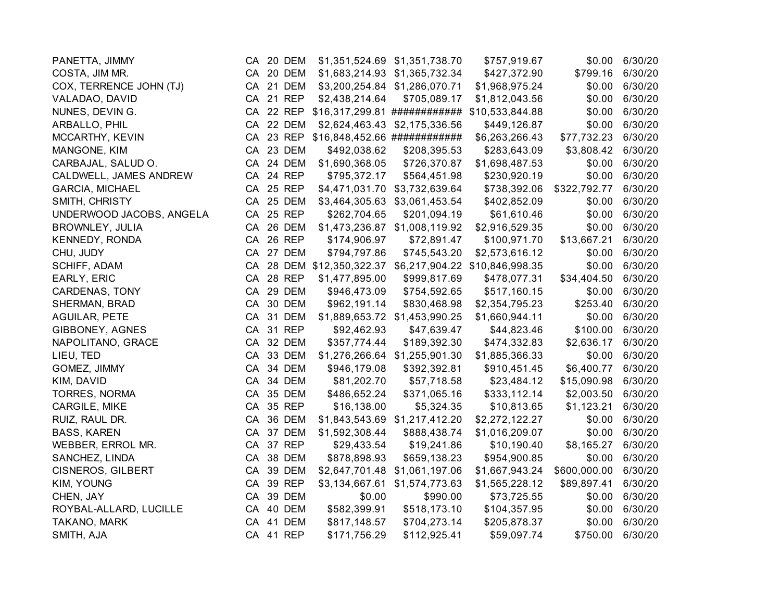| PANETTA, JIMMY           |  | CA 20 DEM |                               | \$1,351,524.69 \$1,351,738.70 | \$757,919.67                   | \$0.00       | 6/30/20 |
|--------------------------|--|-----------|-------------------------------|-------------------------------|--------------------------------|--------------|---------|
| COSTA, JIM MR.           |  | CA 20 DEM | \$1,683,214.93                | \$1,365,732.34                | \$427,372.90                   | \$799.16     | 6/30/20 |
| COX, TERRENCE JOHN (TJ)  |  | CA 21 DEM | \$3,200,254.84                | \$1,286,070.71                | \$1,968,975.24                 | \$0.00       | 6/30/20 |
| VALADAO, DAVID           |  | CA 21 REP | \$2,438,214.64                | \$705,089.17                  | \$1,812,043.56                 | \$0.00       | 6/30/20 |
| NUNES, DEVIN G.          |  | CA 22 REP | \$16,317,299.81 ############# |                               | \$10,533,844.88                | \$0.00       | 6/30/20 |
| ARBALLO, PHIL            |  | CA 22 DEM | \$2,624,463.43                | \$2,175,336.56                | \$449,126.87                   | \$0.00       | 6/30/20 |
| MCCARTHY, KEVIN          |  | CA 23 REP | \$16,848,452.66 ############# |                               | \$6,263,266.43                 | \$77,732.23  | 6/30/20 |
| MANGONE, KIM             |  | CA 23 DEM | \$492,038.62                  | \$208,395.53                  | \$283,643.09                   | \$3,808.42   | 6/30/20 |
| CARBAJAL, SALUD O.       |  | CA 24 DEM | \$1,690,368.05                | \$726,370.87                  | \$1,698,487.53                 | \$0.00       | 6/30/20 |
| CALDWELL, JAMES ANDREW   |  | CA 24 REP | \$795,372.17                  | \$564,451.98                  | \$230,920.19                   | \$0.00       | 6/30/20 |
| <b>GARCIA, MICHAEL</b>   |  | CA 25 REP | \$4,471,031.70                | \$3,732,639.64                | \$738,392.06                   | \$322,792.77 | 6/30/20 |
| SMITH, CHRISTY           |  | CA 25 DEM | \$3,464,305.63                | \$3,061,453.54                | \$402,852.09                   | \$0.00       | 6/30/20 |
| UNDERWOOD JACOBS, ANGELA |  | CA 25 REP | \$262,704.65                  | \$201,094.19                  | \$61,610.46                    | \$0.00       | 6/30/20 |
| <b>BROWNLEY, JULIA</b>   |  | CA 26 DEM | \$1,473,236.87                | \$1,008,119.92                | \$2,916,529.35                 | \$0.00       | 6/30/20 |
| KENNEDY, RONDA           |  | CA 26 REP | \$174,906.97                  | \$72,891.47                   | \$100,971.70                   | \$13,667.21  | 6/30/20 |
| CHU, JUDY                |  | CA 27 DEM | \$794,797.86                  | \$745,543.20                  | \$2,573,616.12                 | \$0.00       | 6/30/20 |
| SCHIFF, ADAM             |  |           | CA 28 DEM \$12,350,322.37     |                               | \$6,217,904.22 \$10,846,998.35 | \$0.00       | 6/30/20 |
| EARLY, ERIC              |  | CA 28 REP | \$1,477,895.00                | \$999,817.69                  | \$478,077.31                   | \$34,404.50  | 6/30/20 |
| CARDENAS, TONY           |  | CA 29 DEM | \$946,473.09                  | \$754,592.65                  | \$517,160.15                   | \$0.00       | 6/30/20 |
| SHERMAN, BRAD            |  | CA 30 DEM | \$962,191.14                  | \$830,468.98                  | \$2,354,795.23                 | \$253.40     | 6/30/20 |
| <b>AGUILAR, PETE</b>     |  | CA 31 DEM |                               | \$1,889,653.72 \$1,453,990.25 | \$1,660,944.11                 | \$0.00       | 6/30/20 |
| GIBBONEY, AGNES          |  | CA 31 REP | \$92,462.93                   | \$47,639.47                   | \$44,823.46                    | \$100.00     | 6/30/20 |
| NAPOLITANO, GRACE        |  | CA 32 DEM | \$357,774.44                  | \$189,392.30                  | \$474,332.83                   | \$2,636.17   | 6/30/20 |
| LIEU, TED                |  | CA 33 DEM |                               | \$1,276,266.64 \$1,255,901.30 | \$1,885,366.33                 | \$0.00       | 6/30/20 |
| GOMEZ, JIMMY             |  | CA 34 DEM | \$946,179.08                  | \$392,392.81                  | \$910,451.45                   | \$6,400.77   | 6/30/20 |
| KIM, DAVID               |  | CA 34 DEM | \$81,202.70                   | \$57,718.58                   | \$23,484.12                    | \$15,090.98  | 6/30/20 |
| <b>TORRES, NORMA</b>     |  | CA 35 DEM | \$486,652.24                  | \$371,065.16                  | \$333,112.14                   | \$2,003.50   | 6/30/20 |
| CARGILE, MIKE            |  | CA 35 REP | \$16,138.00                   | \$5,324.35                    | \$10,813.65                    | \$1,123.21   | 6/30/20 |
| RUIZ, RAUL DR.           |  | CA 36 DEM | \$1,843,543.69                | \$1,217,412.20                | \$2,272,122.27                 | \$0.00       | 6/30/20 |
| <b>BASS, KAREN</b>       |  | CA 37 DEM | \$1,592,308.44                | \$888,438.74                  | \$1,016,209.07                 | \$0.00       | 6/30/20 |
| WEBBER, ERROL MR.        |  | CA 37 REP | \$29,433.54                   | \$19,241.86                   | \$10,190.40                    | \$8,165.27   | 6/30/20 |
| SANCHEZ, LINDA           |  | CA 38 DEM | \$878,898.93                  | \$659,138.23                  | \$954,900.85                   | \$0.00       | 6/30/20 |
| <b>CISNEROS, GILBERT</b> |  | CA 39 DEM | \$2,647,701.48                | \$1,061,197.06                | \$1,667,943.24                 | \$600,000.00 | 6/30/20 |
| KIM, YOUNG               |  | CA 39 REP | \$3,134,667.61                | \$1,574,773.63                | \$1,565,228.12                 | \$89,897.41  | 6/30/20 |
| CHEN, JAY                |  | CA 39 DEM | \$0.00                        | \$990.00                      | \$73,725.55                    | \$0.00       | 6/30/20 |
| ROYBAL-ALLARD, LUCILLE   |  | CA 40 DEM | \$582,399.91                  | \$518,173.10                  | \$104,357.95                   | \$0.00       | 6/30/20 |
| TAKANO, MARK             |  | CA 41 DEM | \$817,148.57                  | \$704,273.14                  | \$205,878.37                   | \$0.00       | 6/30/20 |
| SMITH, AJA               |  | CA 41 REP | \$171,756.29                  | \$112,925.41                  | \$59,097.74                    | \$750.00     | 6/30/20 |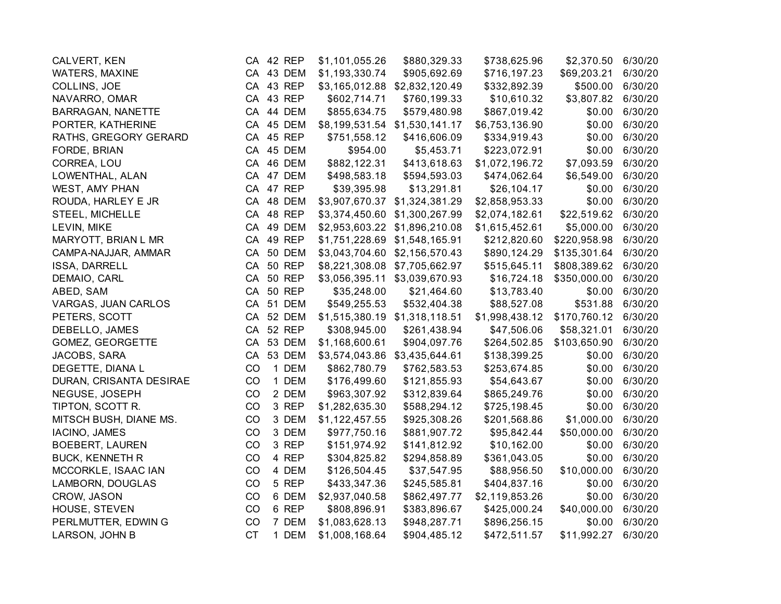| CALVERT, KEN             |           | CA 42 REP | \$1,101,055.26 | \$880,329.33                  | \$738,625.96   | \$2,370.50   | 6/30/20 |
|--------------------------|-----------|-----------|----------------|-------------------------------|----------------|--------------|---------|
| WATERS, MAXINE           |           | CA 43 DEM | \$1,193,330.74 | \$905,692.69                  | \$716,197.23   | \$69,203.21  | 6/30/20 |
| COLLINS, JOE             |           | CA 43 REP | \$3,165,012.88 | \$2,832,120.49                | \$332,892.39   | \$500.00     | 6/30/20 |
| NAVARRO, OMAR            |           | CA 43 REP | \$602,714.71   | \$760,199.33                  | \$10,610.32    | \$3,807.82   | 6/30/20 |
| <b>BARRAGAN, NANETTE</b> |           | CA 44 DEM | \$855,634.75   | \$579,480.98                  | \$867,019.42   | \$0.00       | 6/30/20 |
| PORTER, KATHERINE        |           | CA 45 DEM |                | \$8,199,531.54 \$1,530,141.17 | \$6,753,136.90 | \$0.00       | 6/30/20 |
| RATHS, GREGORY GERARD    | CA        | 45 REP    | \$751,558.12   | \$416,606.09                  | \$334,919.43   | \$0.00       | 6/30/20 |
| FORDE, BRIAN             |           | CA 45 DEM | \$954.00       | \$5,453.71                    | \$223,072.91   | \$0.00       | 6/30/20 |
| CORREA, LOU              |           | CA 46 DEM | \$882,122.31   | \$413,618.63                  | \$1,072,196.72 | \$7,093.59   | 6/30/20 |
| LOWENTHAL, ALAN          |           | CA 47 DEM | \$498,583.18   | \$594,593.03                  | \$474,062.64   | \$6,549.00   | 6/30/20 |
| WEST, AMY PHAN           |           | CA 47 REP | \$39,395.98    | \$13,291.81                   | \$26,104.17    | \$0.00       | 6/30/20 |
| ROUDA, HARLEY E JR       |           | CA 48 DEM | \$3,907,670.37 | \$1,324,381.29                | \$2,858,953.33 | \$0.00       | 6/30/20 |
| STEEL, MICHELLE          |           | CA 48 REP | \$3,374,450.60 | \$1,300,267.99                | \$2,074,182.61 | \$22,519.62  | 6/30/20 |
| LEVIN, MIKE              |           | CA 49 DEM |                | \$2,953,603.22 \$1,896,210.08 | \$1,615,452.61 | \$5,000.00   | 6/30/20 |
| MARYOTT, BRIAN L MR      |           | CA 49 REP | \$1,751,228.69 | \$1,548,165.91                | \$212,820.60   | \$220,958.98 | 6/30/20 |
| CAMPA-NAJJAR, AMMAR      |           | CA 50 DEM | \$3,043,704.60 | \$2,156,570.43                | \$890,124.29   | \$135,301.64 | 6/30/20 |
| ISSA, DARRELL            |           | CA 50 REP | \$8,221,308.08 | \$7,705,662.97                | \$515,645.11   | \$808,389.62 | 6/30/20 |
| DEMAIO, CARL             |           | CA 50 REP | \$3,056,395.11 | \$3,039,670.93                | \$16,724.18    | \$350,000.00 | 6/30/20 |
| ABED, SAM                |           | CA 50 REP | \$35,248.00    | \$21,464.60                   | \$13,783.40    | \$0.00       | 6/30/20 |
| VARGAS, JUAN CARLOS      |           | CA 51 DEM | \$549,255.53   | \$532,404.38                  | \$88,527.08    | \$531.88     | 6/30/20 |
| PETERS, SCOTT            |           | CA 52 DEM |                | \$1,515,380.19 \$1,318,118.51 | \$1,998,438.12 | \$170,760.12 | 6/30/20 |
| DEBELLO, JAMES           |           | CA 52 REP | \$308,945.00   | \$261,438.94                  | \$47,506.06    | \$58,321.01  | 6/30/20 |
| GOMEZ, GEORGETTE         |           | CA 53 DEM | \$1,168,600.61 | \$904,097.76                  | \$264,502.85   | \$103,650.90 | 6/30/20 |
| JACOBS, SARA             |           | CA 53 DEM | \$3,574,043.86 | \$3,435,644.61                | \$138,399.25   | \$0.00       | 6/30/20 |
| DEGETTE, DIANA L         | CO        | 1 DEM     | \$862,780.79   | \$762,583.53                  | \$253,674.85   | \$0.00       | 6/30/20 |
| DURAN, CRISANTA DESIRAE  | CO        | 1 DEM     | \$176,499.60   | \$121,855.93                  | \$54,643.67    | \$0.00       | 6/30/20 |
| NEGUSE, JOSEPH           | CO        | 2 DEM     | \$963,307.92   | \$312,839.64                  | \$865,249.76   | \$0.00       | 6/30/20 |
| TIPTON, SCOTT R.         | CO        | 3 REP     | \$1,282,635.30 | \$588,294.12                  | \$725,198.45   | \$0.00       | 6/30/20 |
| MITSCH BUSH, DIANE MS.   | CO        | 3 DEM     | \$1,122,457.55 | \$925,308.26                  | \$201,568.86   | \$1,000.00   | 6/30/20 |
| IACINO, JAMES            | CO        | 3 DEM     | \$977,750.16   | \$881,907.72                  | \$95,842.44    | \$50,000.00  | 6/30/20 |
| <b>BOEBERT, LAUREN</b>   | CO        | 3 REP     | \$151,974.92   | \$141,812.92                  | \$10,162.00    | \$0.00       | 6/30/20 |
| <b>BUCK, KENNETH R</b>   | CO        | 4 REP     | \$304,825.82   | \$294,858.89                  | \$361,043.05   | \$0.00       | 6/30/20 |
| MCCORKLE, ISAAC IAN      | CO        | 4 DEM     | \$126,504.45   | \$37,547.95                   | \$88,956.50    | \$10,000.00  | 6/30/20 |
| LAMBORN, DOUGLAS         | CO        | 5 REP     | \$433,347.36   | \$245,585.81                  | \$404,837.16   | \$0.00       | 6/30/20 |
| CROW, JASON              | CO        | 6 DEM     | \$2,937,040.58 | \$862,497.77                  | \$2,119,853.26 | \$0.00       | 6/30/20 |
| HOUSE, STEVEN            | CO        | 6 REP     | \$808,896.91   | \$383,896.67                  | \$425,000.24   | \$40,000.00  | 6/30/20 |
| PERLMUTTER, EDWIN G      | CO        | 7 DEM     | \$1,083,628.13 | \$948,287.71                  | \$896,256.15   | \$0.00       | 6/30/20 |
| LARSON, JOHN B           | <b>CT</b> | 1 DEM     | \$1,008,168.64 | \$904,485.12                  | \$472,511.57   | \$11,992.27  | 6/30/20 |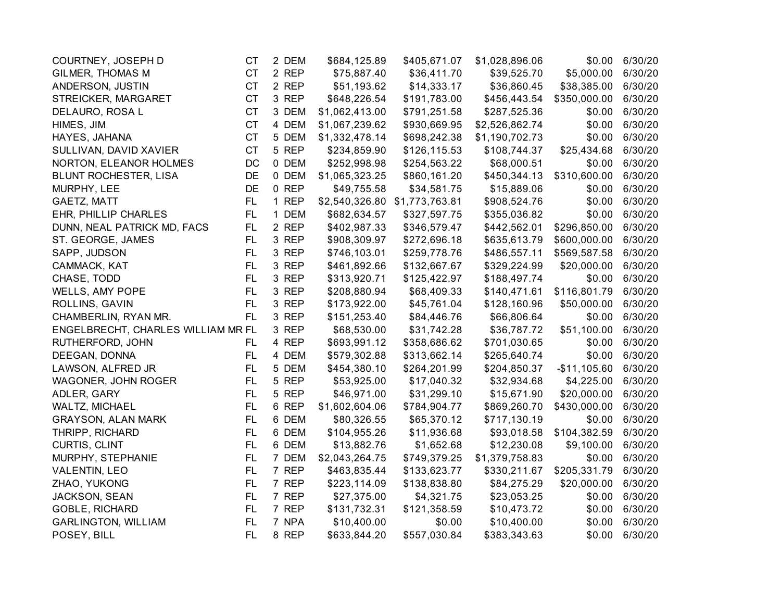| COURTNEY, JOSEPH D                 | <b>CT</b> | 2 DEM | \$684,125.89   | \$405,671.07   | \$1,028,896.06 | \$0.00        | 6/30/20 |
|------------------------------------|-----------|-------|----------------|----------------|----------------|---------------|---------|
| <b>GILMER, THOMAS M</b>            | <b>CT</b> | 2 REP | \$75,887.40    | \$36,411.70    | \$39,525.70    | \$5,000.00    | 6/30/20 |
| ANDERSON, JUSTIN                   | <b>CT</b> | 2 REP | \$51,193.62    | \$14,333.17    | \$36,860.45    | \$38,385.00   | 6/30/20 |
| STREICKER, MARGARET                | <b>CT</b> | 3 REP | \$648,226.54   | \$191,783.00   | \$456,443.54   | \$350,000.00  | 6/30/20 |
| DELAURO, ROSA L                    | <b>CT</b> | 3 DEM | \$1,062,413.00 | \$791,251.58   | \$287,525.36   | \$0.00        | 6/30/20 |
| HIMES, JIM                         | <b>CT</b> | 4 DEM | \$1,067,239.62 | \$930,669.95   | \$2,526,862.74 | \$0.00        | 6/30/20 |
| HAYES, JAHANA                      | <b>CT</b> | 5 DEM | \$1,332,478.14 | \$698,242.38   | \$1,190,702.73 | \$0.00        | 6/30/20 |
| SULLIVAN, DAVID XAVIER             | <b>CT</b> | 5 REP | \$234,859.90   | \$126,115.53   | \$108,744.37   | \$25,434.68   | 6/30/20 |
| NORTON, ELEANOR HOLMES             | <b>DC</b> | 0 DEM | \$252,998.98   | \$254,563.22   | \$68,000.51    | \$0.00        | 6/30/20 |
| <b>BLUNT ROCHESTER, LISA</b>       | <b>DE</b> | 0 DEM | \$1,065,323.25 | \$860,161.20   | \$450,344.13   | \$310,600.00  | 6/30/20 |
| MURPHY, LEE                        | <b>DE</b> | 0 REP | \$49,755.58    | \$34,581.75    | \$15,889.06    | \$0.00        | 6/30/20 |
| GAETZ, MATT                        | <b>FL</b> | 1 REP | \$2,540,326.80 | \$1,773,763.81 | \$908,524.76   | \$0.00        | 6/30/20 |
| EHR, PHILLIP CHARLES               | <b>FL</b> | 1 DEM | \$682,634.57   | \$327,597.75   | \$355,036.82   | \$0.00        | 6/30/20 |
| DUNN, NEAL PATRICK MD, FACS        | FL        | 2 REP | \$402,987.33   | \$346,579.47   | \$442,562.01   | \$296,850.00  | 6/30/20 |
| ST. GEORGE, JAMES                  | <b>FL</b> | 3 REP | \$908,309.97   | \$272,696.18   | \$635,613.79   | \$600,000.00  | 6/30/20 |
| SAPP, JUDSON                       | <b>FL</b> | 3 REP | \$746,103.01   | \$259,778.76   | \$486,557.11   | \$569,587.58  | 6/30/20 |
| CAMMACK, KAT                       | FL        | 3 REP | \$461,892.66   | \$132,667.67   | \$329,224.99   | \$20,000.00   | 6/30/20 |
| CHASE, TODD                        | FL.       | 3 REP | \$313,920.71   | \$125,422.97   | \$188,497.74   | \$0.00        | 6/30/20 |
| WELLS, AMY POPE                    | FL        | 3 REP | \$208,880.94   | \$68,409.33    | \$140,471.61   | \$116,801.79  | 6/30/20 |
| ROLLINS, GAVIN                     | FL        | 3 REP | \$173,922.00   | \$45,761.04    | \$128,160.96   | \$50,000.00   | 6/30/20 |
| CHAMBERLIN, RYAN MR.               | FL        | 3 REP | \$151,253.40   | \$84,446.76    | \$66,806.64    | \$0.00        | 6/30/20 |
| ENGELBRECHT, CHARLES WILLIAM MR FL |           | 3 REP | \$68,530.00    | \$31,742.28    | \$36,787.72    | \$51,100.00   | 6/30/20 |
| RUTHERFORD, JOHN                   | FL        | 4 REP | \$693,991.12   | \$358,686.62   | \$701,030.65   | \$0.00        | 6/30/20 |
| DEEGAN, DONNA                      | <b>FL</b> | 4 DEM | \$579,302.88   | \$313,662.14   | \$265,640.74   | \$0.00        | 6/30/20 |
| LAWSON, ALFRED JR                  | <b>FL</b> | 5 DEM | \$454,380.10   | \$264,201.99   | \$204,850.37   | $-$11,105.60$ | 6/30/20 |
| WAGONER, JOHN ROGER                | <b>FL</b> | 5 REP | \$53,925.00    | \$17,040.32    | \$32,934.68    | \$4,225.00    | 6/30/20 |
| ADLER, GARY                        | <b>FL</b> | 5 REP | \$46,971.00    | \$31,299.10    | \$15,671.90    | \$20,000.00   | 6/30/20 |
| WALTZ, MICHAEL                     | FL        | 6 REP | \$1,602,604.06 | \$784,904.77   | \$869,260.70   | \$430,000.00  | 6/30/20 |
| <b>GRAYSON, ALAN MARK</b>          | FL        | 6 DEM | \$80,326.55    | \$65,370.12    | \$717,130.19   | \$0.00        | 6/30/20 |
| THRIPP, RICHARD                    | FL        | 6 DEM | \$104,955.26   | \$11,936.68    | \$93,018.58    | \$104,382.59  | 6/30/20 |
| CURTIS, CLINT                      | FL.       | 6 DEM | \$13,882.76    | \$1,652.68     | \$12,230.08    | \$9,100.00    | 6/30/20 |
| MURPHY, STEPHANIE                  | <b>FL</b> | 7 DEM | \$2,043,264.75 | \$749,379.25   | \$1,379,758.83 | \$0.00        | 6/30/20 |
| <b>VALENTIN, LEO</b>               | FL        | 7 REP | \$463,835.44   | \$133,623.77   | \$330,211.67   | \$205,331.79  | 6/30/20 |
| ZHAO, YUKONG                       | FL        | 7 REP | \$223,114.09   | \$138,838.80   | \$84,275.29    | \$20,000.00   | 6/30/20 |
| JACKSON, SEAN                      | FL        | 7 REP | \$27,375.00    | \$4,321.75     | \$23,053.25    | \$0.00        | 6/30/20 |
| <b>GOBLE, RICHARD</b>              | FL        | 7 REP | \$131,732.31   | \$121,358.59   | \$10,473.72    | \$0.00        | 6/30/20 |
| <b>GARLINGTON, WILLIAM</b>         | FL        | 7 NPA | \$10,400.00    | \$0.00         | \$10,400.00    | \$0.00        | 6/30/20 |
| POSEY, BILL                        | <b>FL</b> | 8 REP | \$633,844.20   | \$557,030.84   | \$383,343.63   | \$0.00        | 6/30/20 |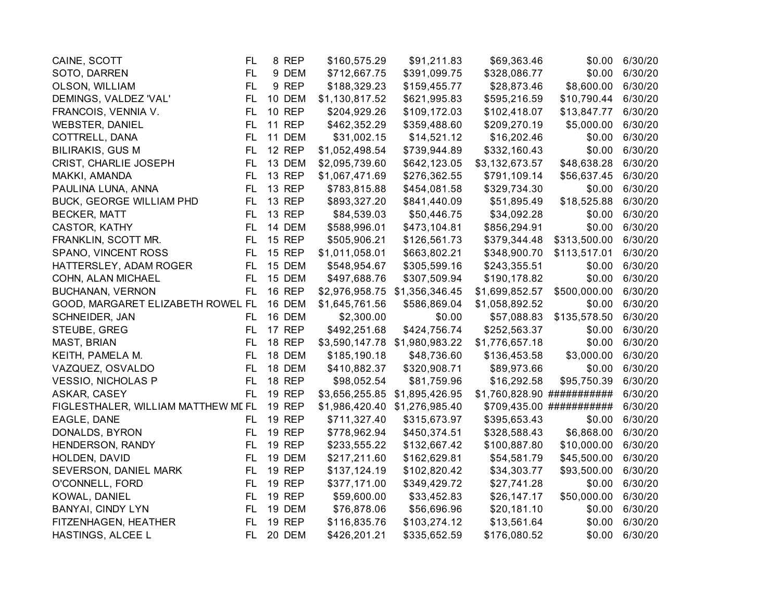| CAINE, SCOTT                        | FL        | 8 REP            | \$160,575.29   | \$91,211.83    | \$69,363.46                 | \$0.00                    | 6/30/20 |
|-------------------------------------|-----------|------------------|----------------|----------------|-----------------------------|---------------------------|---------|
| SOTO, DARREN                        | <b>FL</b> | 9 DEM            | \$712,667.75   | \$391,099.75   | \$328,086.77                | \$0.00                    | 6/30/20 |
| OLSON, WILLIAM                      | <b>FL</b> | 9 REP            | \$188,329.23   | \$159,455.77   | \$28,873.46                 | \$8,600.00                | 6/30/20 |
| DEMINGS, VALDEZ 'VAL'               | <b>FL</b> | 10 DEM           | \$1,130,817.52 | \$621,995.83   | \$595,216.59                | \$10,790.44               | 6/30/20 |
| FRANCOIS, VENNIA V.                 | <b>FL</b> | <b>10 REP</b>    | \$204,929.26   | \$109,172.03   | \$102,418.07                | \$13,847.77               | 6/30/20 |
| <b>WEBSTER, DANIEL</b>              | FL        | <b>11 REP</b>    | \$462,352.29   | \$359,488.60   | \$209,270.19                | \$5,000.00                | 6/30/20 |
| COTTRELL, DANA                      | <b>FL</b> | 11<br><b>DEM</b> | \$31,002.15    | \$14,521.12    | \$16,202.46                 | \$0.00                    | 6/30/20 |
| <b>BILIRAKIS, GUS M</b>             | <b>FL</b> | <b>12 REP</b>    | \$1,052,498.54 | \$739,944.89   | \$332,160.43                | \$0.00                    | 6/30/20 |
| CRIST, CHARLIE JOSEPH               | FL        | 13 DEM           | \$2,095,739.60 | \$642,123.05   | \$3,132,673.57              | \$48,638.28               | 6/30/20 |
| MAKKI, AMANDA                       | <b>FL</b> | <b>13 REP</b>    | \$1,067,471.69 | \$276,362.55   | \$791,109.14                | \$56,637.45               | 6/30/20 |
| PAULINA LUNA, ANNA                  | <b>FL</b> | <b>13 REP</b>    | \$783,815.88   | \$454,081.58   | \$329,734.30                | \$0.00                    | 6/30/20 |
| <b>BUCK, GEORGE WILLIAM PHD</b>     | <b>FL</b> | 13 REP           | \$893,327.20   | \$841,440.09   | \$51,895.49                 | \$18,525.88               | 6/30/20 |
| <b>BECKER, MATT</b>                 | <b>FL</b> | 13 REP           | \$84,539.03    | \$50,446.75    | \$34,092.28                 | \$0.00                    | 6/30/20 |
| CASTOR, KATHY                       | <b>FL</b> | 14 DEM           | \$588,996.01   | \$473,104.81   | \$856,294.91                | \$0.00                    | 6/30/20 |
| FRANKLIN, SCOTT MR.                 | <b>FL</b> | <b>15 REP</b>    | \$505,906.21   | \$126,561.73   | \$379,344.48                | \$313,500.00              | 6/30/20 |
| SPANO, VINCENT ROSS                 | <b>FL</b> | <b>15 REP</b>    | \$1,011,058.01 | \$663,802.21   | \$348,900.70                | \$113,517.01              | 6/30/20 |
| HATTERSLEY, ADAM ROGER              | <b>FL</b> | 15 DEM           | \$548,954.67   | \$305,599.16   | \$243,355.51                | \$0.00                    | 6/30/20 |
| COHN, ALAN MICHAEL                  | <b>FL</b> | 15 DEM           | \$497,688.76   | \$307,509.94   | \$190,178.82                | \$0.00                    | 6/30/20 |
| <b>BUCHANAN, VERNON</b>             | <b>FL</b> | <b>16 REP</b>    | \$2,976,958.75 | \$1,356,346.45 | \$1,699,852.57              | \$500,000.00              | 6/30/20 |
| GOOD, MARGARET ELIZABETH ROWEL FL   |           | 16 DEM           | \$1,645,761.56 | \$586,869.04   | \$1,058,892.52              | \$0.00                    | 6/30/20 |
| SCHNEIDER, JAN                      | FL        | 16 DEM           | \$2,300.00     | \$0.00         | \$57,088.83                 | \$135,578.50              | 6/30/20 |
| STEUBE, GREG                        | FL.       | <b>17 REP</b>    | \$492,251.68   | \$424,756.74   | \$252,563.37                | \$0.00                    | 6/30/20 |
| MAST, BRIAN                         | <b>FL</b> | <b>18 REP</b>    | \$3,590,147.78 | \$1,980,983.22 | \$1,776,657.18              | \$0.00                    | 6/30/20 |
| KEITH, PAMELA M.                    | <b>FL</b> | 18 DEM           | \$185,190.18   | \$48,736.60    | \$136,453.58                | \$3,000.00                | 6/30/20 |
| VAZQUEZ, OSVALDO                    | <b>FL</b> | 18 DEM           | \$410,882.37   | \$320,908.71   | \$89,973.66                 | \$0.00                    | 6/30/20 |
| <b>VESSIO, NICHOLAS P</b>           | <b>FL</b> | <b>18 REP</b>    | \$98,052.54    | \$81,759.96    | \$16,292.58                 | \$95,750.39               | 6/30/20 |
| ASKAR, CASEY                        | <b>FL</b> | <b>19 REP</b>    | \$3,656,255.85 | \$1,895,426.95 | \$1,760,828.90 ############ |                           | 6/30/20 |
| FIGLESTHALER, WILLIAM MATTHEW ME FL |           | <b>19 REP</b>    | \$1,986,420.40 | \$1,276,985.40 |                             | \$709,435.00 ############ | 6/30/20 |
| EAGLE, DANE                         | FL        | <b>19 REP</b>    | \$711,327.40   | \$315,673.97   | \$395,653.43                | \$0.00                    | 6/30/20 |
| DONALDS, BYRON                      | <b>FL</b> | <b>19 REP</b>    | \$778,962.94   | \$450,374.51   | \$328,588.43                | \$6,868.00                | 6/30/20 |
| HENDERSON, RANDY                    | <b>FL</b> | <b>19 REP</b>    | \$233,555.22   | \$132,667.42   | \$100,887.80                | \$10,000.00               | 6/30/20 |
| HOLDEN, DAVID                       | <b>FL</b> | 19 DEM           | \$217,211.60   | \$162,629.81   | \$54,581.79                 | \$45,500.00               | 6/30/20 |
| SEVERSON, DANIEL MARK               | FL        | <b>19 REP</b>    | \$137,124.19   | \$102,820.42   | \$34,303.77                 | \$93,500.00               | 6/30/20 |
| O'CONNELL, FORD                     | <b>FL</b> | <b>19 REP</b>    | \$377,171.00   | \$349,429.72   | \$27,741.28                 | \$0.00                    | 6/30/20 |
| KOWAL, DANIEL                       | FL        | <b>19 REP</b>    | \$59,600.00    | \$33,452.83    | \$26,147.17                 | \$50,000.00               | 6/30/20 |
| <b>BANYAI, CINDY LYN</b>            | <b>FL</b> | 19 DEM           | \$76,878.06    | \$56,696.96    | \$20,181.10                 | \$0.00                    | 6/30/20 |
| FITZENHAGEN, HEATHER                | FL        | <b>19 REP</b>    | \$116,835.76   | \$103,274.12   | \$13,561.64                 | \$0.00                    | 6/30/20 |
| HASTINGS, ALCEE L                   | <b>FL</b> | 20 DEM           | \$426,201.21   | \$335,652.59   | \$176,080.52                | \$0.00                    | 6/30/20 |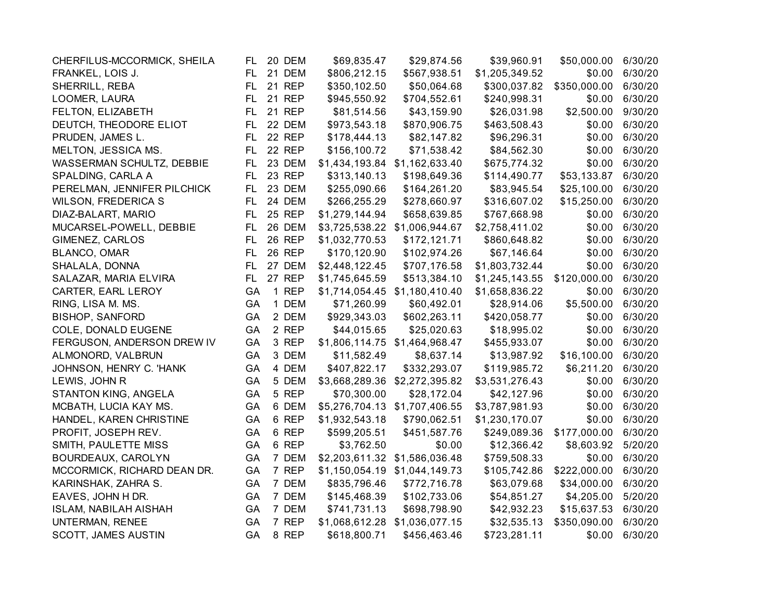| CHERFILUS-MCCORMICK, SHEILA  | FL        |    | 20 DEM        | \$69,835.47    | \$29,874.56    | \$39,960.91    | \$50,000.00  | 6/30/20 |
|------------------------------|-----------|----|---------------|----------------|----------------|----------------|--------------|---------|
| FRANKEL, LOIS J.             | FL.       |    | 21 DEM        | \$806,212.15   | \$567,938.51   | \$1,205,349.52 | \$0.00       | 6/30/20 |
| SHERRILL, REBA               | <b>FL</b> | 21 | <b>REP</b>    | \$350,102.50   | \$50,064.68    | \$300,037.82   | \$350,000.00 | 6/30/20 |
| LOOMER, LAURA                | <b>FL</b> |    | 21 REP        | \$945,550.92   | \$704,552.61   | \$240,998.31   | \$0.00       | 6/30/20 |
| FELTON, ELIZABETH            | <b>FL</b> |    | 21 REP        | \$81,514.56    | \$43,159.90    | \$26,031.98    | \$2,500.00   | 9/30/20 |
| DEUTCH, THEODORE ELIOT       | <b>FL</b> |    | 22 DEM        | \$973,543.18   | \$870,906.75   | \$463,508.43   | \$0.00       | 6/30/20 |
| PRUDEN, JAMES L.             | FL.       |    | <b>22 REP</b> | \$178,444.13   | \$82,147.82    | \$96,296.31    | \$0.00       | 6/30/20 |
| MELTON, JESSICA MS.          | FL.       |    | <b>22 REP</b> | \$156,100.72   | \$71,538.42    | \$84,562.30    | \$0.00       | 6/30/20 |
| WASSERMAN SCHULTZ, DEBBIE    | <b>FL</b> |    | 23 DEM        | \$1,434,193.84 | \$1,162,633.40 | \$675,774.32   | \$0.00       | 6/30/20 |
| SPALDING, CARLA A            | FL.       |    | 23 REP        | \$313,140.13   | \$198,649.36   | \$114,490.77   | \$53,133.87  | 6/30/20 |
| PERELMAN, JENNIFER PILCHICK  | FL.       |    | 23 DEM        | \$255,090.66   | \$164,261.20   | \$83,945.54    | \$25,100.00  | 6/30/20 |
| <b>WILSON, FREDERICA S</b>   | <b>FL</b> |    | 24 DEM        | \$266,255.29   | \$278,660.97   | \$316,607.02   | \$15,250.00  | 6/30/20 |
| DIAZ-BALART, MARIO           | FL.       |    | <b>25 REP</b> | \$1,279,144.94 | \$658,639.85   | \$767,668.98   | \$0.00       | 6/30/20 |
| MUCARSEL-POWELL, DEBBIE      | FL.       |    | 26 DEM        | \$3,725,538.22 | \$1,006,944.67 | \$2,758,411.02 | \$0.00       | 6/30/20 |
| GIMENEZ, CARLOS              | FL.       |    | 26 REP        | \$1,032,770.53 | \$172,121.71   | \$860,648.82   | \$0.00       | 6/30/20 |
| BLANCO, OMAR                 | FL.       |    | 26 REP        | \$170,120.90   | \$102,974.26   | \$67,146.64    | \$0.00       | 6/30/20 |
| SHALALA, DONNA               | FL.       |    | 27 DEM        | \$2,448,122.45 | \$707,176.58   | \$1,803,732.44 | \$0.00       | 6/30/20 |
| SALAZAR, MARIA ELVIRA        | FL.       |    | 27 REP        | \$1,745,645.59 | \$513,384.10   | \$1,245,143.55 | \$120,000.00 | 6/30/20 |
| CARTER, EARL LEROY           | GA        |    | 1 REP         | \$1,714,054.45 | \$1,180,410.40 | \$1,658,836.22 | \$0.00       | 6/30/20 |
| RING, LISA M. MS.            | GA        |    | 1 DEM         | \$71,260.99    | \$60,492.01    | \$28,914.06    | \$5,500.00   | 6/30/20 |
| <b>BISHOP, SANFORD</b>       | GA        |    | 2 DEM         | \$929,343.03   | \$602,263.11   | \$420,058.77   | \$0.00       | 6/30/20 |
| COLE, DONALD EUGENE          | GA        |    | 2 REP         | \$44,015.65    | \$25,020.63    | \$18,995.02    | \$0.00       | 6/30/20 |
| FERGUSON, ANDERSON DREW IV   | GA        |    | 3 REP         | \$1,806,114.75 | \$1,464,968.47 | \$455,933.07   | \$0.00       | 6/30/20 |
| ALMONORD, VALBRUN            | GA        |    | 3 DEM         | \$11,582.49    | \$8,637.14     | \$13,987.92    | \$16,100.00  | 6/30/20 |
| JOHNSON, HENRY C. 'HANK      | GA        |    | 4 DEM         | \$407,822.17   | \$332,293.07   | \$119,985.72   | \$6,211.20   | 6/30/20 |
| LEWIS, JOHN R                | GA        |    | 5 DEM         | \$3,668,289.36 | \$2,272,395.82 | \$3,531,276.43 | \$0.00       | 6/30/20 |
| STANTON KING, ANGELA         | GA        |    | 5 REP         | \$70,300.00    | \$28,172.04    | \$42,127.96    | \$0.00       | 6/30/20 |
| MCBATH, LUCIA KAY MS.        | GA        |    | 6 DEM         | \$5,276,704.13 | \$1,707,406.55 | \$3,787,981.93 | \$0.00       | 6/30/20 |
| HANDEL, KAREN CHRISTINE      | GA        |    | 6 REP         | \$1,932,543.18 | \$790,062.51   | \$1,230,170.07 | \$0.00       | 6/30/20 |
| PROFIT, JOSEPH REV.          | GA        |    | 6 REP         | \$599,205.51   | \$451,587.76   | \$249,089.36   | \$177,000.00 | 6/30/20 |
| SMITH, PAULETTE MISS         | GA        |    | 6 REP         | \$3,762.50     | \$0.00         | \$12,366.42    | \$8,603.92   | 5/20/20 |
| BOURDEAUX, CAROLYN           | GA        |    | 7 DEM         | \$2,203,611.32 | \$1,586,036.48 | \$759,508.33   | \$0.00       | 6/30/20 |
| MCCORMICK, RICHARD DEAN DR.  | GA        |    | 7 REP         | \$1,150,054.19 | \$1,044,149.73 | \$105,742.86   | \$222,000.00 | 6/30/20 |
| KARINSHAK, ZAHRA S.          | GA        |    | 7 DEM         | \$835,796.46   | \$772,716.78   | \$63,079.68    | \$34,000.00  | 6/30/20 |
| EAVES, JOHN H DR.            | GA        |    | 7 DEM         | \$145,468.39   | \$102,733.06   | \$54,851.27    | \$4,205.00   | 5/20/20 |
| <b>ISLAM, NABILAH AISHAH</b> | GA        |    | 7 DEM         | \$741,731.13   | \$698,798.90   | \$42,932.23    | \$15,637.53  | 6/30/20 |
| <b>UNTERMAN, RENEE</b>       | GA        |    | 7 REP         | \$1,068,612.28 | \$1,036,077.15 | \$32,535.13    | \$350,090.00 | 6/30/20 |
| SCOTT, JAMES AUSTIN          | GA        |    | 8 REP         | \$618,800.71   | \$456,463.46   | \$723,281.11   | \$0.00       | 6/30/20 |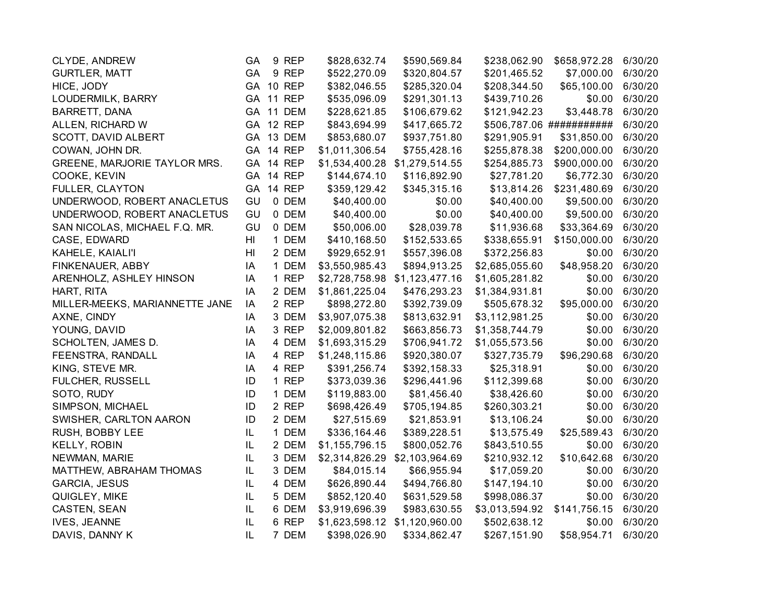| CLYDE, ANDREW                  | GA | 9 REP         | \$828,632.74   | \$590,569.84   | \$238,062.90   | \$658,972.28              | 6/30/20 |
|--------------------------------|----|---------------|----------------|----------------|----------------|---------------------------|---------|
| <b>GURTLER, MATT</b>           | GA | 9 REP         | \$522,270.09   | \$320,804.57   | \$201,465.52   | \$7,000.00                | 6/30/20 |
| HICE, JODY                     |    | GA 10 REP     | \$382,046.55   | \$285,320.04   | \$208,344.50   | \$65,100.00               | 6/30/20 |
| LOUDERMILK, BARRY              |    | GA 11 REP     | \$535,096.09   | \$291,301.13   | \$439,710.26   | \$0.00                    | 6/30/20 |
| BARRETT, DANA                  |    | GA 11 DEM     | \$228,621.85   | \$106,679.62   | \$121,942.23   | \$3,448.78                | 6/30/20 |
| ALLEN, RICHARD W               |    | GA 12 REP     | \$843,694.99   | \$417,665.72   |                | \$506,787.06 ############ | 6/30/20 |
| SCOTT, DAVID ALBERT            |    | GA 13 DEM     | \$853,680.07   | \$937,751.80   | \$291,905.91   | \$31,850.00               | 6/30/20 |
| COWAN, JOHN DR.                |    | GA 14 REP     | \$1,011,306.54 | \$755,428.16   | \$255,878.38   | \$200,000.00              | 6/30/20 |
| GREENE, MARJORIE TAYLOR MRS.   |    | GA 14 REP     | \$1,534,400.28 | \$1,279,514.55 | \$254,885.73   | \$900,000.00              | 6/30/20 |
| COOKE, KEVIN                   | GA | <b>14 REP</b> | \$144,674.10   | \$116,892.90   | \$27,781.20    | \$6,772.30                | 6/30/20 |
| FULLER, CLAYTON                | GA | <b>14 REP</b> | \$359,129.42   | \$345,315.16   | \$13,814.26    | \$231,480.69              | 6/30/20 |
| UNDERWOOD, ROBERT ANACLETUS    | GU | 0 DEM         | \$40,400.00    | \$0.00         | \$40,400.00    | \$9,500.00                | 6/30/20 |
| UNDERWOOD, ROBERT ANACLETUS    | GU | 0 DEM         | \$40,400.00    | \$0.00         | \$40,400.00    | \$9,500.00                | 6/30/20 |
| SAN NICOLAS, MICHAEL F.Q. MR.  | GU | 0 DEM         | \$50,006.00    | \$28,039.78    | \$11,936.68    | \$33,364.69               | 6/30/20 |
| CASE, EDWARD                   | HI | 1 DEM         | \$410,168.50   | \$152,533.65   | \$338,655.91   | \$150,000.00              | 6/30/20 |
| KAHELE, KAIALI'I               | HI | 2 DEM         | \$929,652.91   | \$557,396.08   | \$372,256.83   | \$0.00                    | 6/30/20 |
| FINKENAUER, ABBY               | IA | 1 DEM         | \$3,550,985.43 | \$894,913.25   | \$2,685,055.60 | \$48,958.20               | 6/30/20 |
| ARENHOLZ, ASHLEY HINSON        | IA | 1 REP         | \$2,728,758.98 | \$1,123,477.16 | \$1,605,281.82 | \$0.00                    | 6/30/20 |
| HART, RITA                     | IA | 2 DEM         | \$1,861,225.04 | \$476,293.23   | \$1,384,931.81 | \$0.00                    | 6/30/20 |
| MILLER-MEEKS, MARIANNETTE JANE | IA | 2 REP         | \$898,272.80   | \$392,739.09   | \$505,678.32   | \$95,000.00               | 6/30/20 |
| AXNE, CINDY                    | IA | 3 DEM         | \$3,907,075.38 | \$813,632.91   | \$3,112,981.25 | \$0.00                    | 6/30/20 |
| YOUNG, DAVID                   | IA | 3 REP         | \$2,009,801.82 | \$663,856.73   | \$1,358,744.79 | \$0.00                    | 6/30/20 |
| SCHOLTEN, JAMES D.             | IA | 4 DEM         | \$1,693,315.29 | \$706,941.72   | \$1,055,573.56 | \$0.00                    | 6/30/20 |
| FEENSTRA, RANDALL              | IA | 4 REP         | \$1,248,115.86 | \$920,380.07   | \$327,735.79   | \$96,290.68               | 6/30/20 |
| KING, STEVE MR.                | IA | 4 REP         | \$391,256.74   | \$392,158.33   | \$25,318.91    | \$0.00                    | 6/30/20 |
| FULCHER, RUSSELL               | ID | 1 REP         | \$373,039.36   | \$296,441.96   | \$112,399.68   | \$0.00                    | 6/30/20 |
| SOTO, RUDY                     | ID | 1 DEM         | \$119,883.00   | \$81,456.40    | \$38,426.60    | \$0.00                    | 6/30/20 |
| SIMPSON, MICHAEL               | ID | 2 REP         | \$698,426.49   | \$705,194.85   | \$260,303.21   | \$0.00                    | 6/30/20 |
| SWISHER, CARLTON AARON         | ID | 2 DEM         | \$27,515.69    | \$21,853.91    | \$13,106.24    | \$0.00                    | 6/30/20 |
| RUSH, BOBBY LEE                | IL | 1 DEM         | \$336,164.46   | \$389,228.51   | \$13,575.49    | \$25,589.43               | 6/30/20 |
| <b>KELLY, ROBIN</b>            | IL | 2 DEM         | \$1,155,796.15 | \$800,052.76   | \$843,510.55   | \$0.00                    | 6/30/20 |
| NEWMAN, MARIE                  | IL | 3 DEM         | \$2,314,826.29 | \$2,103,964.69 | \$210,932.12   | \$10,642.68               | 6/30/20 |
| MATTHEW, ABRAHAM THOMAS        | IL | 3 DEM         | \$84,015.14    | \$66,955.94    | \$17,059.20    | \$0.00                    | 6/30/20 |
| GARCIA, JESUS                  | IL | 4 DEM         | \$626,890.44   | \$494,766.80   | \$147,194.10   | \$0.00                    | 6/30/20 |
| QUIGLEY, MIKE                  | IL | 5 DEM         | \$852,120.40   | \$631,529.58   | \$998,086.37   | \$0.00                    | 6/30/20 |
| CASTEN, SEAN                   | IL | 6 DEM         | \$3,919,696.39 | \$983,630.55   | \$3,013,594.92 | \$141,756.15              | 6/30/20 |
| <b>IVES, JEANNE</b>            | IL | 6 REP         | \$1,623,598.12 | \$1,120,960.00 | \$502,638.12   | \$0.00                    | 6/30/20 |
| DAVIS, DANNY K                 | IL | 7 DEM         | \$398,026.90   | \$334,862.47   | \$267,151.90   | \$58,954.71               | 6/30/20 |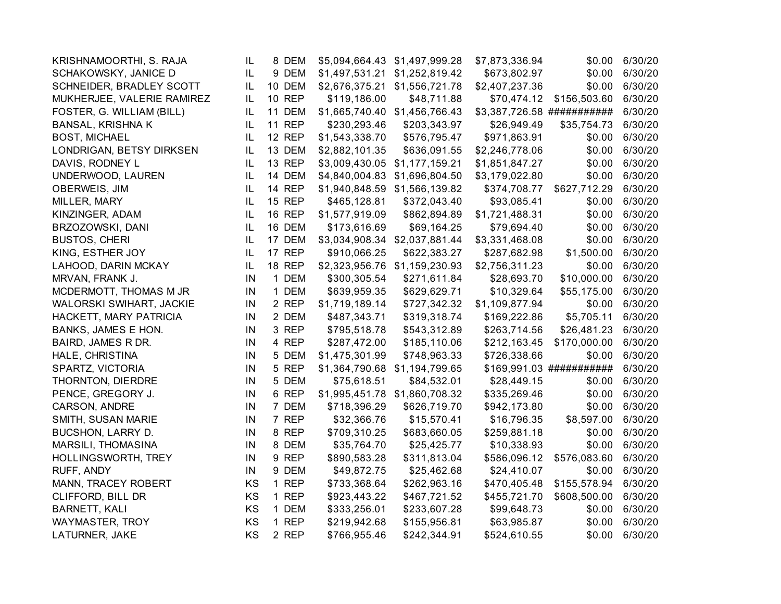| KRISHNAMOORTHI, S. RAJA    | IL       | 8 DEM                      | \$5,094,664.43 | \$1,497,999.28 | \$7,873,336.94 | \$0.00                      | 6/30/20 |
|----------------------------|----------|----------------------------|----------------|----------------|----------------|-----------------------------|---------|
| SCHAKOWSKY, JANICE D       | IL       | 9 DEM                      | \$1,497,531.21 | \$1,252,819.42 | \$673,802.97   | \$0.00                      | 6/30/20 |
| SCHNEIDER, BRADLEY SCOTT   | IL       | 10 DEM                     | \$2,676,375.21 | \$1,556,721.78 | \$2,407,237.36 | \$0.00                      | 6/30/20 |
| MUKHERJEE, VALERIE RAMIREZ | IL       | <b>10 REP</b>              | \$119,186.00   | \$48,711.88    | \$70,474.12    | \$156,503.60                | 6/30/20 |
| FOSTER, G. WILLIAM (BILL)  | IL       | 11 DEM                     | \$1,665,740.40 | \$1,456,766.43 |                | \$3,387,726.58 ############ | 6/30/20 |
| <b>BANSAL, KRISHNA K</b>   | IL       | <b>11 REP</b>              | \$230,293.46   | \$203,343.97   | \$26,949.49    | \$35,754.73                 | 6/30/20 |
| <b>BOST, MICHAEL</b>       | IL       | <b>12 REP</b>              | \$1,543,338.70 | \$576,795.47   | \$971,863.91   | \$0.00                      | 6/30/20 |
| LONDRIGAN, BETSY DIRKSEN   | IL       | 13 DEM                     | \$2,882,101.35 | \$636,091.55   | \$2,246,778.06 | \$0.00                      | 6/30/20 |
| DAVIS, RODNEY L            | IL       | <b>13 REP</b>              | \$3,009,430.05 | \$1,177,159.21 | \$1,851,847.27 | \$0.00                      | 6/30/20 |
| UNDERWOOD, LAUREN          | IL       | 14 DEM                     | \$4,840,004.83 | \$1,696,804.50 | \$3,179,022.80 | \$0.00                      | 6/30/20 |
| OBERWEIS, JIM              | IL       | <b>14 REP</b>              | \$1,940,848.59 | \$1,566,139.82 | \$374,708.77   | \$627,712.29                | 6/30/20 |
| MILLER, MARY               | IL       | <b>15 REP</b>              | \$465,128.81   | \$372,043.40   | \$93,085.41    | \$0.00                      | 6/30/20 |
| KINZINGER, ADAM            | IL       | <b>16 REP</b>              | \$1,577,919.09 | \$862,894.89   | \$1,721,488.31 | \$0.00                      | 6/30/20 |
| BRZOZOWSKI, DANI           | IL       | 16 DEM                     | \$173,616.69   | \$69,164.25    | \$79,694.40    | \$0.00                      | 6/30/20 |
| <b>BUSTOS, CHERI</b>       | IL       | 17 DEM                     | \$3,034,908.34 | \$2,037,881.44 | \$3,331,468.08 | \$0.00                      | 6/30/20 |
| KING, ESTHER JOY           | IL       | <b>17 REP</b>              | \$910,066.25   | \$622,383.27   | \$287,682.98   | \$1,500.00                  | 6/30/20 |
| LAHOOD, DARIN MCKAY        | IL       | <b>18 REP</b>              | \$2,323,956.76 | \$1,159,230.93 | \$2,756,311.23 | \$0.00                      | 6/30/20 |
| MRVAN, FRANK J.            | IN       | 1 DEM                      | \$300,305.54   | \$271,611.84   | \$28,693.70    | \$10,000.00                 | 6/30/20 |
| MCDERMOTT, THOMAS M JR     | IN       | 1 DEM                      | \$639,959.35   | \$629,629.71   | \$10,329.64    | \$55,175.00                 | 6/30/20 |
| WALORSKI SWIHART, JACKIE   | IN       | 2 REP                      | \$1,719,189.14 | \$727,342.32   | \$1,109,877.94 | \$0.00                      | 6/30/20 |
| HACKETT, MARY PATRICIA     | IN       | 2 DEM                      | \$487,343.71   | \$319,318.74   | \$169,222.86   | \$5,705.11                  | 6/30/20 |
| BANKS, JAMES E HON.        | IN       | 3 REP                      | \$795,518.78   | \$543,312.89   | \$263,714.56   | \$26,481.23                 | 6/30/20 |
| BAIRD, JAMES R DR.         | IN       | 4 REP                      | \$287,472.00   | \$185,110.06   | \$212,163.45   | \$170,000.00                | 6/30/20 |
| HALE, CHRISTINA            | IN       | 5 DEM                      | \$1,475,301.99 | \$748,963.33   | \$726,338.66   | \$0.00                      | 6/30/20 |
| SPARTZ, VICTORIA           | IN       | 5 REP                      | \$1,364,790.68 | \$1,194,799.65 |                | \$169,991.03 ############   | 6/30/20 |
| THORNTON, DIERDRE          | IN       | 5 DEM                      | \$75,618.51    | \$84,532.01    | \$28,449.15    | \$0.00                      | 6/30/20 |
| PENCE, GREGORY J.          | IN       | 6 REP                      | \$1,995,451.78 | \$1,860,708.32 | \$335,269.46   | \$0.00                      | 6/30/20 |
| CARSON, ANDRE              | IN       | 7 DEM                      | \$718,396.29   | \$626,719.70   | \$942,173.80   | \$0.00                      | 6/30/20 |
| SMITH, SUSAN MARIE         | $\sf IN$ | 7 REP                      | \$32,366.76    | \$15,570.41    | \$16,796.35    | \$8,597.00                  | 6/30/20 |
| BUCSHON, LARRY D.          | $\sf IN$ | 8 REP                      | \$709,310.25   | \$683,660.05   | \$259,881.18   | \$0.00                      | 6/30/20 |
| MARSILI, THOMASINA         | IN       | 8 DEM                      | \$35,764.70    | \$25,425.77    | \$10,338.93    | \$0.00                      | 6/30/20 |
| HOLLINGSWORTH, TREY        | IN       | 9 REP                      | \$890,583.28   | \$311,813.04   | \$586,096.12   | \$576,083.60                | 6/30/20 |
| RUFF, ANDY                 | IN       | 9 DEM                      | \$49,872.75    | \$25,462.68    | \$24,410.07    | \$0.00                      | 6/30/20 |
| MANN, TRACEY ROBERT        | KS       | 1 REP                      | \$733,368.64   | \$262,963.16   | \$470,405.48   | \$155,578.94                | 6/30/20 |
| CLIFFORD, BILL DR          | KS       | 1 REP                      | \$923,443.22   | \$467,721.52   | \$455,721.70   | \$608,500.00                | 6/30/20 |
| <b>BARNETT, KALI</b>       | KS       | 1 DEM                      | \$333,256.01   | \$233,607.28   | \$99,648.73    | \$0.00                      | 6/30/20 |
| <b>WAYMASTER, TROY</b>     | KS       | <b>REP</b><br>$\mathbf{1}$ | \$219,942.68   | \$155,956.81   | \$63,985.87    | \$0.00                      | 6/30/20 |
| LATURNER, JAKE             | KS       | 2 REP                      | \$766,955.46   | \$242,344.91   | \$524,610.55   | \$0.00                      | 6/30/20 |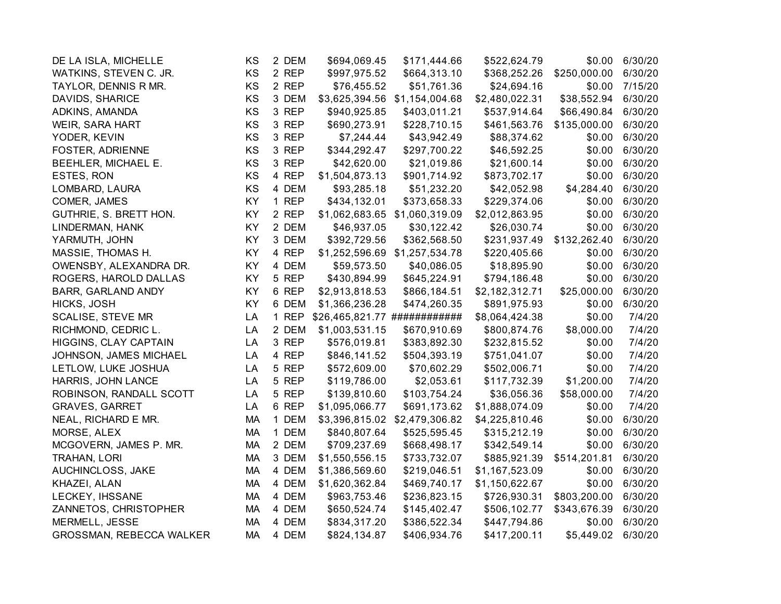| DE LA ISLA, MICHELLE      | KS        | 2 DEM | \$694,069.45                  | \$171,444.66   | \$522,624.79   | \$0.00       | 6/30/20 |
|---------------------------|-----------|-------|-------------------------------|----------------|----------------|--------------|---------|
| WATKINS, STEVEN C. JR.    | KS        | 2 REP | \$997,975.52                  | \$664,313.10   | \$368,252.26   | \$250,000.00 | 6/30/20 |
| TAYLOR, DENNIS R MR.      | KS        | 2 REP | \$76,455.52                   | \$51,761.36    | \$24,694.16    | \$0.00       | 7/15/20 |
| DAVIDS, SHARICE           | KS        | 3 DEM | \$3,625,394.56                | \$1,154,004.68 | \$2,480,022.31 | \$38,552.94  | 6/30/20 |
| ADKINS, AMANDA            | KS        | 3 REP | \$940,925.85                  | \$403,011.21   | \$537,914.64   | \$66,490.84  | 6/30/20 |
| WEIR, SARA HART           | KS        | 3 REP | \$690,273.91                  | \$228,710.15   | \$461,563.76   | \$135,000.00 | 6/30/20 |
| YODER, KEVIN              | KS        | 3 REP | \$7,244.44                    | \$43,942.49    | \$88,374.62    | \$0.00       | 6/30/20 |
| FOSTER, ADRIENNE          | KS        | 3 REP | \$344,292.47                  | \$297,700.22   | \$46,592.25    | \$0.00       | 6/30/20 |
| BEEHLER, MICHAEL E.       | KS        | 3 REP | \$42,620.00                   | \$21,019.86    | \$21,600.14    | \$0.00       | 6/30/20 |
| ESTES, RON                | KS        | 4 REP | \$1,504,873.13                | \$901,714.92   | \$873,702.17   | \$0.00       | 6/30/20 |
| LOMBARD, LAURA            | KS        | 4 DEM | \$93,285.18                   | \$51,232.20    | \$42,052.98    | \$4,284.40   | 6/30/20 |
| COMER, JAMES              | KY        | 1 REP | \$434,132.01                  | \$373,658.33   | \$229,374.06   | \$0.00       | 6/30/20 |
| GUTHRIE, S. BRETT HON.    | KY        | 2 REP | \$1,062,683.65                | \$1,060,319.09 | \$2,012,863.95 | \$0.00       | 6/30/20 |
| LINDERMAN, HANK           | KY        | 2 DEM | \$46,937.05                   | \$30,122.42    | \$26,030.74    | \$0.00       | 6/30/20 |
| YARMUTH, JOHN             | KY        | 3 DEM | \$392,729.56                  | \$362,568.50   | \$231,937.49   | \$132,262.40 | 6/30/20 |
| MASSIE, THOMAS H.         | <b>KY</b> | 4 REP | \$1,252,596.69                | \$1,257,534.78 | \$220,405.66   | \$0.00       | 6/30/20 |
| OWENSBY, ALEXANDRA DR.    | KY        | 4 DEM | \$59,573.50                   | \$40,086.05    | \$18,895.90    | \$0.00       | 6/30/20 |
| ROGERS, HAROLD DALLAS     | KY        | 5 REP | \$430,894.99                  | \$645,224.91   | \$794,186.48   | \$0.00       | 6/30/20 |
| <b>BARR, GARLAND ANDY</b> | <b>KY</b> | 6 REP | \$2,913,818.53                | \$866,184.51   | \$2,182,312.71 | \$25,000.00  | 6/30/20 |
| HICKS, JOSH               | <b>KY</b> | 6 DEM | \$1,366,236.28                | \$474,260.35   | \$891,975.93   | \$0.00       | 6/30/20 |
| <b>SCALISE, STEVE MR</b>  | LA        | 1 REP | \$26,465,821.77 ############# |                | \$8,064,424.38 | \$0.00       | 7/4/20  |
| RICHMOND, CEDRIC L.       | LA        | 2 DEM | \$1,003,531.15                | \$670,910.69   | \$800,874.76   | \$8,000.00   | 7/4/20  |
| HIGGINS, CLAY CAPTAIN     | LA        | 3 REP | \$576,019.81                  | \$383,892.30   | \$232,815.52   | \$0.00       | 7/4/20  |
| JOHNSON, JAMES MICHAEL    | LA        | 4 REP | \$846,141.52                  | \$504,393.19   | \$751,041.07   | \$0.00       | 7/4/20  |
| LETLOW, LUKE JOSHUA       | LA        | 5 REP | \$572,609.00                  | \$70,602.29    | \$502,006.71   | \$0.00       | 7/4/20  |
| HARRIS, JOHN LANCE        | LA        | 5 REP | \$119,786.00                  | \$2,053.61     | \$117,732.39   | \$1,200.00   | 7/4/20  |
| ROBINSON, RANDALL SCOTT   | LA        | 5 REP | \$139,810.60                  | \$103,754.24   | \$36,056.36    | \$58,000.00  | 7/4/20  |
| <b>GRAVES, GARRET</b>     | LA        | 6 REP | \$1,095,066.77                | \$691,173.62   | \$1,888,074.09 | \$0.00       | 7/4/20  |
| NEAL, RICHARD E MR.       | <b>MA</b> | 1 DEM | \$3,396,815.02                | \$2,479,306.82 | \$4,225,810.46 | \$0.00       | 6/30/20 |
| MORSE, ALEX               | МA        | 1 DEM | \$840,807.64                  | \$525,595.45   | \$315,212.19   | \$0.00       | 6/30/20 |
| MCGOVERN, JAMES P. MR.    | MA        | 2 DEM | \$709,237.69                  | \$668,498.17   | \$342,549.14   | \$0.00       | 6/30/20 |
| <b>TRAHAN, LORI</b>       | <b>MA</b> | 3 DEM | \$1,550,556.15                | \$733,732.07   | \$885,921.39   | \$514,201.81 | 6/30/20 |
| AUCHINCLOSS, JAKE         | <b>MA</b> | 4 DEM | \$1,386,569.60                | \$219,046.51   | \$1,167,523.09 | \$0.00       | 6/30/20 |
| KHAZEI, ALAN              | MA        | 4 DEM | \$1,620,362.84                | \$469,740.17   | \$1,150,622.67 | \$0.00       | 6/30/20 |
| LECKEY, IHSSANE           | MA        | 4 DEM | \$963,753.46                  | \$236,823.15   | \$726,930.31   | \$803,200.00 | 6/30/20 |
| ZANNETOS, CHRISTOPHER     | MA        | 4 DEM | \$650,524.74                  | \$145,402.47   | \$506,102.77   | \$343,676.39 | 6/30/20 |
| MERMELL, JESSE            | <b>MA</b> | 4 DEM | \$834,317.20                  | \$386,522.34   | \$447,794.86   | \$0.00       | 6/30/20 |
| GROSSMAN, REBECCA WALKER  | <b>MA</b> | 4 DEM | \$824,134.87                  | \$406,934.76   | \$417,200.11   | \$5,449.02   | 6/30/20 |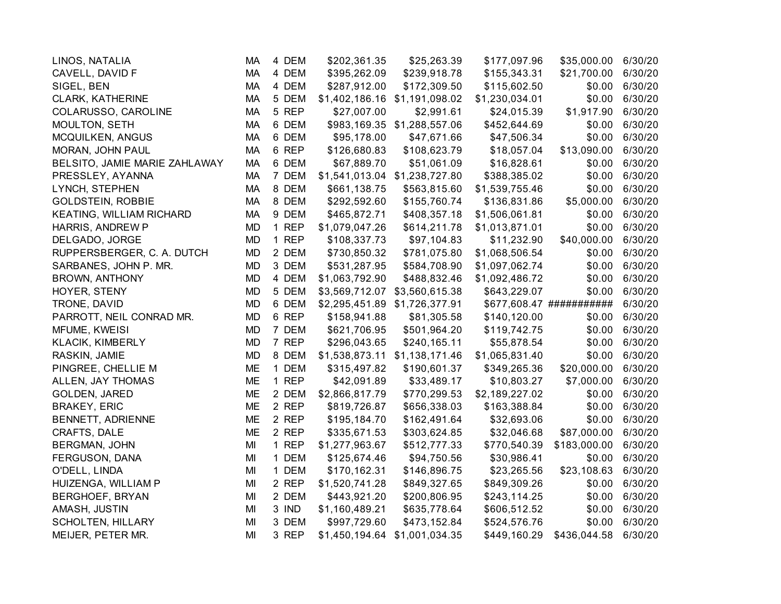| LINOS, NATALIA                | MA        | 4 DEM | \$202,361.35   | \$25,263.39    | \$177,097.96   | \$35,000.00               | 6/30/20 |
|-------------------------------|-----------|-------|----------------|----------------|----------------|---------------------------|---------|
| CAVELL, DAVID F               | МA        | 4 DEM | \$395,262.09   | \$239,918.78   | \$155,343.31   | \$21,700.00               | 6/30/20 |
| SIGEL, BEN                    | MA        | 4 DEM | \$287,912.00   | \$172,309.50   | \$115,602.50   | \$0.00                    | 6/30/20 |
| CLARK, KATHERINE              | MA        | 5 DEM | \$1,402,186.16 | \$1,191,098.02 | \$1,230,034.01 | \$0.00                    | 6/30/20 |
| COLARUSSO, CAROLINE           | MA        | 5 REP | \$27,007.00    | \$2,991.61     | \$24,015.39    | \$1,917.90                | 6/30/20 |
| MOULTON, SETH                 | MA        | 6 DEM | \$983,169.35   | \$1,288,557.06 | \$452,644.69   | \$0.00                    | 6/30/20 |
| MCQUILKEN, ANGUS              | MA        | 6 DEM | \$95,178.00    | \$47,671.66    | \$47,506.34    | \$0.00                    | 6/30/20 |
| MORAN, JOHN PAUL              | MA        | 6 REP | \$126,680.83   | \$108,623.79   | \$18,057.04    | \$13,090.00               | 6/30/20 |
| BELSITO, JAMIE MARIE ZAHLAWAY | MA        | 6 DEM | \$67,889.70    | \$51,061.09    | \$16,828.61    | \$0.00                    | 6/30/20 |
| PRESSLEY, AYANNA              | MA        | 7 DEM | \$1,541,013.04 | \$1,238,727.80 | \$388,385.02   | \$0.00                    | 6/30/20 |
| LYNCH, STEPHEN                | MA        | 8 DEM | \$661,138.75   | \$563,815.60   | \$1,539,755.46 | \$0.00                    | 6/30/20 |
| <b>GOLDSTEIN, ROBBIE</b>      | MA        | 8 DEM | \$292,592.60   | \$155,760.74   | \$136,831.86   | \$5,000.00                | 6/30/20 |
| KEATING, WILLIAM RICHARD      | MA        | 9 DEM | \$465,872.71   | \$408,357.18   | \$1,506,061.81 | \$0.00                    | 6/30/20 |
| HARRIS, ANDREW P              | <b>MD</b> | 1 REP | \$1,079,047.26 | \$614,211.78   | \$1,013,871.01 | \$0.00                    | 6/30/20 |
| DELGADO, JORGE                | <b>MD</b> | 1 REP | \$108,337.73   | \$97,104.83    | \$11,232.90    | \$40,000.00               | 6/30/20 |
| RUPPERSBERGER, C. A. DUTCH    | <b>MD</b> | 2 DEM | \$730,850.32   | \$781,075.80   | \$1,068,506.54 | \$0.00                    | 6/30/20 |
| SARBANES, JOHN P. MR.         | <b>MD</b> | 3 DEM | \$531,287.95   | \$584,708.90   | \$1,097,062.74 | \$0.00                    | 6/30/20 |
| <b>BROWN, ANTHONY</b>         | <b>MD</b> | 4 DEM | \$1,063,792.90 | \$488,832.46   | \$1,092,486.72 | \$0.00                    | 6/30/20 |
| HOYER, STENY                  | <b>MD</b> | 5 DEM | \$3,569,712.07 | \$3,560,615.38 | \$643,229.07   | \$0.00                    | 6/30/20 |
| TRONE, DAVID                  | <b>MD</b> | 6 DEM | \$2,295,451.89 | \$1,726,377.91 |                | \$677,608.47 ############ | 6/30/20 |
| PARROTT, NEIL CONRAD MR.      | <b>MD</b> | 6 REP | \$158,941.88   | \$81,305.58    | \$140,120.00   | \$0.00                    | 6/30/20 |
| MFUME, KWEISI                 | <b>MD</b> | 7 DEM | \$621,706.95   | \$501,964.20   | \$119,742.75   | \$0.00                    | 6/30/20 |
| <b>KLACIK, KIMBERLY</b>       | <b>MD</b> | 7 REP | \$296,043.65   | \$240,165.11   | \$55,878.54    | \$0.00                    | 6/30/20 |
| RASKIN, JAMIE                 | <b>MD</b> | 8 DEM | \$1,538,873.11 | \$1,138,171.46 | \$1,065,831.40 | \$0.00                    | 6/30/20 |
| PINGREE, CHELLIE M            | <b>ME</b> | 1 DEM | \$315,497.82   | \$190,601.37   | \$349,265.36   | \$20,000.00               | 6/30/20 |
| ALLEN, JAY THOMAS             | <b>ME</b> | 1 REP | \$42,091.89    | \$33,489.17    | \$10,803.27    | \$7,000.00                | 6/30/20 |
| <b>GOLDEN, JARED</b>          | <b>ME</b> | 2 DEM | \$2,866,817.79 | \$770,299.53   | \$2,189,227.02 | \$0.00                    | 6/30/20 |
| <b>BRAKEY, ERIC</b>           | <b>ME</b> | 2 REP | \$819,726.87   | \$656,338.03   | \$163,388.84   | \$0.00                    | 6/30/20 |
| BENNETT, ADRIENNE             | <b>ME</b> | 2 REP | \$195,184.70   | \$162,491.64   | \$32,693.06    | \$0.00                    | 6/30/20 |
| CRAFTS, DALE                  | <b>ME</b> | 2 REP | \$335,671.53   | \$303,624.85   | \$32,046.68    | \$87,000.00               | 6/30/20 |
| <b>BERGMAN, JOHN</b>          | MI        | 1 REP | \$1,277,963.67 | \$512,777.33   | \$770,540.39   | \$183,000.00              | 6/30/20 |
| FERGUSON, DANA                | MI        | 1 DEM | \$125,674.46   | \$94,750.56    | \$30,986.41    | \$0.00                    | 6/30/20 |
| O'DELL, LINDA                 | MI        | 1 DEM | \$170,162.31   | \$146,896.75   | \$23,265.56    | \$23,108.63               | 6/30/20 |
| HUIZENGA, WILLIAM P           | MI        | 2 REP | \$1,520,741.28 | \$849,327.65   | \$849,309.26   | \$0.00                    | 6/30/20 |
| <b>BERGHOEF, BRYAN</b>        | MI        | 2 DEM | \$443,921.20   | \$200,806.95   | \$243,114.25   | \$0.00                    | 6/30/20 |
| AMASH, JUSTIN                 | MI        | 3 IND | \$1,160,489.21 | \$635,778.64   | \$606,512.52   | \$0.00                    | 6/30/20 |
| <b>SCHOLTEN, HILLARY</b>      | MI        | 3 DEM | \$997,729.60   | \$473,152.84   | \$524,576.76   | \$0.00                    | 6/30/20 |
| MEIJER, PETER MR.             | MI        | 3 REP | \$1,450,194.64 | \$1,001,034.35 | \$449,160.29   | \$436,044.58              | 6/30/20 |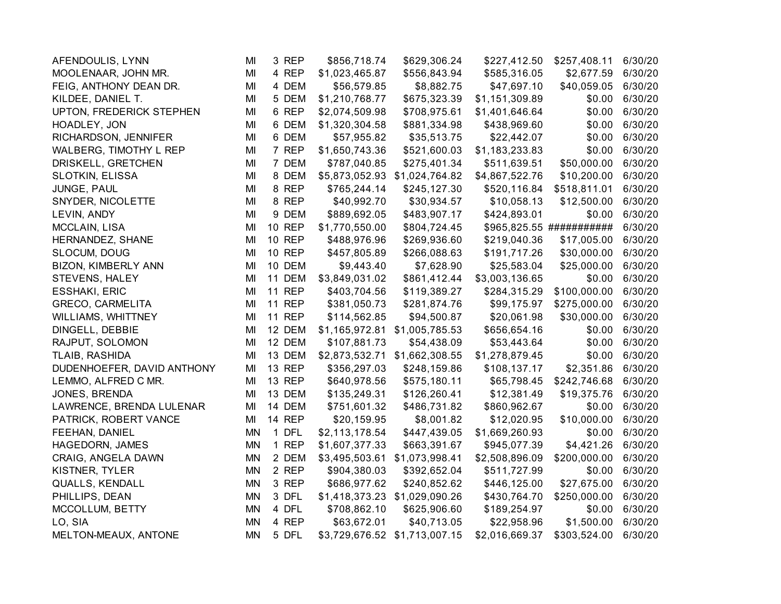| AFENDOULIS, LYNN           | MI        | 3 REP         | \$856,718.74   | \$629,306.24                  | \$227,412.50   | \$257,408.11              | 6/30/20 |
|----------------------------|-----------|---------------|----------------|-------------------------------|----------------|---------------------------|---------|
| MOOLENAAR, JOHN MR.        | MI        | 4 REP         | \$1,023,465.87 | \$556,843.94                  | \$585,316.05   | \$2,677.59                | 6/30/20 |
| FEIG, ANTHONY DEAN DR.     | MI        | 4 DEM         | \$56,579.85    | \$8,882.75                    | \$47,697.10    | \$40,059.05               | 6/30/20 |
| KILDEE, DANIEL T.          | MI        | 5 DEM         | \$1,210,768.77 | \$675,323.39                  | \$1,151,309.89 | \$0.00                    | 6/30/20 |
| UPTON, FREDERICK STEPHEN   | MI        | 6 REP         | \$2,074,509.98 | \$708,975.61                  | \$1,401,646.64 | \$0.00                    | 6/30/20 |
| HOADLEY, JON               | MI        | 6 DEM         | \$1,320,304.58 | \$881,334.98                  | \$438,969.60   | \$0.00                    | 6/30/20 |
| RICHARDSON, JENNIFER       | MI        | 6 DEM         | \$57,955.82    | \$35,513.75                   | \$22,442.07    | \$0.00                    | 6/30/20 |
| WALBERG, TIMOTHY L REP     | MI        | 7 REP         | \$1,650,743.36 | \$521,600.03                  | \$1,183,233.83 | \$0.00                    | 6/30/20 |
| DRISKELL, GRETCHEN         | MI        | 7 DEM         | \$787,040.85   | \$275,401.34                  | \$511,639.51   | \$50,000.00               | 6/30/20 |
| SLOTKIN, ELISSA            | MI        | 8 DEM         | \$5,873,052.93 | \$1,024,764.82                | \$4,867,522.76 | \$10,200.00               | 6/30/20 |
| JUNGE, PAUL                | MI        | 8 REP         | \$765,244.14   | \$245,127.30                  | \$520,116.84   | \$518,811.01              | 6/30/20 |
| SNYDER, NICOLETTE          | MI        | 8 REP         | \$40,992.70    | \$30,934.57                   | \$10,058.13    | \$12,500.00               | 6/30/20 |
| LEVIN, ANDY                | MI        | 9 DEM         | \$889,692.05   | \$483,907.17                  | \$424,893.01   | \$0.00                    | 6/30/20 |
| MCCLAIN, LISA              | MI        | <b>10 REP</b> | \$1,770,550.00 | \$804,724.45                  |                | \$965,825.55 ############ | 6/30/20 |
| HERNANDEZ, SHANE           | MI        | <b>10 REP</b> | \$488,976.96   | \$269,936.60                  | \$219,040.36   | \$17,005.00               | 6/30/20 |
| SLOCUM, DOUG               | MI        | <b>10 REP</b> | \$457,805.89   | \$266,088.63                  | \$191,717.26   | \$30,000.00               | 6/30/20 |
| BIZON, KIMBERLY ANN        | MI        | 10 DEM        | \$9,443.40     | \$7,628.90                    | \$25,583.04    | \$25,000.00               | 6/30/20 |
| STEVENS, HALEY             | MI        | 11 DEM        | \$3,849,031.02 | \$861,412.44                  | \$3,003,136.65 | \$0.00                    | 6/30/20 |
| <b>ESSHAKI, ERIC</b>       | MI        | <b>11 REP</b> | \$403,704.56   | \$119,389.27                  | \$284,315.29   | \$100,000.00              | 6/30/20 |
| GRECO, CARMELITA           | MI        | <b>11 REP</b> | \$381,050.73   | \$281,874.76                  | \$99,175.97    | \$275,000.00              | 6/30/20 |
| WILLIAMS, WHITTNEY         | MI        | <b>11 REP</b> | \$114,562.85   | \$94,500.87                   | \$20,061.98    | \$30,000.00               | 6/30/20 |
| DINGELL, DEBBIE            | MI        | 12 DEM        | \$1,165,972.81 | \$1,005,785.53                | \$656,654.16   | \$0.00                    | 6/30/20 |
| RAJPUT, SOLOMON            | MI        | 12 DEM        | \$107,881.73   | \$54,438.09                   | \$53,443.64    | \$0.00                    | 6/30/20 |
| TLAIB, RASHIDA             | MI        | 13 DEM        | \$2,873,532.71 | \$1,662,308.55                | \$1,278,879.45 | \$0.00                    | 6/30/20 |
| DUDENHOEFER, DAVID ANTHONY | MI        | 13 REP        | \$356,297.03   | \$248,159.86                  | \$108,137.17   | \$2,351.86                | 6/30/20 |
| LEMMO, ALFRED C MR.        | MI        | 13 REP        | \$640,978.56   | \$575,180.11                  | \$65,798.45    | \$242,746.68              | 6/30/20 |
| JONES, BRENDA              | MI        | 13 DEM        | \$135,249.31   | \$126,260.41                  | \$12,381.49    | \$19,375.76               | 6/30/20 |
| LAWRENCE, BRENDA LULENAR   | MI        | 14 DEM        | \$751,601.32   | \$486,731.82                  | \$860,962.67   | \$0.00                    | 6/30/20 |
| PATRICK, ROBERT VANCE      | MI        | <b>14 REP</b> | \$20,159.95    | \$8,001.82                    | \$12,020.95    | \$10,000.00               | 6/30/20 |
| FEEHAN, DANIEL             | <b>MN</b> | 1 DFL         | \$2,113,178.54 | \$447,439.05                  | \$1,669,260.93 | \$0.00                    | 6/30/20 |
| HAGEDORN, JAMES            | <b>MN</b> | 1 REP         | \$1,607,377.33 | \$663,391.67                  | \$945,077.39   | \$4,421.26                | 6/30/20 |
| CRAIG, ANGELA DAWN         | <b>MN</b> | 2 DEM         | \$3,495,503.61 | \$1,073,998.41                | \$2,508,896.09 | \$200,000.00              | 6/30/20 |
| KISTNER, TYLER             | <b>MN</b> | 2 REP         | \$904,380.03   | \$392,652.04                  | \$511,727.99   | \$0.00                    | 6/30/20 |
| QUALLS, KENDALL            | <b>MN</b> | 3 REP         | \$686,977.62   | \$240,852.62                  | \$446,125.00   | \$27,675.00               | 6/30/20 |
| PHILLIPS, DEAN             | <b>MN</b> | 3 DFL         |                | \$1,418,373.23 \$1,029,090.26 | \$430,764.70   | \$250,000.00              | 6/30/20 |
| MCCOLLUM, BETTY            | <b>MN</b> | 4 DFL         | \$708,862.10   | \$625,906.60                  | \$189,254.97   | \$0.00                    | 6/30/20 |
| LO, SIA                    | <b>MN</b> | 4 REP         | \$63,672.01    | \$40,713.05                   | \$22,958.96    | \$1,500.00                | 6/30/20 |
| MELTON-MEAUX, ANTONE       | <b>MN</b> | 5 DFL         |                | \$3,729,676.52 \$1,713,007.15 | \$2,016,669.37 | \$303,524.00              | 6/30/20 |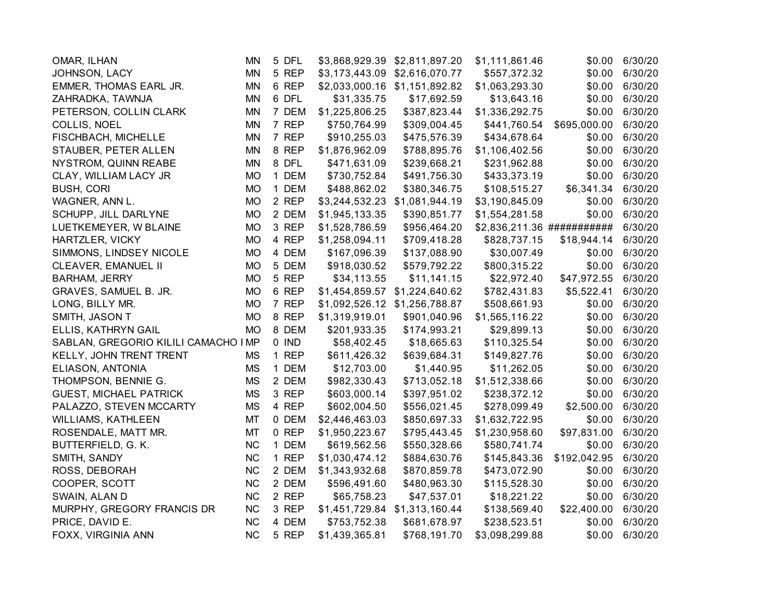| OMAR, ILHAN                          | <b>MN</b> | 5 DFL | \$3,868,929.39 | \$2,811,897.20                | \$1,111,861.46              | \$0.00       | 6/30/20 |
|--------------------------------------|-----------|-------|----------------|-------------------------------|-----------------------------|--------------|---------|
| JOHNSON, LACY                        | <b>MN</b> | 5 REP | \$3,173,443.09 | \$2,616,070.77                | \$557,372.32                | \$0.00       | 6/30/20 |
| EMMER, THOMAS EARL JR.               | <b>MN</b> | 6 REP | \$2,033,000.16 | \$1,151,892.82                | \$1,063,293.30              | \$0.00       | 6/30/20 |
| ZAHRADKA, TAWNJA                     | <b>MN</b> | 6 DFL | \$31,335.75    | \$17,692.59                   | \$13,643.16                 | \$0.00       | 6/30/20 |
| PETERSON, COLLIN CLARK               | <b>MN</b> | 7 DEM | \$1,225,806.25 | \$387,823.44                  | \$1,336,292.75              | \$0.00       | 6/30/20 |
| COLLIS, NOEL                         | <b>MN</b> | 7 REP | \$750,764.99   | \$309,004.45                  | \$441,760.54                | \$695,000.00 | 6/30/20 |
| FISCHBACH, MICHELLE                  | <b>MN</b> | 7 REP | \$910,255.03   | \$475,576.39                  | \$434,678.64                | \$0.00       | 6/30/20 |
| STAUBER, PETER ALLEN                 | <b>MN</b> | 8 REP | \$1,876,962.09 | \$788,895.76                  | \$1,106,402.56              | \$0.00       | 6/30/20 |
| NYSTROM, QUINN REABE                 | <b>MN</b> | 8 DFL | \$471,631.09   | \$239,668.21                  | \$231,962.88                | \$0.00       | 6/30/20 |
| CLAY, WILLIAM LACY JR                | <b>MO</b> | 1 DEM | \$730,752.84   | \$491,756.30                  | \$433,373.19                | \$0.00       | 6/30/20 |
| <b>BUSH, CORI</b>                    | <b>MO</b> | 1 DEM | \$488,862.02   | \$380,346.75                  | \$108,515.27                | \$6,341.34   | 6/30/20 |
| WAGNER, ANN L.                       | <b>MO</b> | 2 REP | \$3,244,532.23 | \$1,081,944.19                | \$3,190,845.09              | \$0.00       | 6/30/20 |
| SCHUPP, JILL DARLYNE                 | <b>MO</b> | 2 DEM | \$1,945,133.35 | \$390,851.77                  | \$1,554,281.58              | \$0.00       | 6/30/20 |
| LUETKEMEYER, W BLAINE                | <b>MO</b> | 3 REP | \$1,528,786.59 | \$956,464.20                  | \$2,836,211.36 ############ |              | 6/30/20 |
| <b>HARTZLER, VICKY</b>               | <b>MO</b> | 4 REP | \$1,258,094.11 | \$709,418.28                  | \$828,737.15                | \$18,944.14  | 6/30/20 |
| SIMMONS, LINDSEY NICOLE              | <b>MO</b> | 4 DEM | \$167,096.39   | \$137,088.90                  | \$30,007.49                 | \$0.00       | 6/30/20 |
| CLEAVER, EMANUEL II                  | <b>MO</b> | 5 DEM | \$918,030.52   | \$579,792.22                  | \$800,315.22                | \$0.00       | 6/30/20 |
| <b>BARHAM, JERRY</b>                 | <b>MO</b> | 5 REP | \$34,113.55    | \$11,141.15                   | \$22,972.40                 | \$47,972.55  | 6/30/20 |
| GRAVES, SAMUEL B. JR.                | <b>MO</b> | 6 REP | \$1,454,859.57 | \$1,224,640.62                | \$782,431.83                | \$5,522.41   | 6/30/20 |
| LONG, BILLY MR.                      | <b>MO</b> | 7 REP | \$1,092,526.12 | \$1,256,788.87                | \$508,661.93                | \$0.00       | 6/30/20 |
| SMITH, JASON T                       | <b>MO</b> | 8 REP | \$1,319,919.01 | \$901,040.96                  | \$1,565,116.22              | \$0.00       | 6/30/20 |
| ELLIS, KATHRYN GAIL                  | <b>MO</b> | 8 DEM | \$201,933.35   | \$174,993.21                  | \$29,899.13                 | \$0.00       | 6/30/20 |
| SABLAN, GREGORIO KILILI CAMACHO I MP |           | 0 IND | \$58,402.45    | \$18,665.63                   | \$110,325.54                | \$0.00       | 6/30/20 |
| KELLY, JOHN TRENT TRENT              | <b>MS</b> | 1 REP | \$611,426.32   | \$639,684.31                  | \$149,827.76                | \$0.00       | 6/30/20 |
| ELIASON, ANTONIA                     | <b>MS</b> | 1 DEM | \$12,703.00    | \$1,440.95                    | \$11,262.05                 | \$0.00       | 6/30/20 |
| THOMPSON, BENNIE G.                  | <b>MS</b> | 2 DEM | \$982,330.43   | \$713,052.18                  | \$1,512,338.66              | \$0.00       | 6/30/20 |
| <b>GUEST, MICHAEL PATRICK</b>        | <b>MS</b> | 3 REP | \$603,000.14   | \$397,951.02                  | \$238,372.12                | \$0.00       | 6/30/20 |
| PALAZZO, STEVEN MCCARTY              | <b>MS</b> | 4 REP | \$602,004.50   | \$556,021.45                  | \$278,099.49                | \$2,500.00   | 6/30/20 |
| <b>WILLIAMS, KATHLEEN</b>            | MT        | 0 DEM | \$2,446,463.03 | \$850,697.33                  | \$1,632,722.95              | \$0.00       | 6/30/20 |
| ROSENDALE, MATT MR.                  | MT        | 0 REP | \$1,950,223.67 | \$795,443.45                  | \$1,230,958.60              | \$97,831.00  | 6/30/20 |
| BUTTERFIELD, G. K.                   | <b>NC</b> | 1 DEM | \$619,562.56   | \$550,328.66                  | \$580,741.74                | \$0.00       | 6/30/20 |
| SMITH, SANDY                         | <b>NC</b> | 1 REP | \$1,030,474.12 | \$884,630.76                  | \$145,843.36                | \$192,042.95 | 6/30/20 |
| ROSS, DEBORAH                        | <b>NC</b> | 2 DEM | \$1,343,932.68 | \$870,859.78                  | \$473,072.90                | \$0.00       | 6/30/20 |
| COOPER, SCOTT                        | <b>NC</b> | 2 DEM | \$596,491.60   | \$480,963.30                  | \$115,528.30                | \$0.00       | 6/30/20 |
| SWAIN, ALAN D                        | <b>NC</b> | 2 REP | \$65,758.23    | \$47,537.01                   | \$18,221.22                 | \$0.00       | 6/30/20 |
| MURPHY, GREGORY FRANCIS DR           | <b>NC</b> | 3 REP |                | \$1,451,729.84 \$1,313,160.44 | \$138,569.40                | \$22,400.00  | 6/30/20 |
| PRICE, DAVID E.                      | <b>NC</b> | 4 DEM | \$753,752.38   | \$681,678.97                  | \$238,523.51                | \$0.00       | 6/30/20 |
| FOXX, VIRGINIA ANN                   | <b>NC</b> | 5 REP | \$1,439,365.81 | \$768,191.70                  | \$3,098,299.88              | \$0.00       | 6/30/20 |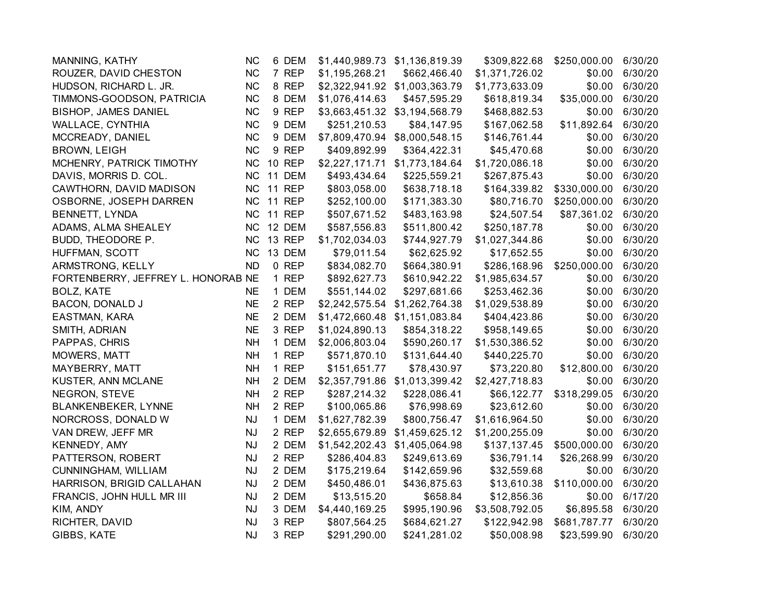| MANNING, KATHY                     | <b>NC</b> | 6 DEM         |                | \$1,440,989.73 \$1,136,819.39 | \$309,822.68   | \$250,000.00 | 6/30/20 |
|------------------------------------|-----------|---------------|----------------|-------------------------------|----------------|--------------|---------|
| ROUZER, DAVID CHESTON              | <b>NC</b> | 7 REP         | \$1,195,268.21 | \$662,466.40                  | \$1,371,726.02 | \$0.00       | 6/30/20 |
| HUDSON, RICHARD L. JR.             | <b>NC</b> | 8 REP         |                |                               | \$1,773,633.09 | \$0.00       | 6/30/20 |
| TIMMONS-GOODSON, PATRICIA          | <b>NC</b> | 8 DEM         | \$1,076,414.63 | \$457,595.29                  | \$618,819.34   | \$35,000.00  | 6/30/20 |
| <b>BISHOP, JAMES DANIEL</b>        | <b>NC</b> | 9 REP         | \$3,663,451.32 | \$3,194,568.79                | \$468,882.53   | \$0.00       | 6/30/20 |
| WALLACE, CYNTHIA                   | <b>NC</b> | 9 DEM         | \$251,210.53   | \$84,147.95                   | \$167,062.58   | \$11,892.64  | 6/30/20 |
| MCCREADY, DANIEL                   | <b>NC</b> | 9 DEM         | \$7,809,470.94 | \$8,000,548.15                | \$146,761.44   | \$0.00       | 6/30/20 |
| <b>BROWN, LEIGH</b>                | <b>NC</b> | 9 REP         | \$409,892.99   | \$364,422.31                  | \$45,470.68    | \$0.00       | 6/30/20 |
| MCHENRY, PATRICK TIMOTHY           | <b>NC</b> | <b>10 REP</b> | \$2,227,171.71 | \$1,773,184.64                | \$1,720,086.18 | \$0.00       | 6/30/20 |
| DAVIS, MORRIS D. COL.              |           | NC 11 DEM     | \$493,434.64   | \$225,559.21                  | \$267,875.43   | \$0.00       | 6/30/20 |
| CAWTHORN, DAVID MADISON            |           | NC 11 REP     | \$803,058.00   | \$638,718.18                  | \$164,339.82   | \$330,000.00 | 6/30/20 |
| OSBORNE, JOSEPH DARREN             |           | NC 11 REP     | \$252,100.00   | \$171,383.30                  | \$80,716.70    | \$250,000.00 | 6/30/20 |
| <b>BENNETT, LYNDA</b>              |           | NC 11 REP     | \$507,671.52   | \$483,163.98                  | \$24,507.54    | \$87,361.02  | 6/30/20 |
| ADAMS, ALMA SHEALEY                |           | NC 12 DEM     | \$587,556.83   | \$511,800.42                  | \$250,187.78   | \$0.00       | 6/30/20 |
| BUDD, THEODORE P.                  |           | NC 13 REP     | \$1,702,034.03 | \$744,927.79                  | \$1,027,344.86 | \$0.00       | 6/30/20 |
| HUFFMAN, SCOTT                     |           | NC 13 DEM     | \$79,011.54    | \$62,625.92                   | \$17,652.55    | \$0.00       | 6/30/20 |
| ARMSTRONG, KELLY                   | <b>ND</b> | 0 REP         | \$834,082.70   | \$664,380.91                  | \$286,168.96   | \$250,000.00 | 6/30/20 |
| FORTENBERRY, JEFFREY L. HONORAB NE |           | 1 REP         | \$892,627.73   | \$610,942.22                  | \$1,985,634.57 | \$0.00       | 6/30/20 |
| BOLZ, KATE                         | <b>NE</b> | 1 DEM         | \$551,144.02   | \$297,681.66                  | \$253,462.36   | \$0.00       | 6/30/20 |
| <b>BACON, DONALD J</b>             | <b>NE</b> | 2 REP         | \$2,242,575.54 | \$1,262,764.38                | \$1,029,538.89 | \$0.00       | 6/30/20 |
| <b>EASTMAN, KARA</b>               | <b>NE</b> | 2 DEM         | \$1,472,660.48 | \$1,151,083.84                | \$404,423.86   | \$0.00       | 6/30/20 |
| SMITH, ADRIAN                      | <b>NE</b> | 3 REP         | \$1,024,890.13 | \$854,318.22                  | \$958,149.65   | \$0.00       | 6/30/20 |
| PAPPAS, CHRIS                      | <b>NH</b> | 1 DEM         | \$2,006,803.04 | \$590,260.17                  | \$1,530,386.52 | \$0.00       | 6/30/20 |
| MOWERS, MATT                       | <b>NH</b> | 1 REP         | \$571,870.10   | \$131,644.40                  | \$440,225.70   | \$0.00       | 6/30/20 |
| MAYBERRY, MATT                     | <b>NH</b> | 1 REP         | \$151,651.77   | \$78,430.97                   | \$73,220.80    | \$12,800.00  | 6/30/20 |
| KUSTER, ANN MCLANE                 | <b>NH</b> | 2 DEM         |                | \$2,357,791.86 \$1,013,399.42 | \$2,427,718.83 | \$0.00       | 6/30/20 |
| NEGRON, STEVE                      | <b>NH</b> | 2 REP         | \$287,214.32   | \$228,086.41                  | \$66,122.77    | \$318,299.05 | 6/30/20 |
| BLANKENBEKER, LYNNE                | <b>NH</b> | 2 REP         | \$100,065.86   | \$76,998.69                   | \$23,612.60    | \$0.00       | 6/30/20 |
| NORCROSS, DONALD W                 | <b>NJ</b> | 1 DEM         | \$1,627,782.39 | \$800,756.47                  | \$1,616,964.50 | \$0.00       | 6/30/20 |
| VAN DREW, JEFF MR                  | NJ        | 2 REP         | \$2,655,679.89 | \$1,459,625.12                | \$1,200,255.09 | \$0.00       | 6/30/20 |
| KENNEDY, AMY                       | <b>NJ</b> | 2 DEM         | \$1,542,202.43 | \$1,405,064.98                | \$137,137.45   | \$500,000.00 | 6/30/20 |
| PATTERSON, ROBERT                  | NJ        | 2 REP         | \$286,404.83   | \$249,613.69                  | \$36,791.14    | \$26,268.99  | 6/30/20 |
| CUNNINGHAM, WILLIAM                | <b>NJ</b> | 2 DEM         | \$175,219.64   | \$142,659.96                  | \$32,559.68    | \$0.00       | 6/30/20 |
| HARRISON, BRIGID CALLAHAN          | <b>NJ</b> | 2 DEM         | \$450,486.01   | \$436,875.63                  | \$13,610.38    | \$110,000.00 | 6/30/20 |
| FRANCIS, JOHN HULL MR III          | <b>NJ</b> | 2 DEM         | \$13,515.20    | \$658.84                      | \$12,856.36    | \$0.00       | 6/17/20 |
| KIM, ANDY                          | <b>NJ</b> | 3 DEM         | \$4,440,169.25 | \$995,190.96                  | \$3,508,792.05 | \$6,895.58   | 6/30/20 |
| RICHTER, DAVID                     | NJ        | 3 REP         | \$807,564.25   | \$684,621.27                  | \$122,942.98   | \$681,787.77 | 6/30/20 |
| GIBBS, KATE                        | <b>NJ</b> | 3 REP         | \$291,290.00   | \$241,281.02                  | \$50,008.98    | \$23,599.90  | 6/30/20 |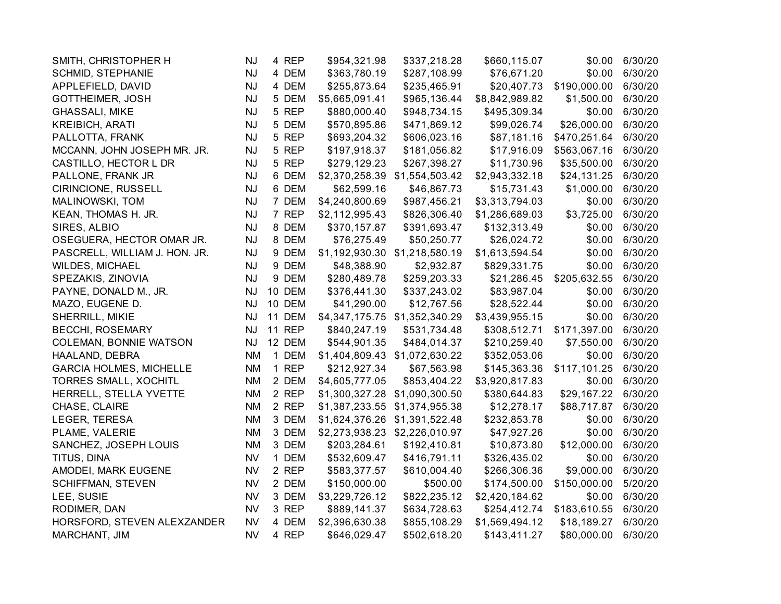| SMITH, CHRISTOPHER H           | <b>NJ</b> | 4 REP         | \$954,321.98   | \$337,218.28                  | \$660,115.07   | \$0.00       | 6/30/20 |
|--------------------------------|-----------|---------------|----------------|-------------------------------|----------------|--------------|---------|
| <b>SCHMID, STEPHANIE</b>       | <b>NJ</b> | 4 DEM         | \$363,780.19   | \$287,108.99                  | \$76,671.20    | \$0.00       | 6/30/20 |
| APPLEFIELD, DAVID              | <b>NJ</b> | 4 DEM         | \$255,873.64   | \$235,465.91                  | \$20,407.73    | \$190,000.00 | 6/30/20 |
| GOTTHEIMER, JOSH               | <b>NJ</b> | 5 DEM         | \$5,665,091.41 | \$965,136.44                  | \$8,842,989.82 | \$1,500.00   | 6/30/20 |
| <b>GHASSALI, MIKE</b>          | <b>NJ</b> | 5 REP         | \$880,000.40   | \$948,734.15                  | \$495,309.34   | \$0.00       | 6/30/20 |
| <b>KREIBICH, ARATI</b>         | <b>NJ</b> | 5 DEM         | \$570,895.86   | \$471,869.12                  | \$99,026.74    | \$26,000.00  | 6/30/20 |
| PALLOTTA, FRANK                | <b>NJ</b> | 5 REP         | \$693,204.32   | \$606,023.16                  | \$87,181.16    | \$470,251.64 | 6/30/20 |
| MCCANN, JOHN JOSEPH MR. JR.    | <b>NJ</b> | 5 REP         | \$197,918.37   | \$181,056.82                  | \$17,916.09    | \$563,067.16 | 6/30/20 |
| CASTILLO, HECTOR L DR          | <b>NJ</b> | 5 REP         | \$279,129.23   | \$267,398.27                  | \$11,730.96    | \$35,500.00  | 6/30/20 |
| PALLONE, FRANK JR              | <b>NJ</b> | 6 DEM         | \$2,370,258.39 | \$1,554,503.42                | \$2,943,332.18 | \$24,131.25  | 6/30/20 |
| CIRINCIONE, RUSSELL            | NJ        | 6 DEM         | \$62,599.16    | \$46,867.73                   | \$15,731.43    | \$1,000.00   | 6/30/20 |
| MALINOWSKI, TOM                | <b>NJ</b> | 7 DEM         | \$4,240,800.69 | \$987,456.21                  | \$3,313,794.03 | \$0.00       | 6/30/20 |
| KEAN, THOMAS H. JR.            | <b>NJ</b> | 7 REP         | \$2,112,995.43 | \$826,306.40                  | \$1,286,689.03 | \$3,725.00   | 6/30/20 |
| SIRES, ALBIO                   | <b>NJ</b> | 8 DEM         | \$370,157.87   | \$391,693.47                  | \$132,313.49   | \$0.00       | 6/30/20 |
| OSEGUERA, HECTOR OMAR JR.      | <b>NJ</b> | 8 DEM         | \$76,275.49    | \$50,250.77                   | \$26,024.72    | \$0.00       | 6/30/20 |
| PASCRELL, WILLIAM J. HON. JR.  | <b>NJ</b> | 9 DEM         | \$1,192,930.30 | \$1,218,580.19                | \$1,613,594.54 | \$0.00       | 6/30/20 |
| <b>WILDES, MICHAEL</b>         | <b>NJ</b> | 9 DEM         | \$48,388.90    | \$2,932.87                    | \$829,331.75   | \$0.00       | 6/30/20 |
| SPEZAKIS, ZINOVIA              | <b>NJ</b> | 9 DEM         | \$280,489.78   | \$259,203.33                  | \$21,286.45    | \$205,632.55 | 6/30/20 |
| PAYNE, DONALD M., JR.          | <b>NJ</b> | 10 DEM        | \$376,441.30   | \$337,243.02                  | \$83,987.04    | \$0.00       | 6/30/20 |
| MAZO, EUGENE D.                | <b>NJ</b> | 10 DEM        | \$41,290.00    | \$12,767.56                   | \$28,522.44    | \$0.00       | 6/30/20 |
| SHERRILL, MIKIE                | <b>NJ</b> | 11 DEM        | \$4,347,175.75 | \$1,352,340.29                | \$3,439,955.15 | \$0.00       | 6/30/20 |
| <b>BECCHI, ROSEMARY</b>        | <b>NJ</b> | <b>11 REP</b> | \$840,247.19   | \$531,734.48                  | \$308,512.71   | \$171,397.00 | 6/30/20 |
| <b>COLEMAN, BONNIE WATSON</b>  | <b>NJ</b> | 12 DEM        | \$544,901.35   | \$484,014.37                  | \$210,259.40   | \$7,550.00   | 6/30/20 |
| HAALAND, DEBRA                 | <b>NM</b> | 1 DEM         |                | \$1,404,809.43 \$1,072,630.22 | \$352,053.06   | \$0.00       | 6/30/20 |
| <b>GARCIA HOLMES, MICHELLE</b> | <b>NM</b> | 1 REP         | \$212,927.34   | \$67,563.98                   | \$145,363.36   | \$117,101.25 | 6/30/20 |
| TORRES SMALL, XOCHITL          | <b>NM</b> | 2 DEM         | \$4,605,777.05 | \$853,404.22                  | \$3,920,817.83 | \$0.00       | 6/30/20 |
| HERRELL, STELLA YVETTE         | <b>NM</b> | 2 REP         | \$1,300,327.28 | \$1,090,300.50                | \$380,644.83   | \$29,167.22  | 6/30/20 |
| CHASE, CLAIRE                  | <b>NM</b> | 2 REP         | \$1,387,233.55 | \$1,374,955.38                | \$12,278.17    | \$88,717.87  | 6/30/20 |
| LEGER, TERESA                  | <b>NM</b> | 3 DEM         | \$1,624,376.26 | \$1,391,522.48                | \$232,853.78   | \$0.00       | 6/30/20 |
| PLAME, VALERIE                 | <b>NM</b> | 3 DEM         | \$2,273,938.23 | \$2,226,010.97                | \$47,927.26    | \$0.00       | 6/30/20 |
| SANCHEZ, JOSEPH LOUIS          | <b>NM</b> | 3 DEM         | \$203,284.61   | \$192,410.81                  | \$10,873.80    | \$12,000.00  | 6/30/20 |
| TITUS, DINA                    | <b>NV</b> | 1 DEM         | \$532,609.47   | \$416,791.11                  | \$326,435.02   | \$0.00       | 6/30/20 |
| AMODEI, MARK EUGENE            | <b>NV</b> | 2 REP         | \$583,377.57   | \$610,004.40                  | \$266,306.36   | \$9,000.00   | 6/30/20 |
| <b>SCHIFFMAN, STEVEN</b>       | <b>NV</b> | 2 DEM         | \$150,000.00   | \$500.00                      | \$174,500.00   | \$150,000.00 | 5/20/20 |
| LEE, SUSIE                     | <b>NV</b> | 3 DEM         | \$3,229,726.12 | \$822,235.12                  | \$2,420,184.62 | \$0.00       | 6/30/20 |
| RODIMER, DAN                   | <b>NV</b> | 3 REP         | \$889,141.37   | \$634,728.63                  | \$254,412.74   | \$183,610.55 | 6/30/20 |
| HORSFORD, STEVEN ALEXZANDER    | <b>NV</b> | 4 DEM         | \$2,396,630.38 | \$855,108.29                  | \$1,569,494.12 | \$18,189.27  | 6/30/20 |
| MARCHANT, JIM                  | <b>NV</b> | 4 REP         | \$646,029.47   | \$502,618.20                  | \$143,411.27   | \$80,000.00  | 6/30/20 |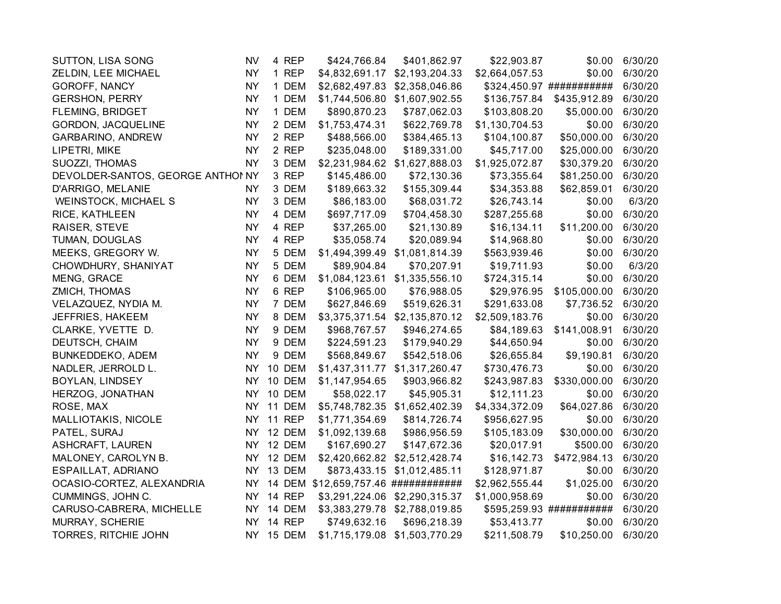| SUTTON, LISA SONG                | <b>NV</b> | 4 REP         | \$424,766.84                            | \$401,862.97                  | \$22,903.87    | \$0.00                    | 6/30/20 |
|----------------------------------|-----------|---------------|-----------------------------------------|-------------------------------|----------------|---------------------------|---------|
| ZELDIN, LEE MICHAEL              | <b>NY</b> | 1 REP         | \$4,832,691.17                          | \$2,193,204.33                | \$2,664,057.53 | \$0.00                    | 6/30/20 |
| GOROFF, NANCY                    | <b>NY</b> | 1 DEM         | \$2,682,497.83                          | \$2,358,046.86                |                | \$324,450.97 ############ | 6/30/20 |
| <b>GERSHON, PERRY</b>            | <b>NY</b> | 1 DEM         | \$1,744,506.80                          | \$1,607,902.55                | \$136,757.84   | \$435,912.89              | 6/30/20 |
| FLEMING, BRIDGET                 | <b>NY</b> | 1 DEM         | \$890,870.23                            | \$787,062.03                  | \$103,808.20   | \$5,000.00                | 6/30/20 |
| GORDON, JACQUELINE               | <b>NY</b> | 2 DEM         | \$1,753,474.31                          | \$622,769.78                  | \$1,130,704.53 | \$0.00                    | 6/30/20 |
| GARBARINO, ANDREW                | <b>NY</b> | 2 REP         | \$488,566.00                            | \$384,465.13                  | \$104,100.87   | \$50,000.00               | 6/30/20 |
| LIPETRI, MIKE                    | <b>NY</b> | 2 REP         | \$235,048.00                            | \$189,331.00                  | \$45,717.00    | \$25,000.00               | 6/30/20 |
| SUOZZI, THOMAS                   | <b>NY</b> | 3 DEM         | \$2,231,984.62                          | \$1,627,888.03                | \$1,925,072.87 | \$30,379.20               | 6/30/20 |
| DEVOLDER-SANTOS, GEORGE ANTHOINY |           | 3 REP         | \$145,486.00                            | \$72,130.36                   | \$73,355.64    | \$81,250.00               | 6/30/20 |
| D'ARRIGO, MELANIE                | <b>NY</b> | 3 DEM         | \$189,663.32                            | \$155,309.44                  | \$34,353.88    | \$62,859.01               | 6/30/20 |
| <b>WEINSTOCK, MICHAEL S</b>      | <b>NY</b> | 3 DEM         | \$86,183.00                             | \$68,031.72                   | \$26,743.14    | \$0.00                    | 6/3/20  |
| RICE, KATHLEEN                   | <b>NY</b> | 4 DEM         | \$697,717.09                            | \$704,458.30                  | \$287,255.68   | \$0.00                    | 6/30/20 |
| RAISER, STEVE                    | <b>NY</b> | 4 REP         | \$37,265.00                             | \$21,130.89                   | \$16,134.11    | \$11,200.00               | 6/30/20 |
| TUMAN, DOUGLAS                   | <b>NY</b> | 4 REP         | \$35,058.74                             | \$20,089.94                   | \$14,968.80    | \$0.00                    | 6/30/20 |
| MEEKS, GREGORY W.                | <b>NY</b> | 5 DEM         | \$1,494,399.49                          | \$1,081,814.39                | \$563,939.46   | \$0.00                    | 6/30/20 |
| CHOWDHURY, SHANIYAT              | <b>NY</b> | 5 DEM         | \$89,904.84                             | \$70,207.91                   | \$19,711.93    | \$0.00                    | 6/3/20  |
| MENG, GRACE                      | <b>NY</b> | 6 DEM         | \$1,084,123.61                          | \$1,335,556.10                | \$724,315.14   | \$0.00                    | 6/30/20 |
| ZMICH, THOMAS                    | <b>NY</b> | 6 REP         | \$106,965.00                            | \$76,988.05                   | \$29,976.95    | \$105,000.00              | 6/30/20 |
| VELAZQUEZ, NYDIA M.              | <b>NY</b> | 7 DEM         | \$627,846.69                            | \$519,626.31                  | \$291,633.08   | \$7,736.52                | 6/30/20 |
| JEFFRIES, HAKEEM                 | <b>NY</b> | 8 DEM         | \$3,375,371.54                          | \$2,135,870.12                | \$2,509,183.76 | \$0.00                    | 6/30/20 |
| CLARKE, YVETTE D.                | <b>NY</b> | 9 DEM         | \$968,767.57                            | \$946,274.65                  | \$84,189.63    | \$141,008.91              | 6/30/20 |
| DEUTSCH, CHAIM                   | <b>NY</b> | 9 DEM         | \$224,591.23                            | \$179,940.29                  | \$44,650.94    | \$0.00                    | 6/30/20 |
| BUNKEDDEKO, ADEM                 | <b>NY</b> | 9 DEM         | \$568,849.67                            | \$542,518.06                  | \$26,655.84    | \$9,190.81                | 6/30/20 |
| NADLER, JERROLD L.               |           | NY 10 DEM     | \$1,437,311.77                          | \$1,317,260.47                | \$730,476.73   | \$0.00                    | 6/30/20 |
| <b>BOYLAN, LINDSEY</b>           |           | NY 10 DEM     | \$1,147,954.65                          | \$903,966.82                  | \$243,987.83   | \$330,000.00              | 6/30/20 |
| HERZOG, JONATHAN                 |           | NY 10 DEM     | \$58,022.17                             | \$45,905.31                   | \$12,111.23    | \$0.00                    | 6/30/20 |
| ROSE, MAX                        |           | NY 11 DEM     |                                         | \$5,748,782.35 \$1,652,402.39 | \$4,334,372.09 | \$64,027.86               | 6/30/20 |
| MALLIOTAKIS, NICOLE              |           | NY 11 REP     | \$1,771,354.69                          | \$814,726.74                  | \$956,627.95   | \$0.00                    | 6/30/20 |
| PATEL, SURAJ                     |           | NY 12 DEM     | \$1,092,139.68                          | \$986,956.59                  | \$105,183.09   | \$30,000.00               | 6/30/20 |
| ASHCRAFT, LAUREN                 |           | NY 12 DEM     | \$167,690.27                            | \$147,672.36                  | \$20,017.91    | \$500.00                  | 6/30/20 |
| MALONEY, CAROLYN B.              |           | NY 12 DEM     | \$2,420,662.82                          | \$2,512,428.74                | \$16,142.73    | \$472,984.13              | 6/30/20 |
| ESPAILLAT, ADRIANO               |           | NY 13 DEM     | \$873,433.15                            | \$1,012,485.11                | \$128,971.87   | \$0.00                    | 6/30/20 |
| OCASIO-CORTEZ, ALEXANDRIA        |           |               | NY 14 DEM \$12,659,757.46 ############# |                               | \$2,962,555.44 | \$1,025.00                | 6/30/20 |
| CUMMINGS, JOHN C.                |           | NY 14 REP     | \$3,291,224.06                          | \$2,290,315.37                | \$1,000,958.69 | \$0.00                    | 6/30/20 |
| CARUSO-CABRERA, MICHELLE         | <b>NY</b> | 14 DEM        | \$3,383,279.78                          | \$2,788,019.85                |                | \$595,259.93 ###########  | 6/30/20 |
| MURRAY, SCHERIE                  | <b>NY</b> | <b>14 REP</b> | \$749,632.16                            | \$696,218.39                  | \$53,413.77    | \$0.00                    | 6/30/20 |
| TORRES, RITCHIE JOHN             | <b>NY</b> | 15 DEM        | \$1,715,179.08                          | \$1,503,770.29                | \$211,508.79   | \$10,250.00               | 6/30/20 |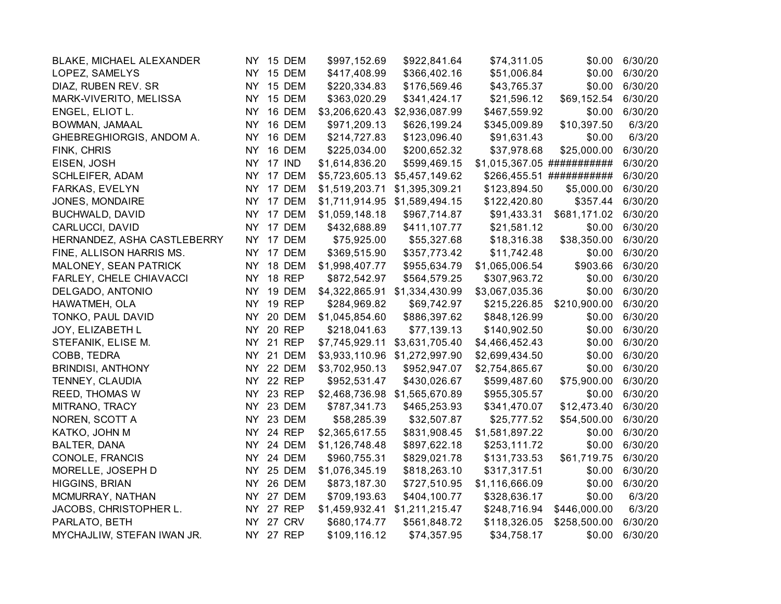| BLAKE, MICHAEL ALEXANDER    |           | NY 15 DEM     | \$997,152.69   | \$922,841.64                  | \$74,311.05                 | \$0.00                   | 6/30/20 |
|-----------------------------|-----------|---------------|----------------|-------------------------------|-----------------------------|--------------------------|---------|
| LOPEZ, SAMELYS              |           | NY 15 DEM     | \$417,408.99   | \$366,402.16                  | \$51,006.84                 | \$0.00                   | 6/30/20 |
| DIAZ, RUBEN REV. SR         |           | NY 15 DEM     | \$220,334.83   | \$176,569.46                  | \$43,765.37                 | \$0.00                   | 6/30/20 |
| MARK-VIVERITO, MELISSA      |           | NY 15 DEM     | \$363,020.29   | \$341,424.17                  | \$21,596.12                 | \$69,152.54              | 6/30/20 |
| ENGEL, ELIOT L.             | <b>NY</b> | 16 DEM        | \$3,206,620.43 | \$2,936,087.99                | \$467,559.92                | \$0.00                   | 6/30/20 |
| BOWMAN, JAMAAL              | <b>NY</b> | 16 DEM        | \$971,209.13   | \$626,199.24                  | \$345,009.89                | \$10,397.50              | 6/3/20  |
| GHEBREGHIORGIS, ANDOM A.    | <b>NY</b> | 16 DEM        | \$214,727.83   | \$123,096.40                  | \$91,631.43                 | \$0.00                   | 6/3/20  |
| FINK, CHRIS                 | <b>NY</b> | 16 DEM        | \$225,034.00   | \$200,652.32                  | \$37,978.68                 | \$25,000.00              | 6/30/20 |
| EISEN, JOSH                 |           | NY 17 IND     | \$1,614,836.20 | \$599,469.15                  | \$1,015,367.05 ############ |                          | 6/30/20 |
| SCHLEIFER, ADAM             |           | NY 17 DEM     | \$5,723,605.13 | \$5,457,149.62                |                             | \$266,455.51 ########### | 6/30/20 |
| FARKAS, EVELYN              |           | NY 17 DEM     | \$1,519,203.71 | \$1,395,309.21                | \$123,894.50                | \$5,000.00               | 6/30/20 |
| JONES, MONDAIRE             |           | NY 17 DEM     | \$1,711,914.95 | \$1,589,494.15                | \$122,420.80                | \$357.44                 | 6/30/20 |
| <b>BUCHWALD, DAVID</b>      |           | NY 17 DEM     | \$1,059,148.18 | \$967,714.87                  | \$91,433.31                 | \$681,171.02             | 6/30/20 |
| CARLUCCI, DAVID             |           | NY 17 DEM     | \$432,688.89   | \$411,107.77                  | \$21,581.12                 | \$0.00                   | 6/30/20 |
| HERNANDEZ, ASHA CASTLEBERRY |           | NY 17 DEM     | \$75,925.00    | \$55,327.68                   | \$18,316.38                 | \$38,350.00              | 6/30/20 |
| FINE, ALLISON HARRIS MS.    |           | NY 17 DEM     | \$369,515.90   | \$357,773.42                  | \$11,742.48                 | \$0.00                   | 6/30/20 |
| MALONEY, SEAN PATRICK       |           | NY 18 DEM     | \$1,998,407.77 | \$955,634.79                  | \$1,065,006.54              | \$903.66                 | 6/30/20 |
| FARLEY, CHELE CHIAVACCI     |           | NY 18 REP     | \$872,542.97   | \$564,579.25                  | \$307,963.72                | \$0.00                   | 6/30/20 |
| DELGADO, ANTONIO            |           | NY 19 DEM     | \$4,322,865.91 | \$1,334,430.99                | \$3,067,035.36              | \$0.00                   | 6/30/20 |
| HAWATMEH, OLA               |           | NY 19 REP     | \$284,969.82   | \$69,742.97                   | \$215,226.85                | \$210,900.00             | 6/30/20 |
| TONKO, PAUL DAVID           |           | NY 20 DEM     | \$1,045,854.60 | \$886,397.62                  | \$848,126.99                | \$0.00                   | 6/30/20 |
| JOY, ELIZABETH L            |           | NY 20 REP     | \$218,041.63   | \$77,139.13                   | \$140,902.50                | \$0.00                   | 6/30/20 |
| STEFANIK, ELISE M.          |           | NY 21 REP     | \$7,745,929.11 | \$3,631,705.40                | \$4,466,452.43              | \$0.00                   | 6/30/20 |
| COBB, TEDRA                 |           | NY 21 DEM     | \$3,933,110.96 | \$1,272,997.90                | \$2,699,434.50              | \$0.00                   | 6/30/20 |
| <b>BRINDISI, ANTHONY</b>    |           | NY 22 DEM     | \$3,702,950.13 | \$952,947.07                  | \$2,754,865.67              | \$0.00                   | 6/30/20 |
| TENNEY, CLAUDIA             |           | NY 22 REP     | \$952,531.47   | \$430,026.67                  | \$599,487.60                | \$75,900.00              | 6/30/20 |
| <b>REED, THOMAS W</b>       |           | NY 23 REP     |                | \$2,468,736.98 \$1,565,670.89 | \$955,305.57                | \$0.00                   | 6/30/20 |
| MITRANO, TRACY              |           | NY 23 DEM     | \$787,341.73   | \$465,253.93                  | \$341,470.07                | \$12,473.40              | 6/30/20 |
| NOREN, SCOTT A              | NY I      | 23 DEM        | \$58,285.39    | \$32,507.87                   | \$25,777.52                 | \$54,500.00              | 6/30/20 |
| KATKO, JOHN M               |           | NY 24 REP     | \$2,365,617.55 | \$831,908.45                  | \$1,581,897.22              | \$0.00                   | 6/30/20 |
| BALTER, DANA                |           | NY 24 DEM     | \$1,126,748.48 | \$897,622.18                  | \$253,111.72                | \$0.00                   | 6/30/20 |
| CONOLE, FRANCIS             |           | NY 24 DEM     | \$960,755.31   | \$829,021.78                  | \$131,733.53                | \$61,719.75              | 6/30/20 |
| MORELLE, JOSEPH D           |           | NY 25 DEM     | \$1,076,345.19 | \$818,263.10                  | \$317,317.51                | \$0.00                   | 6/30/20 |
| HIGGINS, BRIAN              | <b>NY</b> | 26 DEM        | \$873,187.30   | \$727,510.95                  | \$1,116,666.09              | \$0.00                   | 6/30/20 |
| MCMURRAY, NATHAN            | NY        | 27 DEM        | \$709,193.63   | \$404,100.77                  | \$328,636.17                | \$0.00                   | 6/3/20  |
| JACOBS, CHRISTOPHER L.      | NY        | <b>27 REP</b> | \$1,459,932.41 | \$1,211,215.47                | \$248,716.94                | \$446,000.00             | 6/3/20  |
| PARLATO, BETH               | <b>NY</b> | 27 CRV        | \$680,174.77   | \$561,848.72                  | \$118,326.05                | \$258,500.00             | 6/30/20 |
| MYCHAJLIW, STEFAN IWAN JR.  | NY        | <b>27 REP</b> | \$109,116.12   | \$74,357.95                   | \$34,758.17                 | \$0.00                   | 6/30/20 |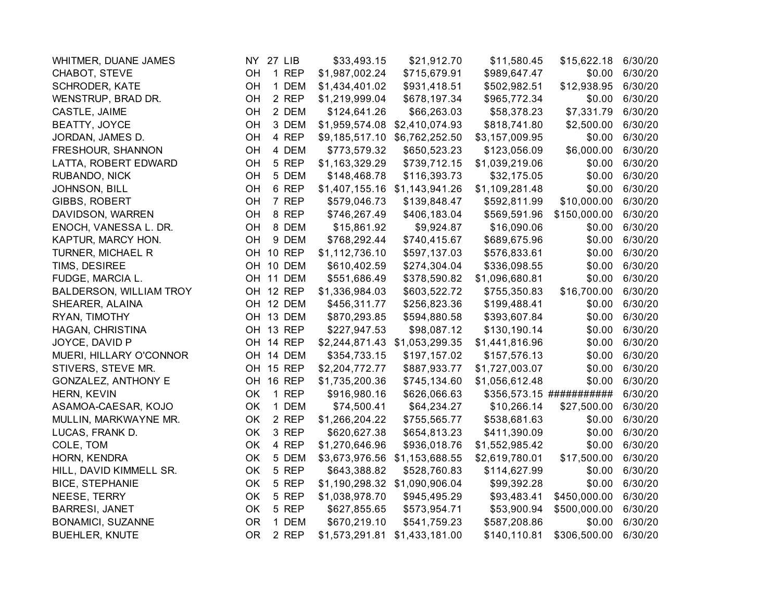|           |  | \$33,493.15                                                                                                                                                                                                                                                                                                                                                                                        | \$21,912.70    | \$11,580.45                                                                                                                                        | \$15,622.18  | 6/30/20                   |
|-----------|--|----------------------------------------------------------------------------------------------------------------------------------------------------------------------------------------------------------------------------------------------------------------------------------------------------------------------------------------------------------------------------------------------------|----------------|----------------------------------------------------------------------------------------------------------------------------------------------------|--------------|---------------------------|
| OH        |  | \$1,987,002.24                                                                                                                                                                                                                                                                                                                                                                                     | \$715,679.91   | \$989,647.47                                                                                                                                       | \$0.00       | 6/30/20                   |
| OH        |  | \$1,434,401.02                                                                                                                                                                                                                                                                                                                                                                                     | \$931,418.51   | \$502,982.51                                                                                                                                       | \$12,938.95  | 6/30/20                   |
| OH        |  | \$1,219,999.04                                                                                                                                                                                                                                                                                                                                                                                     | \$678,197.34   | \$965,772.34                                                                                                                                       | \$0.00       | 6/30/20                   |
| OH        |  | \$124,641.26                                                                                                                                                                                                                                                                                                                                                                                       | \$66,263.03    | \$58,378.23                                                                                                                                        | \$7,331.79   | 6/30/20                   |
| OH        |  | \$1,959,574.08                                                                                                                                                                                                                                                                                                                                                                                     | \$2,410,074.93 | \$818,741.80                                                                                                                                       | \$2,500.00   | 6/30/20                   |
| OH        |  | \$9,185,517.10                                                                                                                                                                                                                                                                                                                                                                                     | \$6,762,252.50 | \$3,157,009.95                                                                                                                                     | \$0.00       | 6/30/20                   |
| OH        |  | \$773,579.32                                                                                                                                                                                                                                                                                                                                                                                       | \$650,523.23   | \$123,056.09                                                                                                                                       | \$6,000.00   | 6/30/20                   |
| OH        |  | \$1,163,329.29                                                                                                                                                                                                                                                                                                                                                                                     | \$739,712.15   | \$1,039,219.06                                                                                                                                     | \$0.00       | 6/30/20                   |
| OH        |  | \$148,468.78                                                                                                                                                                                                                                                                                                                                                                                       | \$116,393.73   | \$32,175.05                                                                                                                                        | \$0.00       | 6/30/20                   |
| OH        |  |                                                                                                                                                                                                                                                                                                                                                                                                    |                | \$1,109,281.48                                                                                                                                     | \$0.00       | 6/30/20                   |
| OH        |  | \$579,046.73                                                                                                                                                                                                                                                                                                                                                                                       | \$139,848.47   | \$592,811.99                                                                                                                                       | \$10,000.00  | 6/30/20                   |
| OH        |  | \$746,267.49                                                                                                                                                                                                                                                                                                                                                                                       | \$406,183.04   | \$569,591.96                                                                                                                                       | \$150,000.00 | 6/30/20                   |
| OH        |  | \$15,861.92                                                                                                                                                                                                                                                                                                                                                                                        | \$9,924.87     | \$16,090.06                                                                                                                                        | \$0.00       | 6/30/20                   |
| OH        |  | \$768,292.44                                                                                                                                                                                                                                                                                                                                                                                       | \$740,415.67   | \$689,675.96                                                                                                                                       | \$0.00       | 6/30/20                   |
|           |  | \$1,112,736.10                                                                                                                                                                                                                                                                                                                                                                                     | \$597,137.03   | \$576,833.61                                                                                                                                       | \$0.00       | 6/30/20                   |
|           |  | \$610,402.59                                                                                                                                                                                                                                                                                                                                                                                       | \$274,304.04   | \$336,098.55                                                                                                                                       | \$0.00       | 6/30/20                   |
|           |  | \$551,686.49                                                                                                                                                                                                                                                                                                                                                                                       | \$378,590.82   | \$1,096,680.81                                                                                                                                     | \$0.00       | 6/30/20                   |
|           |  | \$1,336,984.03                                                                                                                                                                                                                                                                                                                                                                                     | \$603,522.72   | \$755,350.83                                                                                                                                       | \$16,700.00  | 6/30/20                   |
|           |  | \$456,311.77                                                                                                                                                                                                                                                                                                                                                                                       | \$256,823.36   | \$199,488.41                                                                                                                                       | \$0.00       | 6/30/20                   |
|           |  | \$870,293.85                                                                                                                                                                                                                                                                                                                                                                                       | \$594,880.58   | \$393,607.84                                                                                                                                       | \$0.00       | 6/30/20                   |
|           |  | \$227,947.53                                                                                                                                                                                                                                                                                                                                                                                       | \$98,087.12    | \$130,190.14                                                                                                                                       | \$0.00       | 6/30/20                   |
|           |  |                                                                                                                                                                                                                                                                                                                                                                                                    | \$1,053,299.35 | \$1,441,816.96                                                                                                                                     | \$0.00       | 6/30/20                   |
|           |  | \$354,733.15                                                                                                                                                                                                                                                                                                                                                                                       | \$197,157.02   | \$157,576.13                                                                                                                                       | \$0.00       | 6/30/20                   |
|           |  | \$2,204,772.77                                                                                                                                                                                                                                                                                                                                                                                     | \$887,933.77   | \$1,727,003.07                                                                                                                                     | \$0.00       | 6/30/20                   |
|           |  | \$1,735,200.36                                                                                                                                                                                                                                                                                                                                                                                     | \$745,134.60   | \$1,056,612.48                                                                                                                                     | \$0.00       | 6/30/20                   |
| OK        |  | \$916,980.16                                                                                                                                                                                                                                                                                                                                                                                       | \$626,066.63   |                                                                                                                                                    |              | 6/30/20                   |
| OK        |  | \$74,500.41                                                                                                                                                                                                                                                                                                                                                                                        | \$64,234.27    | \$10,266.14                                                                                                                                        | \$27,500.00  | 6/30/20                   |
| OK        |  | \$1,266,204.22                                                                                                                                                                                                                                                                                                                                                                                     | \$755,565.77   | \$538,681.63                                                                                                                                       | \$0.00       | 6/30/20                   |
| OK        |  | \$620,627.38                                                                                                                                                                                                                                                                                                                                                                                       | \$654,813.23   | \$411,390.09                                                                                                                                       | \$0.00       | 6/30/20                   |
| OK        |  | \$1,270,646.96                                                                                                                                                                                                                                                                                                                                                                                     | \$936,018.76   | \$1,552,985.42                                                                                                                                     | \$0.00       | 6/30/20                   |
| OK        |  |                                                                                                                                                                                                                                                                                                                                                                                                    |                | \$2,619,780.01                                                                                                                                     | \$17,500.00  | 6/30/20                   |
| OK        |  | \$643,388.82                                                                                                                                                                                                                                                                                                                                                                                       | \$528,760.83   | \$114,627.99                                                                                                                                       | \$0.00       | 6/30/20                   |
| OK        |  |                                                                                                                                                                                                                                                                                                                                                                                                    |                |                                                                                                                                                    | \$0.00       | 6/30/20                   |
| OK        |  | \$1,038,978.70                                                                                                                                                                                                                                                                                                                                                                                     | \$945,495.29   | \$93,483.41                                                                                                                                        | \$450,000.00 | 6/30/20                   |
| OK        |  | \$627,855.65                                                                                                                                                                                                                                                                                                                                                                                       | \$573,954.71   | \$53,900.94                                                                                                                                        | \$500,000.00 | 6/30/20                   |
| <b>OR</b> |  | \$670,219.10                                                                                                                                                                                                                                                                                                                                                                                       | \$541,759.23   | \$587,208.86                                                                                                                                       | \$0.00       | 6/30/20                   |
| <b>OR</b> |  |                                                                                                                                                                                                                                                                                                                                                                                                    |                | \$140,110.81                                                                                                                                       | \$306,500.00 | 6/30/20                   |
|           |  | NY 27 LIB<br>1 REP<br>1 DEM<br>2 REP<br>2 DEM<br>3 DEM<br>4 REP<br>4 DEM<br>5 REP<br>5 DEM<br>6 REP<br>7 REP<br>8 REP<br>8 DEM<br>9 DEM<br>OH 10 REP<br>OH 10 DEM<br>OH 11 DEM<br>OH 12 REP<br>OH 12 DEM<br>OH 13 DEM<br>OH 13 REP<br>OH 14 REP<br>OH 14 DEM<br>OH 15 REP<br>OH 16 REP<br>1 REP<br>1 DEM<br>2 REP<br>3 REP<br>4 REP<br>5 DEM<br>5 REP<br>5 REP<br>5 REP<br>5 REP<br>1 DEM<br>2 REP |                | \$1,407,155.16 \$1,143,941.26<br>\$2,244,871.43<br>\$3,673,976.56 \$1,153,688.55<br>\$1,190,298.32 \$1,090,906.04<br>\$1,573,291.81 \$1,433,181.00 | \$99,392.28  | \$356,573.15 ############ |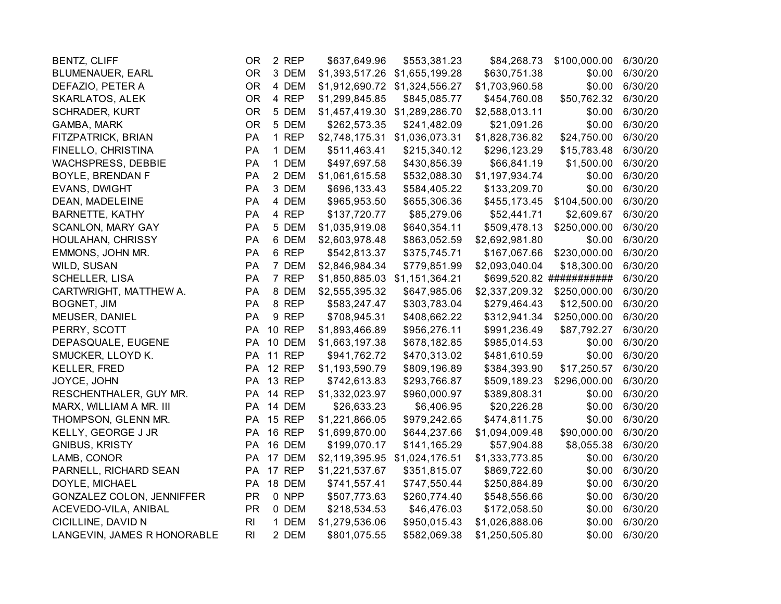| <b>BENTZ, CLIFF</b>         | <b>OR</b>      |               | 2 REP         | \$637,649.96   | \$553,381.23   | \$84,268.73    | \$100,000.00              | 6/30/20 |
|-----------------------------|----------------|---------------|---------------|----------------|----------------|----------------|---------------------------|---------|
| BLUMENAUER, EARL            | <b>OR</b>      |               | 3 DEM         | \$1,393,517.26 | \$1,655,199.28 | \$630,751.38   | \$0.00                    | 6/30/20 |
| DEFAZIO, PETER A            | <b>OR</b>      |               | 4 DEM         | \$1,912,690.72 | \$1,324,556.27 | \$1,703,960.58 | \$0.00                    | 6/30/20 |
| SKARLATOS, ALEK             | <b>OR</b>      |               | 4 REP         | \$1,299,845.85 | \$845,085.77   | \$454,760.08   | \$50,762.32               | 6/30/20 |
| <b>SCHRADER, KURT</b>       | <b>OR</b>      |               | 5 DEM         | \$1,457,419.30 | \$1,289,286.70 | \$2,588,013.11 | \$0.00                    | 6/30/20 |
| GAMBA, MARK                 | <b>OR</b>      |               | 5 DEM         | \$262,573.35   | \$241,482.09   | \$21,091.26    | \$0.00                    | 6/30/20 |
| FITZPATRICK, BRIAN          | PA             |               | 1 REP         | \$2,748,175.31 | \$1,036,073.31 | \$1,828,736.82 | \$24,750.00               | 6/30/20 |
| FINELLO, CHRISTINA          | PA             |               | 1 DEM         | \$511,463.41   | \$215,340.12   | \$296,123.29   | \$15,783.48               | 6/30/20 |
| <b>WACHSPRESS, DEBBIE</b>   | PA             | $\mathbf{1}$  | <b>DEM</b>    | \$497,697.58   | \$430,856.39   | \$66,841.19    | \$1,500.00                | 6/30/20 |
| <b>BOYLE, BRENDAN F</b>     | PA             |               | 2 DEM         | \$1,061,615.58 | \$532,088.30   | \$1,197,934.74 | \$0.00                    | 6/30/20 |
| EVANS, DWIGHT               | PA             |               | 3 DEM         | \$696,133.43   | \$584,405.22   | \$133,209.70   | \$0.00                    | 6/30/20 |
| DEAN, MADELEINE             | PA             |               | 4 DEM         | \$965,953.50   | \$655,306.36   | \$455,173.45   | \$104,500.00              | 6/30/20 |
| <b>BARNETTE, KATHY</b>      | PA             |               | 4 REP         | \$137,720.77   | \$85,279.06    | \$52,441.71    | \$2,609.67                | 6/30/20 |
| <b>SCANLON, MARY GAY</b>    | PA             |               | 5 DEM         | \$1,035,919.08 | \$640,354.11   | \$509,478.13   | \$250,000.00              | 6/30/20 |
| HOULAHAN, CHRISSY           | PA             |               | 6 DEM         | \$2,603,978.48 | \$863,052.59   | \$2,692,981.80 | \$0.00                    | 6/30/20 |
| EMMONS, JOHN MR.            | PA             |               | 6 REP         | \$542,813.37   | \$375,745.71   | \$167,067.66   | \$230,000.00              | 6/30/20 |
| WILD, SUSAN                 | PA             |               | 7 DEM         | \$2,846,984.34 | \$779,851.99   | \$2,093,040.04 | \$18,300.00               | 6/30/20 |
| SCHELLER, LISA              | PA             |               | 7 REP         | \$1,850,885.03 | \$1,151,364.21 |                | \$699,520.82 ############ | 6/30/20 |
| CARTWRIGHT, MATTHEW A.      | PA             |               | 8 DEM         | \$2,555,395.32 | \$647,985.06   | \$2,337,209.32 | \$250,000.00              | 6/30/20 |
| <b>BOGNET, JIM</b>          | PA             |               | 8 REP         | \$583,247.47   | \$303,783.04   | \$279,464.43   | \$12,500.00               | 6/30/20 |
| MEUSER, DANIEL              | PA             |               | 9 REP         | \$708,945.31   | \$408,662.22   | \$312,941.34   | \$250,000.00              | 6/30/20 |
| PERRY, SCOTT                | PA             |               | <b>10 REP</b> | \$1,893,466.89 | \$956,276.11   | \$991,236.49   | \$87,792.27               | 6/30/20 |
| DEPASQUALE, EUGENE          | PA             | 10            | <b>DEM</b>    | \$1,663,197.38 | \$678,182.85   | \$985,014.53   | \$0.00                    | 6/30/20 |
| SMUCKER, LLOYD K.           | PA             |               | <b>11 REP</b> | \$941,762.72   | \$470,313.02   | \$481,610.59   | \$0.00                    | 6/30/20 |
| <b>KELLER, FRED</b>         |                | PA 12 REP     |               | \$1,193,590.79 | \$809,196.89   | \$384,393.90   | \$17,250.57               | 6/30/20 |
| JOYCE, JOHN                 | PA             | 13 REP        |               | \$742,613.83   | \$293,766.87   | \$509,189.23   | \$296,000.00              | 6/30/20 |
| RESCHENTHALER, GUY MR.      | PA             | <b>14 REP</b> |               | \$1,332,023.97 | \$960,000.97   | \$389,808.31   | \$0.00                    | 6/30/20 |
| MARX, WILLIAM A MR. III     | PA             |               | 14 DEM        | \$26,633.23    | \$6,406.95     | \$20,226.28    | \$0.00                    | 6/30/20 |
| THOMPSON, GLENN MR.         | PA             | <b>15 REP</b> |               | \$1,221,866.05 | \$979,242.65   | \$474,811.75   | \$0.00                    | 6/30/20 |
| KELLY, GEORGE J JR          | PA             | <b>16 REP</b> |               | \$1,699,870.00 | \$644,237.66   | \$1,094,009.48 | \$90,000.00               | 6/30/20 |
| <b>GNIBUS, KRISTY</b>       | PA             | 16            | <b>DEM</b>    | \$199,070.17   | \$141,165.29   | \$57,904.88    | \$8,055.38                | 6/30/20 |
| LAMB, CONOR                 | <b>PA</b>      |               | 17 DEM        | \$2,119,395.95 | \$1,024,176.51 | \$1,333,773.85 | \$0.00                    | 6/30/20 |
| PARNELL, RICHARD SEAN       | <b>PA</b>      | <b>17 REP</b> |               | \$1,221,537.67 | \$351,815.07   | \$869,722.60   | \$0.00                    | 6/30/20 |
| DOYLE, MICHAEL              | PA             |               | 18 DEM        | \$741,557.41   | \$747,550.44   | \$250,884.89   | \$0.00                    | 6/30/20 |
| GONZALEZ COLON, JENNIFFER   | <b>PR</b>      |               | 0 NPP         | \$507,773.63   | \$260,774.40   | \$548,556.66   | \$0.00                    | 6/30/20 |
| ACEVEDO-VILA, ANIBAL        | <b>PR</b>      |               | 0 DEM         | \$218,534.53   | \$46,476.03    | \$172,058.50   | \$0.00                    | 6/30/20 |
| CICILLINE, DAVID N          | R <sub>l</sub> | 1             | <b>DEM</b>    | \$1,279,536.06 | \$950,015.43   | \$1,026,888.06 | \$0.00                    | 6/30/20 |
| LANGEVIN, JAMES R HONORABLE | R <sub>l</sub> |               | 2 DEM         | \$801,075.55   | \$582,069.38   | \$1,250,505.80 | \$0.00                    | 6/30/20 |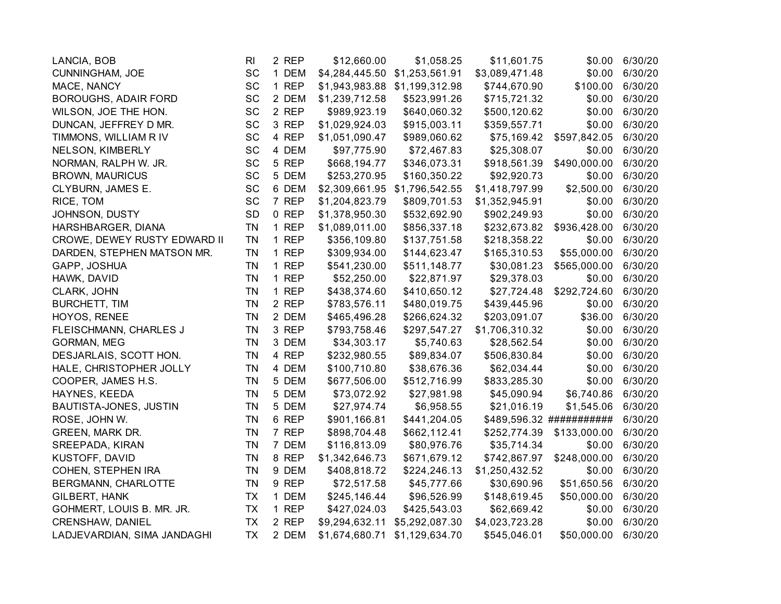| LANCIA, BOB                  | R <sub>l</sub> | 2 REP | \$12,660.00    | \$1,058.25     | \$11,601.75    | \$0.00                    | 6/30/20 |
|------------------------------|----------------|-------|----------------|----------------|----------------|---------------------------|---------|
| <b>CUNNINGHAM, JOE</b>       | SC             | 1 DEM | \$4,284,445.50 | \$1,253,561.91 | \$3,089,471.48 | \$0.00                    | 6/30/20 |
| MACE, NANCY                  | SC             | 1 REP | \$1,943,983.88 | \$1,199,312.98 | \$744,670.90   | \$100.00                  | 6/30/20 |
| <b>BOROUGHS, ADAIR FORD</b>  | SC             | 2 DEM | \$1,239,712.58 | \$523,991.26   | \$715,721.32   | \$0.00                    | 6/30/20 |
| WILSON, JOE THE HON.         | SC             | 2 REP | \$989,923.19   | \$640,060.32   | \$500,120.62   | \$0.00                    | 6/30/20 |
| DUNCAN, JEFFREY D MR.        | SC             | 3 REP | \$1,029,924.03 | \$915,003.11   | \$359,557.71   | \$0.00                    | 6/30/20 |
| TIMMONS, WILLIAM R IV        | SC             | 4 REP | \$1,051,090.47 | \$989,060.62   | \$75,169.42    | \$597,842.05              | 6/30/20 |
| NELSON, KIMBERLY             | SC             | 4 DEM | \$97,775.90    | \$72,467.83    | \$25,308.07    | \$0.00                    | 6/30/20 |
| NORMAN, RALPH W. JR.         | SC             | 5 REP | \$668,194.77   | \$346,073.31   | \$918,561.39   | \$490,000.00              | 6/30/20 |
| <b>BROWN, MAURICUS</b>       | SC             | 5 DEM | \$253,270.95   | \$160,350.22   | \$92,920.73    | \$0.00                    | 6/30/20 |
| CLYBURN, JAMES E.            | SC             | 6 DEM | \$2,309,661.95 | \$1,796,542.55 | \$1,418,797.99 | \$2,500.00                | 6/30/20 |
| RICE, TOM                    | SC             | 7 REP | \$1,204,823.79 | \$809,701.53   | \$1,352,945.91 | \$0.00                    | 6/30/20 |
| JOHNSON, DUSTY               | <b>SD</b>      | 0 REP | \$1,378,950.30 | \$532,692.90   | \$902,249.93   | \$0.00                    | 6/30/20 |
| HARSHBARGER, DIANA           | <b>TN</b>      | 1 REP | \$1,089,011.00 | \$856,337.18   | \$232,673.82   | \$936,428.00              | 6/30/20 |
| CROWE, DEWEY RUSTY EDWARD II | <b>TN</b>      | 1 REP | \$356,109.80   | \$137,751.58   | \$218,358.22   | \$0.00                    | 6/30/20 |
| DARDEN, STEPHEN MATSON MR.   | <b>TN</b>      | 1 REP | \$309,934.00   | \$144,623.47   | \$165,310.53   | \$55,000.00               | 6/30/20 |
| GAPP, JOSHUA                 | <b>TN</b>      | 1 REP | \$541,230.00   | \$511,148.77   | \$30,081.23    | \$565,000.00              | 6/30/20 |
| HAWK, DAVID                  | <b>TN</b>      | 1 REP | \$52,250.00    | \$22,871.97    | \$29,378.03    | \$0.00                    | 6/30/20 |
| CLARK, JOHN                  | <b>TN</b>      | 1 REP | \$438,374.60   | \$410,650.12   | \$27,724.48    | \$292,724.60              | 6/30/20 |
| <b>BURCHETT, TIM</b>         | <b>TN</b>      | 2 REP | \$783,576.11   | \$480,019.75   | \$439,445.96   | \$0.00                    | 6/30/20 |
| HOYOS, RENEE                 | <b>TN</b>      | 2 DEM | \$465,496.28   | \$266,624.32   | \$203,091.07   | \$36.00                   | 6/30/20 |
| FLEISCHMANN, CHARLES J       | <b>TN</b>      | 3 REP | \$793,758.46   | \$297,547.27   | \$1,706,310.32 | \$0.00                    | 6/30/20 |
| GORMAN, MEG                  | <b>TN</b>      | 3 DEM | \$34,303.17    | \$5,740.63     | \$28,562.54    | \$0.00                    | 6/30/20 |
| DESJARLAIS, SCOTT HON.       | <b>TN</b>      | 4 REP | \$232,980.55   | \$89,834.07    | \$506,830.84   | \$0.00                    | 6/30/20 |
| HALE, CHRISTOPHER JOLLY      | <b>TN</b>      | 4 DEM | \$100,710.80   | \$38,676.36    | \$62,034.44    | \$0.00                    | 6/30/20 |
| COOPER, JAMES H.S.           | <b>TN</b>      | 5 DEM | \$677,506.00   | \$512,716.99   | \$833,285.30   | \$0.00                    | 6/30/20 |
| HAYNES, KEEDA                | <b>TN</b>      | 5 DEM | \$73,072.92    | \$27,981.98    | \$45,090.94    | \$6,740.86                | 6/30/20 |
| BAUTISTA-JONES, JUSTIN       | <b>TN</b>      | 5 DEM | \$27,974.74    | \$6,958.55     | \$21,016.19    | \$1,545.06                | 6/30/20 |
| ROSE, JOHN W.                | <b>TN</b>      | 6 REP | \$901,166.81   | \$441,204.05   |                | \$489,596.32 ############ | 6/30/20 |
| GREEN, MARK DR.              | <b>TN</b>      | 7 REP | \$898,704.48   | \$662,112.41   | \$252,774.39   | \$133,000.00              | 6/30/20 |
| SREEPADA, KIRAN              | <b>TN</b>      | 7 DEM | \$116,813.09   | \$80,976.76    | \$35,714.34    | \$0.00                    | 6/30/20 |
| KUSTOFF, DAVID               | <b>TN</b>      | 8 REP | \$1,342,646.73 | \$671,679.12   | \$742,867.97   | \$248,000.00              | 6/30/20 |
| COHEN, STEPHEN IRA           | <b>TN</b>      | 9 DEM | \$408,818.72   | \$224,246.13   | \$1,250,432.52 | \$0.00                    | 6/30/20 |
| BERGMANN, CHARLOTTE          | <b>TN</b>      | 9 REP | \$72,517.58    | \$45,777.66    | \$30,690.96    | \$51,650.56               | 6/30/20 |
| GILBERT, HANK                | <b>TX</b>      | 1 DEM | \$245,146.44   | \$96,526.99    | \$148,619.45   | \$50,000.00               | 6/30/20 |
| GOHMERT, LOUIS B. MR. JR.    | <b>TX</b>      | 1 REP | \$427,024.03   | \$425,543.03   | \$62,669.42    | \$0.00                    | 6/30/20 |
| <b>CRENSHAW, DANIEL</b>      | <b>TX</b>      | 2 REP | \$9,294,632.11 | \$5,292,087.30 | \$4,023,723.28 | \$0.00                    | 6/30/20 |
| LADJEVARDIAN, SIMA JANDAGHI  | <b>TX</b>      | 2 DEM | \$1,674,680.71 | \$1,129,634.70 | \$545,046.01   | \$50,000.00               | 6/30/20 |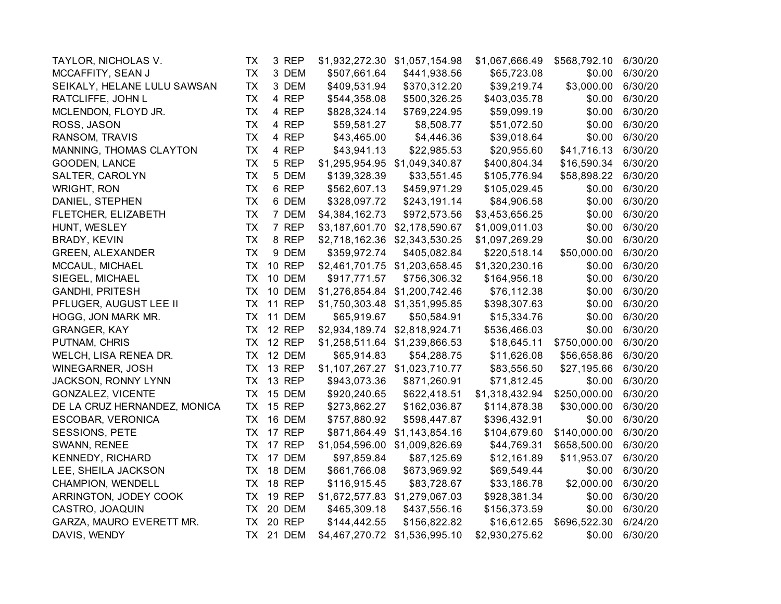| TAYLOR, NICHOLAS V.          | ТX        | 3 REP            | \$1,932,272.30 | \$1,057,154.98                | \$1,067,666.49 | \$568,792.10 | 6/30/20 |
|------------------------------|-----------|------------------|----------------|-------------------------------|----------------|--------------|---------|
| MCCAFFITY, SEAN J            | <b>TX</b> | 3 DEM            | \$507,661.64   | \$441,938.56                  | \$65,723.08    | \$0.00       | 6/30/20 |
| SEIKALY, HELANE LULU SAWSAN  | <b>TX</b> | 3 DEM            | \$409,531.94   | \$370,312.20                  | \$39,219.74    | \$3,000.00   | 6/30/20 |
| RATCLIFFE, JOHN L            | <b>TX</b> | 4 REP            | \$544,358.08   | \$500,326.25                  | \$403,035.78   | \$0.00       | 6/30/20 |
| MCLENDON, FLOYD JR.          | <b>TX</b> | 4 REP            | \$828,324.14   | \$769,224.95                  | \$59,099.19    | \$0.00       | 6/30/20 |
| ROSS, JASON                  | <b>TX</b> | 4 REP            | \$59,581.27    | \$8,508.77                    | \$51,072.50    | \$0.00       | 6/30/20 |
| RANSOM, TRAVIS               | <b>TX</b> | 4 REP            | \$43,465.00    | \$4,446.36                    | \$39,018.64    | \$0.00       | 6/30/20 |
| MANNING, THOMAS CLAYTON      | <b>TX</b> | 4 REP            | \$43,941.13    | \$22,985.53                   | \$20,955.60    | \$41,716.13  | 6/30/20 |
| GOODEN, LANCE                | <b>TX</b> | 5 REP            | \$1,295,954.95 | \$1,049,340.87                | \$400,804.34   | \$16,590.34  | 6/30/20 |
| SALTER, CAROLYN              | <b>TX</b> | 5 DEM            | \$139,328.39   | \$33,551.45                   | \$105,776.94   | \$58,898.22  | 6/30/20 |
| <b>WRIGHT, RON</b>           | <b>TX</b> | 6 REP            | \$562,607.13   | \$459,971.29                  | \$105,029.45   | \$0.00       | 6/30/20 |
| DANIEL, STEPHEN              | <b>TX</b> | 6 DEM            | \$328,097.72   | \$243,191.14                  | \$84,906.58    | \$0.00       | 6/30/20 |
| FLETCHER, ELIZABETH          | <b>TX</b> | 7 DEM            | \$4,384,162.73 | \$972,573.56                  | \$3,453,656.25 | \$0.00       | 6/30/20 |
| HUNT, WESLEY                 | <b>TX</b> | 7 REP            | \$3,187,601.70 | \$2,178,590.67                | \$1,009,011.03 | \$0.00       | 6/30/20 |
| <b>BRADY, KEVIN</b>          | <b>TX</b> | 8 REP            | \$2,718,162.36 | \$2,343,530.25                | \$1,097,269.29 | \$0.00       | 6/30/20 |
| <b>GREEN, ALEXANDER</b>      | <b>TX</b> | 9 DEM            | \$359,972.74   | \$405,082.84                  | \$220,518.14   | \$50,000.00  | 6/30/20 |
| MCCAUL, MICHAEL              | TX.       | <b>10 REP</b>    | \$2,461,701.75 | \$1,203,658.45                | \$1,320,230.16 | \$0.00       | 6/30/20 |
| SIEGEL, MICHAEL              | TX        | 10 DEM           | \$917,771.57   | \$756,306.32                  | \$164,956.18   | \$0.00       | 6/30/20 |
| <b>GANDHI, PRITESH</b>       |           | TX 10 DEM        | \$1,276,854.84 | \$1,200,742.46                | \$76,112.38    | \$0.00       | 6/30/20 |
| PFLUGER, AUGUST LEE II       |           | <b>TX 11 REP</b> | \$1,750,303.48 | \$1,351,995.85                | \$398,307.63   | \$0.00       | 6/30/20 |
| HOGG, JON MARK MR.           |           | TX 11 DEM        | \$65,919.67    | \$50,584.91                   | \$15,334.76    | \$0.00       | 6/30/20 |
| <b>GRANGER, KAY</b>          |           | <b>TX 12 REP</b> | \$2,934,189.74 | \$2,818,924.71                | \$536,466.03   | \$0.00       | 6/30/20 |
| PUTNAM, CHRIS                |           | <b>TX 12 REP</b> | \$1,258,511.64 | \$1,239,866.53                | \$18,645.11    | \$750,000.00 | 6/30/20 |
| WELCH, LISA RENEA DR.        |           | TX 12 DEM        | \$65,914.83    | \$54,288.75                   | \$11,626.08    | \$56,658.86  | 6/30/20 |
| WINEGARNER, JOSH             |           | <b>TX 13 REP</b> |                | \$1,107,267.27 \$1,023,710.77 | \$83,556.50    | \$27,195.66  | 6/30/20 |
| JACKSON, RONNY LYNN          |           | TX 13 REP        | \$943,073.36   | \$871,260.91                  | \$71,812.45    | \$0.00       | 6/30/20 |
| GONZALEZ, VICENTE            |           | TX 15 DEM        | \$920,240.65   | \$622,418.51                  | \$1,318,432.94 | \$250,000.00 | 6/30/20 |
| DE LA CRUZ HERNANDEZ, MONICA | <b>TX</b> | <b>15 REP</b>    | \$273,862.27   | \$162,036.87                  | \$114,878.38   | \$30,000.00  | 6/30/20 |
| <b>ESCOBAR, VERONICA</b>     | <b>TX</b> | 16 DEM           | \$757,880.92   | \$598,447.87                  | \$396,432.91   | \$0.00       | 6/30/20 |
| <b>SESSIONS, PETE</b>        | <b>TX</b> | <b>17 REP</b>    | \$871,864.49   | \$1,143,854.16                | \$104,679.60   | \$140,000.00 | 6/30/20 |
| SWANN, RENEE                 | <b>TX</b> | <b>17 REP</b>    |                | \$1,054,596.00 \$1,009,826.69 | \$44,769.31    | \$658,500.00 | 6/30/20 |
| <b>KENNEDY, RICHARD</b>      | <b>TX</b> | 17 DEM           | \$97,859.84    | \$87,125.69                   | \$12,161.89    | \$11,953.07  | 6/30/20 |
| LEE, SHEILA JACKSON          | <b>TX</b> | 18 DEM           | \$661,766.08   | \$673,969.92                  | \$69,549.44    | \$0.00       | 6/30/20 |
| CHAMPION, WENDELL            | <b>TX</b> | 18 REP           | \$116,915.45   | \$83,728.67                   | \$33,186.78    | \$2,000.00   | 6/30/20 |
| ARRINGTON, JODEY COOK        | <b>TX</b> | 19 REP           |                | \$1,672,577.83 \$1,279,067.03 | \$928,381.34   | \$0.00       | 6/30/20 |
| CASTRO, JOAQUIN              | <b>TX</b> | 20 DEM           | \$465,309.18   | \$437,556.16                  | \$156,373.59   | \$0.00       | 6/30/20 |
| GARZA, MAURO EVERETT MR.     | <b>TX</b> | 20 REP           | \$144,442.55   | \$156,822.82                  | \$16,612.65    | \$696,522.30 | 6/24/20 |
| DAVIS, WENDY                 |           | TX 21 DEM        |                | \$4,467,270.72 \$1,536,995.10 | \$2,930,275.62 | \$0.00       | 6/30/20 |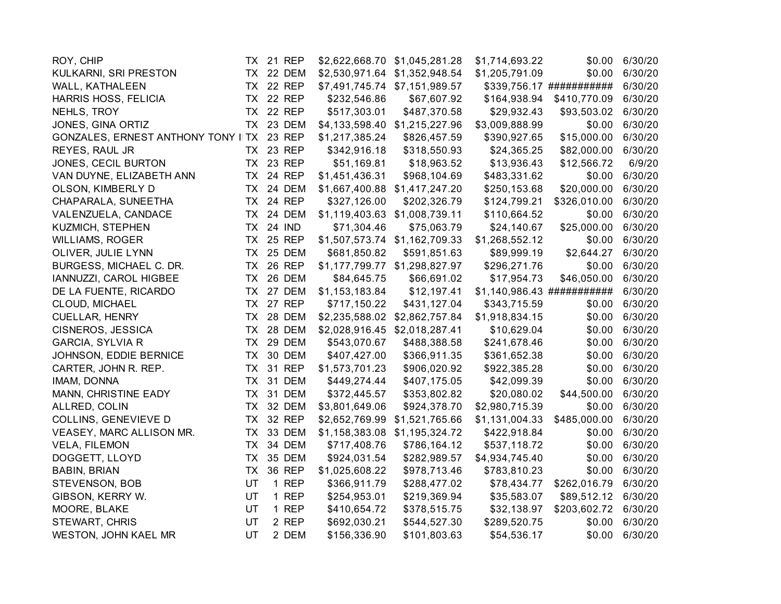| ROY, CHIP                                  |           | <b>TX 21 REP</b> |                               | \$2,622,668.70 \$1,045,281.28 | \$1,714,693.22              | \$0.00                    | 6/30/20 |
|--------------------------------------------|-----------|------------------|-------------------------------|-------------------------------|-----------------------------|---------------------------|---------|
| KULKARNI, SRI PRESTON                      |           | TX 22 DEM        | \$2,530,971.64                | \$1,352,948.54                | \$1,205,791.09              | \$0.00                    | 6/30/20 |
| WALL, KATHALEEN                            |           | <b>TX 22 REP</b> |                               | \$7,491,745.74 \$7,151,989.57 |                             | \$339,756.17 ############ | 6/30/20 |
| HARRIS HOSS, FELICIA                       |           | <b>TX 22 REP</b> | \$232,546.86                  | \$67,607.92                   | \$164,938.94                | \$410,770.09              | 6/30/20 |
| NEHLS, TROY                                |           | <b>TX 22 REP</b> | \$517,303.01                  | \$487,370.58                  | \$29,932.43                 | \$93,503.02               | 6/30/20 |
| JONES, GINA ORTIZ                          |           | TX 23 DEM        | \$4,133,598.40                | \$1,215,227.96                | \$3,009,888.99              | \$0.00                    | 6/30/20 |
| <b>GONZALES, ERNEST ANTHONY TONY II TX</b> |           | 23 REP           | \$1,217,385.24                | \$826,457.59                  | \$390,927.65                | \$15,000.00               | 6/30/20 |
| REYES, RAUL JR                             |           | <b>TX 23 REP</b> | \$342,916.18                  | \$318,550.93                  | \$24,365.25                 | \$82,000.00               | 6/30/20 |
| JONES, CECIL BURTON                        |           | <b>TX 23 REP</b> | \$51,169.81                   | \$18,963.52                   | \$13,936.43                 | \$12,566.72               | 6/9/20  |
| VAN DUYNE, ELIZABETH ANN                   | <b>TX</b> | 24 REP           | \$1,451,436.31                | \$968,104.69                  | \$483,331.62                | \$0.00                    | 6/30/20 |
| OLSON, KIMBERLY D                          |           | TX 24 DEM        | \$1,667,400.88                | \$1,417,247.20                | \$250,153.68                | \$20,000.00               | 6/30/20 |
| CHAPARALA, SUNEETHA                        | <b>TX</b> | 24 REP           | \$327,126.00                  | \$202,326.79                  | \$124,799.21                | \$326,010.00              | 6/30/20 |
| VALENZUELA, CANDACE                        |           | TX 24 DEM        | \$1,119,403.63 \$1,008,739.11 |                               | \$110,664.52                | \$0.00                    | 6/30/20 |
| KUZMICH, STEPHEN                           |           | <b>TX 24 IND</b> | \$71,304.46                   | \$75,063.79                   | \$24,140.67                 | \$25,000.00               | 6/30/20 |
| <b>WILLIAMS, ROGER</b>                     |           | <b>TX 25 REP</b> |                               | \$1,507,573.74 \$1,162,709.33 | \$1,268,552.12              | \$0.00                    | 6/30/20 |
| OLIVER, JULIE LYNN                         |           | TX 25 DEM        | \$681,850.82                  | \$591,851.63                  | \$89,999.19                 | \$2,644.27                | 6/30/20 |
| BURGESS, MICHAEL C. DR.                    |           | <b>TX 26 REP</b> |                               | \$1,177,799.77 \$1,298,827.97 | \$296,271.76                | \$0.00                    | 6/30/20 |
| IANNUZZI, CAROL HIGBEE                     |           | TX 26 DEM        | \$84,645.75                   | \$66,691.02                   | \$17,954.73                 | \$46,050.00               | 6/30/20 |
| DE LA FUENTE, RICARDO                      |           | TX 27 DEM        | \$1,153,183.84                | \$12,197.41                   | \$1,140,986.43 ############ |                           | 6/30/20 |
| CLOUD, MICHAEL                             |           | <b>TX 27 REP</b> | \$717,150.22                  | \$431,127.04                  | \$343,715.59                | \$0.00                    | 6/30/20 |
| <b>CUELLAR, HENRY</b>                      |           | TX 28 DEM        | \$2,235,588.02                | \$2,862,757.84                | \$1,918,834.15              | \$0.00                    | 6/30/20 |
| CISNEROS, JESSICA                          |           | TX 28 DEM        | \$2,028,916.45                | \$2,018,287.41                | \$10,629.04                 | \$0.00                    | 6/30/20 |
| <b>GARCIA, SYLVIA R</b>                    |           | TX 29 DEM        | \$543,070.67                  | \$488,388.58                  | \$241,678.46                | \$0.00                    | 6/30/20 |
| JOHNSON, EDDIE BERNICE                     |           | TX 30 DEM        | \$407,427.00                  | \$366,911.35                  | \$361,652.38                | \$0.00                    | 6/30/20 |
| CARTER, JOHN R. REP.                       |           | TX 31 REP        | \$1,573,701.23                | \$906,020.92                  | \$922,385.28                | \$0.00                    | 6/30/20 |
| IMAM, DONNA                                |           | TX 31 DEM        | \$449,274.44                  | \$407,175.05                  | \$42,099.39                 | \$0.00                    | 6/30/20 |
| MANN, CHRISTINE EADY                       |           | TX 31 DEM        | \$372,445.57                  | \$353,802.82                  | \$20,080.02                 | \$44,500.00               | 6/30/20 |
| ALLRED, COLIN                              |           | TX 32 DEM        | \$3,801,649.06                | \$924,378.70                  | \$2,980,715.39              | \$0.00                    | 6/30/20 |
| COLLINS, GENEVIEVE D                       |           | TX 32 REP        | \$2,652,769.99                | \$1,521,765.66                | \$1,131,004.33              | \$485,000.00              | 6/30/20 |
| VEASEY, MARC ALLISON MR.                   |           | TX 33 DEM        | \$1,158,383.08                | \$1,195,324.72                | \$422,918.84                | \$0.00                    | 6/30/20 |
| <b>VELA, FILEMON</b>                       |           | TX 34 DEM        | \$717,408.76                  | \$786,164.12                  | \$537,118.72                | \$0.00                    | 6/30/20 |
| DOGGETT, LLOYD                             |           | TX 35 DEM        | \$924,031.54                  | \$282,989.57                  | \$4,934,745.40              | \$0.00                    | 6/30/20 |
| <b>BABIN, BRIAN</b>                        |           | <b>TX 36 REP</b> | \$1,025,608.22                | \$978,713.46                  | \$783,810.23                | \$0.00                    | 6/30/20 |
| STEVENSON, BOB                             | UT        | 1 REP            | \$366,911.79                  | \$288,477.02                  | \$78,434.77                 | \$262,016.79              | 6/30/20 |
| GIBSON, KERRY W.                           | UT        | 1 REP            | \$254,953.01                  | \$219,369.94                  | \$35,583.07                 | \$89,512.12               | 6/30/20 |
| MOORE, BLAKE                               | UT        | 1 REP            | \$410,654.72                  | \$378,515.75                  | \$32,138.97                 | \$203,602.72              | 6/30/20 |
| STEWART, CHRIS                             | UT        | 2 REP            | \$692,030.21                  | \$544,527.30                  | \$289,520.75                | \$0.00                    | 6/30/20 |
| WESTON, JOHN KAEL MR                       | UT        | 2 DEM            | \$156,336.90                  | \$101,803.63                  | \$54,536.17                 | \$0.00                    | 6/30/20 |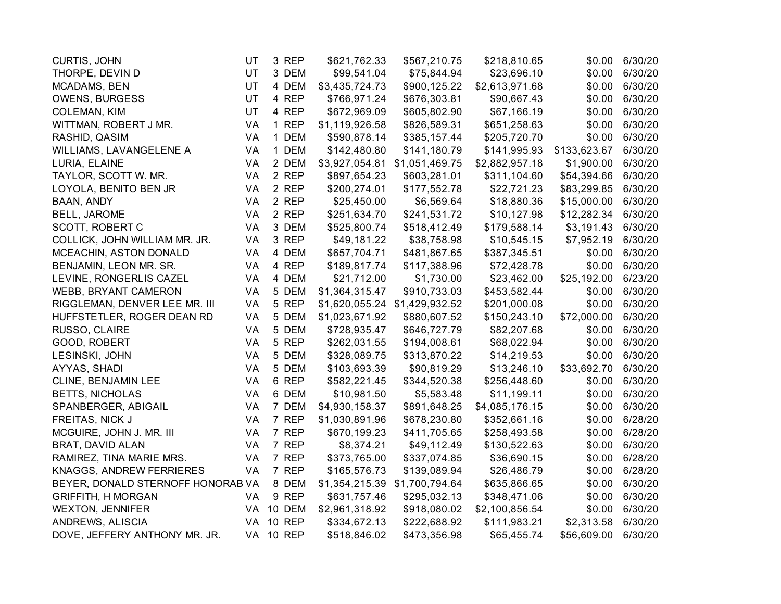| CURTIS, JOHN                      | UT        | 3 REP         | \$621,762.33   | \$567,210.75                  | \$218,810.65   | \$0.00       | 6/30/20 |
|-----------------------------------|-----------|---------------|----------------|-------------------------------|----------------|--------------|---------|
| THORPE, DEVIN D                   | UT        | 3 DEM         | \$99,541.04    | \$75,844.94                   | \$23,696.10    | \$0.00       | 6/30/20 |
| MCADAMS, BEN                      | UT        | 4 DEM         | \$3,435,724.73 | \$900,125.22                  | \$2,613,971.68 | \$0.00       | 6/30/20 |
| <b>OWENS, BURGESS</b>             | UT        | 4 REP         | \$766,971.24   | \$676,303.81                  | \$90,667.43    | \$0.00       | 6/30/20 |
| COLEMAN, KIM                      | UT        | 4 REP         | \$672,969.09   | \$605,802.90                  | \$67,166.19    | \$0.00       | 6/30/20 |
| WITTMAN, ROBERT J MR.             | VA        | 1 REP         | \$1,119,926.58 | \$826,589.31                  | \$651,258.63   | \$0.00       | 6/30/20 |
| RASHID, QASIM                     | VA        | 1 DEM         | \$590,878.14   | \$385,157.44                  | \$205,720.70   | \$0.00       | 6/30/20 |
| WILLIAMS, LAVANGELENE A           | VA        | 1 DEM         | \$142,480.80   | \$141,180.79                  | \$141,995.93   | \$133,623.67 | 6/30/20 |
| LURIA, ELAINE                     | VA        | 2 DEM         | \$3,927,054.81 | \$1,051,469.75                | \$2,882,957.18 | \$1,900.00   | 6/30/20 |
| TAYLOR, SCOTT W. MR.              | <b>VA</b> | 2 REP         | \$897,654.23   | \$603,281.01                  | \$311,104.60   | \$54,394.66  | 6/30/20 |
| LOYOLA, BENITO BEN JR             | <b>VA</b> | 2 REP         | \$200,274.01   | \$177,552.78                  | \$22,721.23    | \$83,299.85  | 6/30/20 |
| BAAN, ANDY                        | VA        | 2 REP         | \$25,450.00    | \$6,569.64                    | \$18,880.36    | \$15,000.00  | 6/30/20 |
| <b>BELL, JAROME</b>               | <b>VA</b> | 2 REP         | \$251,634.70   | \$241,531.72                  | \$10,127.98    | \$12,282.34  | 6/30/20 |
| SCOTT, ROBERT C                   | VA        | 3 DEM         | \$525,800.74   | \$518,412.49                  | \$179,588.14   | \$3,191.43   | 6/30/20 |
| COLLICK, JOHN WILLIAM MR. JR.     | VA        | 3 REP         | \$49,181.22    | \$38,758.98                   | \$10,545.15    | \$7,952.19   | 6/30/20 |
| MCEACHIN, ASTON DONALD            | VA        | 4 DEM         | \$657,704.71   | \$481,867.65                  | \$387,345.51   | \$0.00       | 6/30/20 |
| BENJAMIN, LEON MR. SR.            | VA        | 4 REP         | \$189,817.74   | \$117,388.96                  | \$72,428.78    | \$0.00       | 6/30/20 |
| LEVINE, RONGERLIS CAZEL           | VA        | 4 DEM         | \$21,712.00    | \$1,730.00                    | \$23,462.00    | \$25,192.00  | 6/23/20 |
| WEBB, BRYANT CAMERON              | VA        | 5 DEM         | \$1,364,315.47 | \$910,733.03                  | \$453,582.44   | \$0.00       | 6/30/20 |
| RIGGLEMAN, DENVER LEE MR. III     | VA        | 5 REP         | \$1,620,055.24 | \$1,429,932.52                | \$201,000.08   | \$0.00       | 6/30/20 |
| HUFFSTETLER, ROGER DEAN RD        | VA        | 5 DEM         | \$1,023,671.92 | \$880,607.52                  | \$150,243.10   | \$72,000.00  | 6/30/20 |
| RUSSO, CLAIRE                     | VA        | 5 DEM         | \$728,935.47   | \$646,727.79                  | \$82,207.68    | \$0.00       | 6/30/20 |
| GOOD, ROBERT                      | VA        | 5 REP         | \$262,031.55   | \$194,008.61                  | \$68,022.94    | \$0.00       | 6/30/20 |
| LESINSKI, JOHN                    | <b>VA</b> | 5 DEM         | \$328,089.75   | \$313,870.22                  | \$14,219.53    | \$0.00       | 6/30/20 |
| AYYAS, SHADI                      | <b>VA</b> | 5 DEM         | \$103,693.39   | \$90,819.29                   | \$13,246.10    | \$33,692.70  | 6/30/20 |
| CLINE, BENJAMIN LEE               | <b>VA</b> | 6 REP         | \$582,221.45   | \$344,520.38                  | \$256,448.60   | \$0.00       | 6/30/20 |
| <b>BETTS, NICHOLAS</b>            | <b>VA</b> | 6 DEM         | \$10,981.50    | \$5,583.48                    | \$11,199.11    | \$0.00       | 6/30/20 |
| SPANBERGER, ABIGAIL               | <b>VA</b> | 7 DEM         | \$4,930,158.37 | \$891,648.25                  | \$4,085,176.15 | \$0.00       | 6/30/20 |
| FREITAS, NICK J                   | VA        | 7 REP         | \$1,030,891.96 | \$678,230.80                  | \$352,661.16   | \$0.00       | 6/28/20 |
| MCGUIRE, JOHN J. MR. III          | <b>VA</b> | 7 REP         | \$670,199.23   | \$411,705.65                  | \$258,493.58   | \$0.00       | 6/28/20 |
| BRAT, DAVID ALAN                  | <b>VA</b> | 7 REP         | \$8,374.21     | \$49,112.49                   | \$130,522.63   | \$0.00       | 6/30/20 |
| RAMIREZ, TINA MARIE MRS.          | VA        | 7 REP         | \$373,765.00   | \$337,074.85                  | \$36,690.15    | \$0.00       | 6/28/20 |
| KNAGGS, ANDREW FERRIERES          | VA        | 7 REP         | \$165,576.73   | \$139,089.94                  | \$26,486.79    | \$0.00       | 6/28/20 |
| BEYER, DONALD STERNOFF HONORAB VA |           | 8 DEM         |                | \$1,354,215.39 \$1,700,794.64 | \$635,866.65   | \$0.00       | 6/30/20 |
| <b>GRIFFITH, H MORGAN</b>         | VA        | 9 REP         | \$631,757.46   | \$295,032.13                  | \$348,471.06   | \$0.00       | 6/30/20 |
| <b>WEXTON, JENNIFER</b>           | VA        | 10 DEM        | \$2,961,318.92 | \$918,080.02                  | \$2,100,856.54 | \$0.00       | 6/30/20 |
| ANDREWS, ALISCIA                  | VA        | <b>10 REP</b> | \$334,672.13   | \$222,688.92                  | \$111,983.21   | \$2,313.58   | 6/30/20 |
| DOVE, JEFFERY ANTHONY MR. JR.     | VA        | <b>10 REP</b> | \$518,846.02   | \$473,356.98                  | \$65,455.74    | \$56,609.00  | 6/30/20 |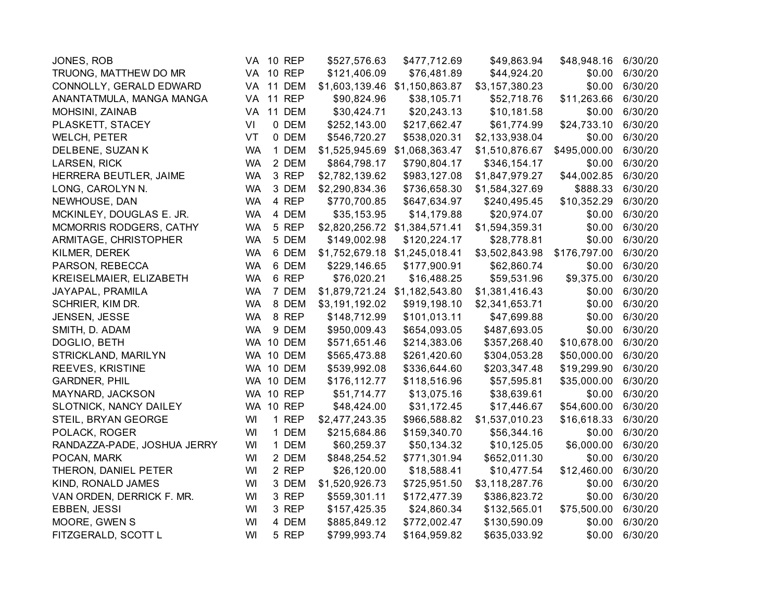| JONES, ROB                  |           | VA 10 REP     | \$527,576.63   | \$477,712.69   | \$49,863.94    | \$48,948.16  | 6/30/20 |
|-----------------------------|-----------|---------------|----------------|----------------|----------------|--------------|---------|
| TRUONG, MATTHEW DO MR       |           | VA 10 REP     | \$121,406.09   | \$76,481.89    | \$44,924.20    | \$0.00       | 6/30/20 |
| CONNOLLY, GERALD EDWARD     | VA        | <b>11 DEM</b> | \$1,603,139.46 | \$1,150,863.87 | \$3,157,380.23 | \$0.00       | 6/30/20 |
| ANANTATMULA, MANGA MANGA    | VA        | <b>11 REP</b> | \$90,824.96    | \$38,105.71    | \$52,718.76    | \$11,263.66  | 6/30/20 |
| MOHSINI, ZAINAB             | VA        | 11 DEM        | \$30,424.71    | \$20,243.13    | \$10,181.58    | \$0.00       | 6/30/20 |
| PLASKETT, STACEY            | VI        | 0 DEM         | \$252,143.00   | \$217,662.47   | \$61,774.99    | \$24,733.10  | 6/30/20 |
| WELCH, PETER                | VT        | 0 DEM         | \$546,720.27   | \$538,020.31   | \$2,133,938.04 | \$0.00       | 6/30/20 |
| DELBENE, SUZAN K            | <b>WA</b> | 1 DEM         | \$1,525,945.69 | \$1,068,363.47 | \$1,510,876.67 | \$495,000.00 | 6/30/20 |
| <b>LARSEN, RICK</b>         | <b>WA</b> | 2 DEM         | \$864,798.17   | \$790,804.17   | \$346,154.17   | \$0.00       | 6/30/20 |
| HERRERA BEUTLER, JAIME      | <b>WA</b> | 3 REP         | \$2,782,139.62 | \$983,127.08   | \$1,847,979.27 | \$44,002.85  | 6/30/20 |
| LONG, CAROLYN N.            | <b>WA</b> | 3 DEM         | \$2,290,834.36 | \$736,658.30   | \$1,584,327.69 | \$888.33     | 6/30/20 |
| NEWHOUSE, DAN               | <b>WA</b> | 4 REP         | \$770,700.85   | \$647,634.97   | \$240,495.45   | \$10,352.29  | 6/30/20 |
| MCKINLEY, DOUGLAS E. JR.    | <b>WA</b> | 4 DEM         | \$35,153.95    | \$14,179.88    | \$20,974.07    | \$0.00       | 6/30/20 |
| MCMORRIS RODGERS, CATHY     | <b>WA</b> | 5 REP         | \$2,820,256.72 | \$1,384,571.41 | \$1,594,359.31 | \$0.00       | 6/30/20 |
| ARMITAGE, CHRISTOPHER       | <b>WA</b> | 5 DEM         | \$149,002.98   | \$120,224.17   | \$28,778.81    | \$0.00       | 6/30/20 |
| KILMER, DEREK               | <b>WA</b> | 6 DEM         | \$1,752,679.18 | \$1,245,018.41 | \$3,502,843.98 | \$176,797.00 | 6/30/20 |
| PARSON, REBECCA             | <b>WA</b> | 6 DEM         | \$229,146.65   | \$177,900.91   | \$62,860.74    | \$0.00       | 6/30/20 |
| KREISELMAIER, ELIZABETH     | <b>WA</b> | 6 REP         | \$76,020.21    | \$16,488.25    | \$59,531.96    | \$9,375.00   | 6/30/20 |
| JAYAPAL, PRAMILA            | <b>WA</b> | 7 DEM         | \$1,879,721.24 | \$1,182,543.80 | \$1,381,416.43 | \$0.00       | 6/30/20 |
| SCHRIER, KIM DR.            | <b>WA</b> | 8 DEM         | \$3,191,192.02 | \$919,198.10   | \$2,341,653.71 | \$0.00       | 6/30/20 |
| JENSEN, JESSE               | <b>WA</b> | 8 REP         | \$148,712.99   | \$101,013.11   | \$47,699.88    | \$0.00       | 6/30/20 |
| SMITH, D. ADAM              | <b>WA</b> | 9 DEM         | \$950,009.43   | \$654,093.05   | \$487,693.05   | \$0.00       | 6/30/20 |
| DOGLIO, BETH                |           | WA 10 DEM     | \$571,651.46   | \$214,383.06   | \$357,268.40   | \$10,678.00  | 6/30/20 |
| STRICKLAND, MARILYN         |           | WA 10 DEM     | \$565,473.88   | \$261,420.60   | \$304,053.28   | \$50,000.00  | 6/30/20 |
| REEVES, KRISTINE            |           | WA 10 DEM     | \$539,992.08   | \$336,644.60   | \$203,347.48   | \$19,299.90  | 6/30/20 |
| <b>GARDNER, PHIL</b>        |           | WA 10 DEM     | \$176,112.77   | \$118,516.96   | \$57,595.81    | \$35,000.00  | 6/30/20 |
| MAYNARD, JACKSON            |           | WA 10 REP     | \$51,714.77    | \$13,075.16    | \$38,639.61    | \$0.00       | 6/30/20 |
| SLOTNICK, NANCY DAILEY      |           | WA 10 REP     | \$48,424.00    | \$31,172.45    | \$17,446.67    | \$54,600.00  | 6/30/20 |
| STEIL, BRYAN GEORGE         | WI        | 1 REP         | \$2,477,243.35 | \$966,588.82   | \$1,537,010.23 | \$16,618.33  | 6/30/20 |
| POLACK, ROGER               | WI        | 1 DEM         | \$215,684.86   | \$159,340.70   | \$56,344.16    | \$0.00       | 6/30/20 |
| RANDAZZA-PADE, JOSHUA JERRY | WI        | 1 DEM         | \$60,259.37    | \$50,134.32    | \$10,125.05    | \$6,000.00   | 6/30/20 |
| POCAN, MARK                 | WI        | 2 DEM         | \$848,254.52   | \$771,301.94   | \$652,011.30   | \$0.00       | 6/30/20 |
| THERON, DANIEL PETER        | WI        | 2 REP         | \$26,120.00    | \$18,588.41    | \$10,477.54    | \$12,460.00  | 6/30/20 |
| KIND, RONALD JAMES          | WI        | 3 DEM         | \$1,520,926.73 | \$725,951.50   | \$3,118,287.76 | \$0.00       | 6/30/20 |
| VAN ORDEN, DERRICK F. MR.   | WI        | 3 REP         | \$559,301.11   | \$172,477.39   | \$386,823.72   | \$0.00       | 6/30/20 |
| EBBEN, JESSI                | WI        | 3 REP         | \$157,425.35   | \$24,860.34    | \$132,565.01   | \$75,500.00  | 6/30/20 |
| MOORE, GWEN S               | WI        | 4 DEM         | \$885,849.12   | \$772,002.47   | \$130,590.09   | \$0.00       | 6/30/20 |
| FITZGERALD, SCOTT L         | WI        | 5 REP         | \$799,993.74   | \$164,959.82   | \$635,033.92   | \$0.00       | 6/30/20 |